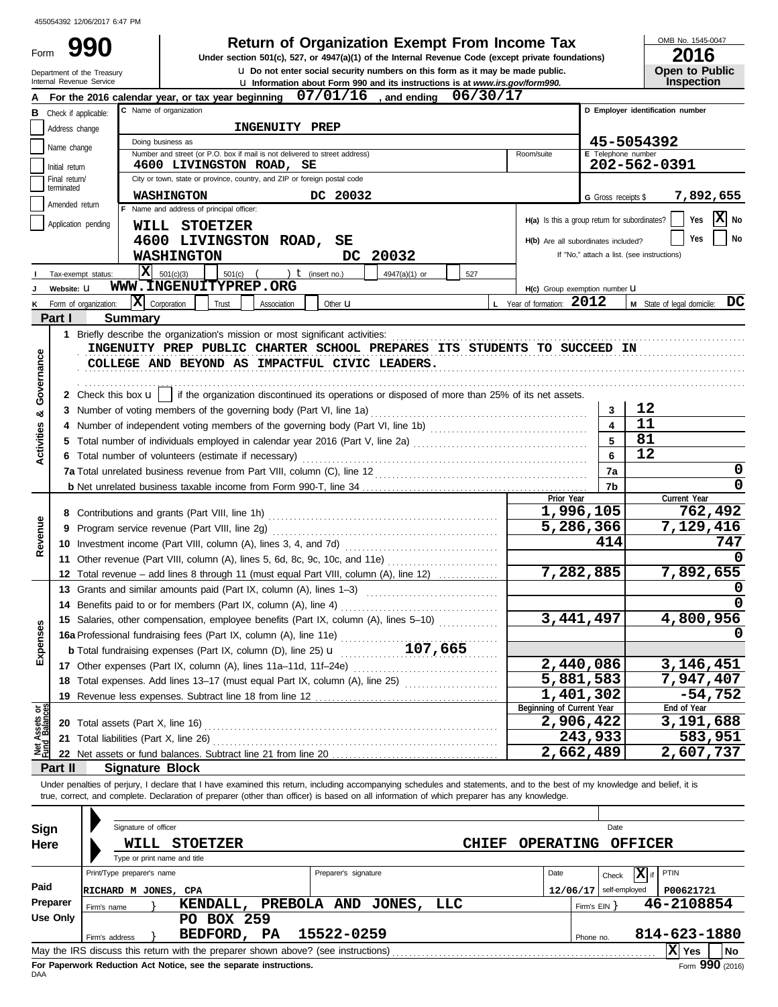Form 990

**990 2016 2016 2016 Depending Solution State of Organization Exempt From Income Tax 2016** 

OMB No. 1545-0047

| LV I V                |
|-----------------------|
| <b>Open to Public</b> |
| <b>Inspection</b>     |

|               | Internal Revenue Service    | Department of the Treasury       | <b>u</b> Do not enter social security numbers on this form as it may be made public.<br><b>u</b> Information about Form 990 and its instructions is at www.irs.gov/form990. |                          | Open to Public<br><b>Inspection</b>        |
|---------------|-----------------------------|----------------------------------|-----------------------------------------------------------------------------------------------------------------------------------------------------------------------------|--------------------------|--------------------------------------------|
|               |                             |                                  | 07/01/16<br>06/30/17<br>and ending<br>For the 2016 calendar year, or tax year beginning                                                                                     |                          |                                            |
| в             | Check if applicable:        | D Employer identification number |                                                                                                                                                                             |                          |                                            |
|               | Address change              |                                  | INGENUITY PREP                                                                                                                                                              |                          |                                            |
|               |                             |                                  | Doing business as                                                                                                                                                           |                          | 45-5054392                                 |
|               | Name change                 |                                  | Number and street (or P.O. box if mail is not delivered to street address)<br>Room/suite                                                                                    | E Telephone number       |                                            |
|               | Initial return              |                                  | 4600 LIVINGSTON ROAD, SE                                                                                                                                                    |                          | 202-562-0391                               |
|               | Final return/<br>terminated |                                  | City or town, state or province, country, and ZIP or foreign postal code                                                                                                    |                          |                                            |
|               | Amended return              |                                  | WASHINGTON<br>DC 20032                                                                                                                                                      | G Gross receipts \$      | 7,892,655                                  |
|               |                             |                                  | F Name and address of principal officer:<br>H(a) Is this a group return for subordinates?                                                                                   |                          | $\mathbf{X}$ No<br>Yes                     |
|               | Application pending         |                                  | WILL STOETZER                                                                                                                                                               |                          |                                            |
|               |                             |                                  | 4600 LIVINGSTON ROAD, SE<br>H(b) Are all subordinates included?                                                                                                             |                          | No<br>Yes                                  |
|               |                             |                                  | DC 20032<br><b>WASHINGTON</b>                                                                                                                                               |                          | If "No," attach a list. (see instructions) |
|               | Tax-exempt status:          |                                  | x <br>501(c)(3)<br>) $t$ (insert no.)<br>4947(a)(1) or<br>$501(c)$ (<br>527                                                                                                 |                          |                                            |
|               | Website: U                  |                                  | WWW.INGENUITYPREP.ORG<br>H(c) Group exemption number U                                                                                                                      |                          |                                            |
| κ             | Form of organization:       |                                  | $ \mathbf{X} $ Corporation<br>L Year of formation: 2012<br>Trust<br>Other <b>u</b><br>Association                                                                           |                          | M State of legal domicile: DC              |
|               | Part I                      | <b>Summary</b>                   |                                                                                                                                                                             |                          |                                            |
|               |                             |                                  |                                                                                                                                                                             |                          |                                            |
|               |                             |                                  | INGENUITY PREP PUBLIC CHARTER SCHOOL PREPARES ITS STUDENTS TO SUCCEED IN                                                                                                    |                          |                                            |
|               |                             |                                  | COLLEGE AND BEYOND AS IMPACTFUL CIVIC LEADERS.                                                                                                                              |                          |                                            |
|               |                             |                                  |                                                                                                                                                                             |                          |                                            |
| Governance    |                             |                                  | 2 Check this box $\mathbf{u}$   if the organization discontinued its operations or disposed of more than 25% of its net assets.                                             |                          |                                            |
| ೲ             |                             |                                  |                                                                                                                                                                             | 3                        | 12                                         |
|               |                             |                                  |                                                                                                                                                                             | 4                        | 11                                         |
| Activities    |                             |                                  | Total number of individuals employed in calendar year 2016 (Part V, line 2a) [[[[[[[[[[[[[[[[[[[[[[[[[[[[[[[[                                                               | 5                        | 81                                         |
|               |                             |                                  | 6 Total number of volunteers (estimate if necessary)                                                                                                                        | 6                        | 12                                         |
|               |                             |                                  |                                                                                                                                                                             | 7a                       | 0                                          |
|               |                             |                                  |                                                                                                                                                                             | 7b                       | 0                                          |
|               |                             |                                  | Prior Year                                                                                                                                                                  |                          | Current Year                               |
|               |                             |                                  | 1,996,105                                                                                                                                                                   |                          | 762,492                                    |
| Revenue       | 9                           |                                  | 5,286,366                                                                                                                                                                   |                          | 7,129,416                                  |
|               |                             |                                  |                                                                                                                                                                             | 414                      | 747                                        |
|               |                             |                                  |                                                                                                                                                                             |                          |                                            |
|               |                             |                                  | 7,282,885<br>12 Total revenue – add lines 8 through 11 (must equal Part VIII, column (A), line 12)                                                                          |                          | 7,892,655                                  |
|               |                             |                                  | 13 Grants and similar amounts paid (Part IX, column (A), lines 1-3)                                                                                                         |                          |                                            |
|               |                             |                                  | 14 Benefits paid to or for members (Part IX, column (A), line 4)                                                                                                            |                          | O                                          |
| ğ,            |                             |                                  | 3,441,497<br>15 Salaries, other compensation, employee benefits (Part IX, column (A), lines 5-10)                                                                           |                          | 4,800,956                                  |
|               |                             |                                  | 16a Professional fundraising fees (Part IX, column (A), line 11e)                                                                                                           |                          |                                            |
| <b>Expens</b> |                             |                                  | 107,665<br><b>b</b> Total fundraising expenses (Part IX, column (D), line 25) $\mathbf{u}$                                                                                  |                          |                                            |
|               |                             |                                  | 2,440,086                                                                                                                                                                   |                          | 3, 146, 451                                |
|               |                             |                                  | 5,881,583<br>18 Total expenses. Add lines 13-17 (must equal Part IX, column (A), line 25)                                                                                   |                          | 7,947,407                                  |
|               |                             |                                  | 1,401,302<br>19 Revenue less expenses. Subtract line 18 from line 12                                                                                                        |                          | $-54,752$                                  |
| dg<br>Ges     |                             |                                  | Beginning of Current Year<br>2,906,422                                                                                                                                      |                          | End of Year<br>3,191,688                   |
| Net Assets    |                             |                                  |                                                                                                                                                                             | 243,933                  | 583,951                                    |
|               |                             |                                  | 2,662,489                                                                                                                                                                   |                          | 2,607,737                                  |
|               | Part II                     |                                  | <b>Signature Block</b>                                                                                                                                                      |                          |                                            |
|               |                             |                                  | Under penalties of perjury, I declare that I have examined this return, including accompanying schedules and statements, and to the best of my knowledge and belief, it is  |                          |                                            |
|               |                             |                                  | true, correct, and complete. Declaration of preparer (other than officer) is based on all information of which preparer has any knowledge.                                  |                          |                                            |
|               |                             |                                  |                                                                                                                                                                             |                          |                                            |
| Sign          |                             |                                  | Signature of officer                                                                                                                                                        | Date                     |                                            |
| Here          |                             |                                  | WILL<br><b>STOETZER</b><br><b>CHIEF</b><br>OPERATING OFFICER                                                                                                                |                          |                                            |
|               |                             |                                  | Type or print name and title                                                                                                                                                |                          |                                            |
|               |                             | Print/Type preparer's name       | Preparer's signature<br>Date                                                                                                                                                | Check                    | $\boxed{\mathbf{X}}$ if<br>PTIN            |
| Paid          |                             |                                  | RICHARD M JONES, CPA                                                                                                                                                        | $12/06/17$ self-employed | P00621721                                  |
|               | Preparer                    |                                  | KENDALL, PREBOLA AND JONES, LLC                                                                                                                                             |                          | 46-2108854                                 |
|               | Use Only                    | Firm's name                      | PO BOX 259                                                                                                                                                                  | Firm's $EIN$ }           |                                            |
|               |                             |                                  | BEDFORD, PA<br>15522-0259                                                                                                                                                   |                          | 814-623-1880                               |
|               |                             | Firm's address                   | May the IRS discuss this return with the preparer shown above? (see instructions)                                                                                           | Phone no.                | $ X $ Yes<br><b>No</b>                     |
|               |                             |                                  |                                                                                                                                                                             |                          |                                            |

| Sign       |                                                                                       | Signature of officer                 |  |                                                                                   |           |  |                      |                    |              |                  |          |                   |                |     | Date         |    |  |
|------------|---------------------------------------------------------------------------------------|--------------------------------------|--|-----------------------------------------------------------------------------------|-----------|--|----------------------|--------------------|--------------|------------------|----------|-------------------|----------------|-----|--------------|----|--|
| Here       |                                                                                       | WILL<br>Type or print name and title |  | <b>STOETZER</b>                                                                   |           |  |                      |                    | <b>CHIEF</b> | <b>OPERATING</b> |          |                   | <b>OFFICER</b> |     |              |    |  |
|            |                                                                                       | Print/Type preparer's name           |  |                                                                                   |           |  | Preparer's signature |                    |              |                  | Date     |                   | Check          | lxl | PTIN         |    |  |
| Paid       |                                                                                       | RICHARD M JONES, CPA                 |  |                                                                                   |           |  |                      |                    |              |                  | 12/06/17 |                   | self-employed  |     | P00621721    |    |  |
| Preparer   | Firm's name                                                                           |                                      |  | KENDALL,                                                                          |           |  |                      | PREBOLA AND JONES, | LLC          |                  |          | Firm's $EIN$ $\}$ |                |     | 46-2108854   |    |  |
| Use Only   |                                                                                       |                                      |  | <b>BOX 259</b><br>PО                                                              |           |  |                      |                    |              |                  |          |                   |                |     |              |    |  |
|            |                                                                                       | Firm's address                       |  | BEDFORD,                                                                          | <b>PA</b> |  | 15522-0259           |                    |              |                  |          | Phone no.         |                |     | 814-623-1880 |    |  |
|            |                                                                                       |                                      |  | May the IRS discuss this return with the preparer shown above? (see instructions) |           |  |                      |                    |              |                  |          |                   |                |     | X<br>Yes     | No |  |
| <b>DAA</b> | Form 990 (2016)<br>For Paperwork Reduction Act Notice, see the separate instructions. |                                      |  |                                                                                   |           |  |                      |                    |              |                  |          |                   |                |     |              |    |  |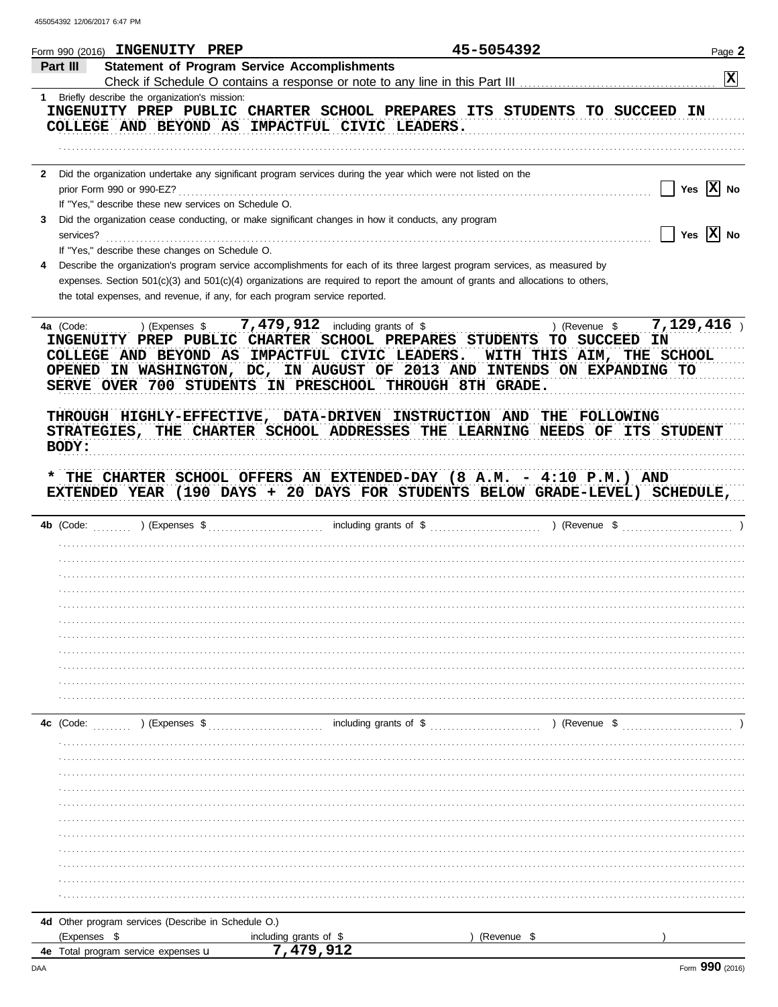|              | Form 990 (2016) INGENUITY PREP                       |                                                                                                                                    | 45-5054392                | Page 2          |
|--------------|------------------------------------------------------|------------------------------------------------------------------------------------------------------------------------------------|---------------------------|-----------------|
| Part III     |                                                      | <b>Statement of Program Service Accomplishments</b>                                                                                |                           |                 |
|              |                                                      |                                                                                                                                    |                           | $\vert x \vert$ |
|              | 1 Briefly describe the organization's mission:       |                                                                                                                                    |                           |                 |
|              |                                                      | INGENUITY PREP PUBLIC CHARTER SCHOOL PREPARES ITS STUDENTS TO SUCCEED                                                              |                           | IN              |
|              |                                                      | COLLEGE AND BEYOND AS IMPACTFUL CIVIC LEADERS.                                                                                     |                           |                 |
|              |                                                      |                                                                                                                                    |                           |                 |
|              |                                                      |                                                                                                                                    |                           |                 |
|              | prior Form 990 or 990-EZ?                            | 2 Did the organization undertake any significant program services during the year which were not listed on the                     |                           | Yes $ X $ No    |
|              | If "Yes," describe these new services on Schedule O. |                                                                                                                                    |                           |                 |
| 3            |                                                      | Did the organization cease conducting, or make significant changes in how it conducts, any program                                 |                           |                 |
| services?    |                                                      |                                                                                                                                    |                           | $ X $ No<br>Yes |
|              | If "Yes," describe these changes on Schedule O.      |                                                                                                                                    |                           |                 |
|              |                                                      | Describe the organization's program service accomplishments for each of its three largest program services, as measured by         |                           |                 |
|              |                                                      | expenses. Section $501(c)(3)$ and $501(c)(4)$ organizations are required to report the amount of grants and allocations to others, |                           |                 |
|              |                                                      | the total expenses, and revenue, if any, for each program service reported.                                                        |                           |                 |
|              |                                                      |                                                                                                                                    |                           |                 |
| 4a (Code:    | ) (Expenses \$                                       | 7,479,912 including grants of \$                                                                                                   | ) (Revenue \$             | 7,129,416       |
|              |                                                      | INGENUITY PREP PUBLIC CHARTER SCHOOL PREPARES STUDENTS                                                                             | <b>TO SUCCEED</b>         | ΙN              |
|              |                                                      | COLLEGE AND BEYOND AS IMPACTFUL CIVIC LEADERS.                                                                                     | WITH THIS AIM, THE SCHOOL |                 |
|              |                                                      | OPENED IN WASHINGTON, DC, IN AUGUST OF 2013 AND INTENDS ON EXPANDING TO                                                            |                           |                 |
|              |                                                      | SERVE OVER 700 STUDENTS IN PRESCHOOL THROUGH 8TH GRADE.                                                                            |                           |                 |
|              |                                                      |                                                                                                                                    |                           |                 |
|              |                                                      | THROUGH HIGHLY-EFFECTIVE, DATA-DRIVEN INSTRUCTION AND THE FOLLOWING                                                                |                           |                 |
|              |                                                      | STRATEGIES, THE CHARTER SCHOOL ADDRESSES THE LEARNING NEEDS OF ITS STUDENT                                                         |                           |                 |
| BODY:        |                                                      |                                                                                                                                    |                           |                 |
|              |                                                      |                                                                                                                                    |                           |                 |
|              |                                                      | THE CHARTER SCHOOL OFFERS AN EXTENDED-DAY (8 A.M. - 4:10 P.M.) AND                                                                 |                           |                 |
|              |                                                      | EXTENDED YEAR (190 DAYS + 20 DAYS FOR STUDENTS BELOW GRADE-LEVEL) SCHEDULE,                                                        |                           |                 |
| 4b (Code:    | (Express \$                                          | including grants of \$                                                                                                             | ) (Revenue \$             |                 |
|              |                                                      |                                                                                                                                    |                           |                 |
|              |                                                      |                                                                                                                                    |                           |                 |
|              |                                                      |                                                                                                                                    |                           |                 |
|              |                                                      |                                                                                                                                    |                           |                 |
|              |                                                      |                                                                                                                                    |                           |                 |
|              |                                                      |                                                                                                                                    |                           |                 |
|              |                                                      |                                                                                                                                    |                           |                 |
|              |                                                      |                                                                                                                                    |                           |                 |
|              |                                                      |                                                                                                                                    |                           |                 |
|              |                                                      |                                                                                                                                    |                           |                 |
|              |                                                      |                                                                                                                                    |                           |                 |
|              |                                                      |                                                                                                                                    |                           |                 |
| 4c (Code:    | ) (Expenses \$                                       | including grants of \$                                                                                                             | ) (Revenue \$             |                 |
|              |                                                      |                                                                                                                                    |                           |                 |
|              |                                                      |                                                                                                                                    |                           |                 |
|              |                                                      |                                                                                                                                    |                           |                 |
|              |                                                      |                                                                                                                                    |                           |                 |
|              |                                                      |                                                                                                                                    |                           |                 |
|              |                                                      |                                                                                                                                    |                           |                 |
|              |                                                      |                                                                                                                                    |                           |                 |
|              |                                                      |                                                                                                                                    |                           |                 |
|              |                                                      |                                                                                                                                    |                           |                 |
|              |                                                      |                                                                                                                                    |                           |                 |
|              |                                                      |                                                                                                                                    |                           |                 |
|              | 4d Other program services (Describe in Schedule O.)  |                                                                                                                                    |                           |                 |
| (Expenses \$ |                                                      | including grants of \$                                                                                                             | (Revenue \$               |                 |
|              | 4e Total program service expenses u                  | 7.479.912                                                                                                                          |                           |                 |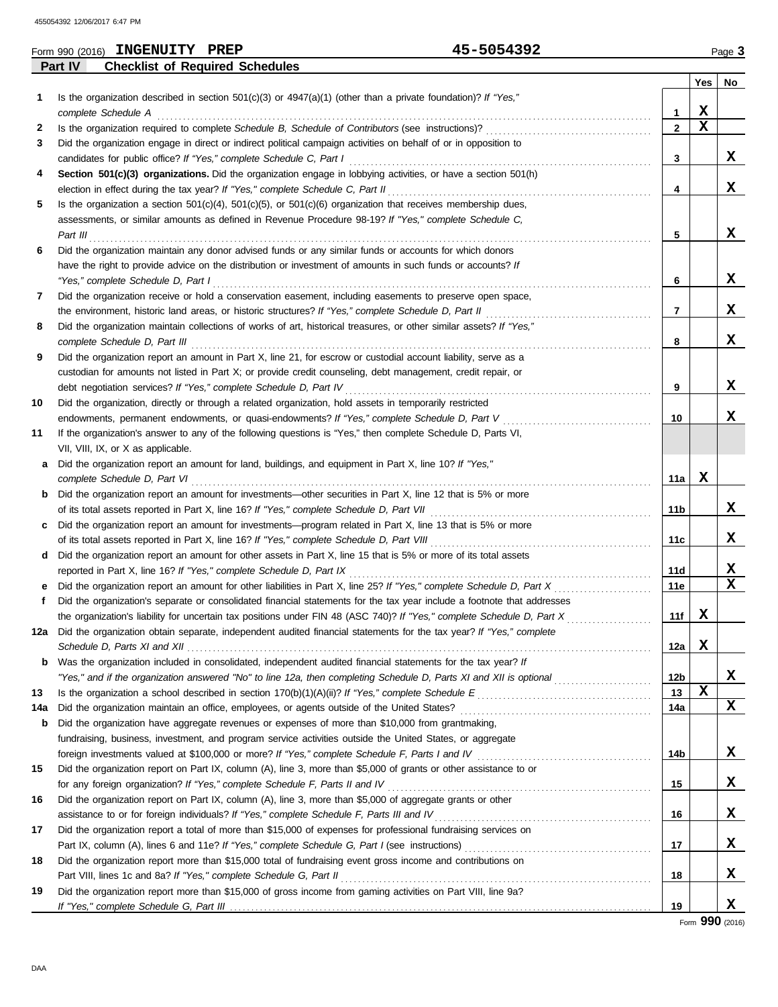|     |          | Form 990 (2016) INGENUITY PREP                                      | 45-5054392                                                                                                              |                |             | Page 3      |
|-----|----------|---------------------------------------------------------------------|-------------------------------------------------------------------------------------------------------------------------|----------------|-------------|-------------|
|     | Part IV  | <b>Checklist of Required Schedules</b>                              |                                                                                                                         |                |             |             |
|     |          |                                                                     |                                                                                                                         |                | Yes         | No          |
| 1.  |          |                                                                     | Is the organization described in section $501(c)(3)$ or $4947(a)(1)$ (other than a private foundation)? If "Yes,"       |                |             |             |
|     |          | complete Schedule A                                                 |                                                                                                                         | 1              | X           |             |
| 2   |          |                                                                     | Is the organization required to complete Schedule B, Schedule of Contributors (see instructions)?                       | $\overline{2}$ | $\mathbf x$ |             |
| 3   |          |                                                                     | Did the organization engage in direct or indirect political campaign activities on behalf of or in opposition to        |                |             |             |
|     |          | candidates for public office? If "Yes," complete Schedule C, Part I |                                                                                                                         | 3              |             | x           |
| 4   |          |                                                                     | Section 501(c)(3) organizations. Did the organization engage in lobbying activities, or have a section 501(h)           |                |             |             |
|     |          |                                                                     | election in effect during the tax year? If "Yes," complete Schedule C, Part II                                          | 4              |             | X           |
| 5   |          |                                                                     | Is the organization a section $501(c)(4)$ , $501(c)(5)$ , or $501(c)(6)$ organization that receives membership dues,    |                |             |             |
|     |          |                                                                     | assessments, or similar amounts as defined in Revenue Procedure 98-19? If "Yes," complete Schedule C,                   |                |             |             |
|     | Part III |                                                                     |                                                                                                                         | 5              |             | X           |
| 6   |          |                                                                     | Did the organization maintain any donor advised funds or any similar funds or accounts for which donors                 |                |             |             |
|     |          |                                                                     | have the right to provide advice on the distribution or investment of amounts in such funds or accounts? If             |                |             |             |
|     |          | "Yes," complete Schedule D, Part I                                  |                                                                                                                         | 6              |             | X           |
| 7   |          |                                                                     | Did the organization receive or hold a conservation easement, including easements to preserve open space,               |                |             |             |
|     |          |                                                                     | the environment, historic land areas, or historic structures? If "Yes," complete Schedule D, Part II                    | 7              |             | x           |
| 8   |          |                                                                     | Did the organization maintain collections of works of art, historical treasures, or other similar assets? If "Yes,"     |                |             |             |
|     |          | complete Schedule D, Part III                                       |                                                                                                                         | 8              |             | x           |
| 9   |          |                                                                     | Did the organization report an amount in Part X, line 21, for escrow or custodial account liability, serve as a         |                |             |             |
|     |          |                                                                     | custodian for amounts not listed in Part X; or provide credit counseling, debt management, credit repair, or            |                |             |             |
|     |          | debt negotiation services? If "Yes," complete Schedule D, Part IV   |                                                                                                                         | 9              |             | X           |
| 10  |          |                                                                     | Did the organization, directly or through a related organization, hold assets in temporarily restricted                 |                |             |             |
|     |          |                                                                     | endowments, permanent endowments, or quasi-endowments? If "Yes," complete Schedule D, Part V                            | 10             |             | X           |
| 11  |          |                                                                     | If the organization's answer to any of the following questions is "Yes," then complete Schedule D, Parts VI,            |                |             |             |
|     |          | VII, VIII, IX, or X as applicable.                                  |                                                                                                                         |                |             |             |
| а   |          |                                                                     | Did the organization report an amount for land, buildings, and equipment in Part X, line 10? If "Yes,"                  |                | х           |             |
|     |          | complete Schedule D, Part VI                                        |                                                                                                                         | 11a            |             |             |
| b   |          |                                                                     | Did the organization report an amount for investments-other securities in Part X, line 12 that is 5% or more            |                |             | x           |
|     |          |                                                                     | of its total assets reported in Part X, line 16? If "Yes," complete Schedule D, Part VII                                | 11b            |             |             |
| c   |          |                                                                     | Did the organization report an amount for investments—program related in Part X, line 13 that is 5% or more             |                |             | x           |
|     |          |                                                                     | of its total assets reported in Part X, line 16? If "Yes," complete Schedule D, Part VIII                               | 11c            |             |             |
| d   |          |                                                                     | Did the organization report an amount for other assets in Part X, line 15 that is 5% or more of its total assets        |                |             | X           |
|     |          | reported in Part X, line 16? If "Yes," complete Schedule D, Part IX | Did the organization report an amount for other liabilities in Part X, line 25? If "Yes," complete Schedule D, Part X   | 11d<br>11e     |             | $\mathbf x$ |
|     |          |                                                                     |                                                                                                                         |                |             |             |
|     |          |                                                                     | Did the organization's separate or consolidated financial statements for the tax year include a footnote that addresses | 11f            | X           |             |
|     |          |                                                                     | 12a Did the organization obtain separate, independent audited financial statements for the tax year? If "Yes," complete |                |             |             |
|     |          |                                                                     |                                                                                                                         | 12a            | X           |             |
| b   |          |                                                                     | Was the organization included in consolidated, independent audited financial statements for the tax year? If            |                |             |             |
|     |          |                                                                     | "Yes," and if the organization answered "No" to line 12a, then completing Schedule D, Parts XI and XII is optional      | 12b            |             | X           |
| 13  |          |                                                                     | Is the organization a school described in section 170(b)(1)(A)(ii)? If "Yes," complete Schedule E                       | 13             | $\mathbf x$ |             |
| 14a |          |                                                                     | Did the organization maintain an office, employees, or agents outside of the United States?                             | 14a            |             | X           |
| b   |          |                                                                     | Did the organization have aggregate revenues or expenses of more than \$10,000 from grantmaking,                        |                |             |             |
|     |          |                                                                     | fundraising, business, investment, and program service activities outside the United States, or aggregate               |                |             |             |
|     |          |                                                                     | foreign investments valued at \$100,000 or more? If "Yes," complete Schedule F, Parts I and IV [[[[[[[[[[[[[[[          | 14b            |             | X           |
| 15  |          |                                                                     | Did the organization report on Part IX, column (A), line 3, more than \$5,000 of grants or other assistance to or       |                |             |             |
|     |          |                                                                     | for any foreign organization? If "Yes," complete Schedule F, Parts II and IV                                            | 15             |             | X           |
| 16  |          |                                                                     | Did the organization report on Part IX, column (A), line 3, more than \$5,000 of aggregate grants or other              |                |             |             |
|     |          |                                                                     | assistance to or for foreign individuals? If "Yes," complete Schedule F, Parts III and IV                               | 16             |             | X           |
| 17  |          |                                                                     | Did the organization report a total of more than \$15,000 of expenses for professional fundraising services on          |                |             |             |
|     |          |                                                                     |                                                                                                                         | 17             |             | X           |
| 18  |          |                                                                     | Did the organization report more than \$15,000 total of fundraising event gross income and contributions on             |                |             |             |
|     |          | Part VIII, lines 1c and 8a? If "Yes," complete Schedule G, Part II  |                                                                                                                         | 18             |             | X           |
| 19  |          |                                                                     | Did the organization report more than \$15,000 of gross income from gaming activities on Part VIII, line 9a?            |                |             |             |
|     |          |                                                                     |                                                                                                                         | 19             |             | X           |

Form **990** (2016)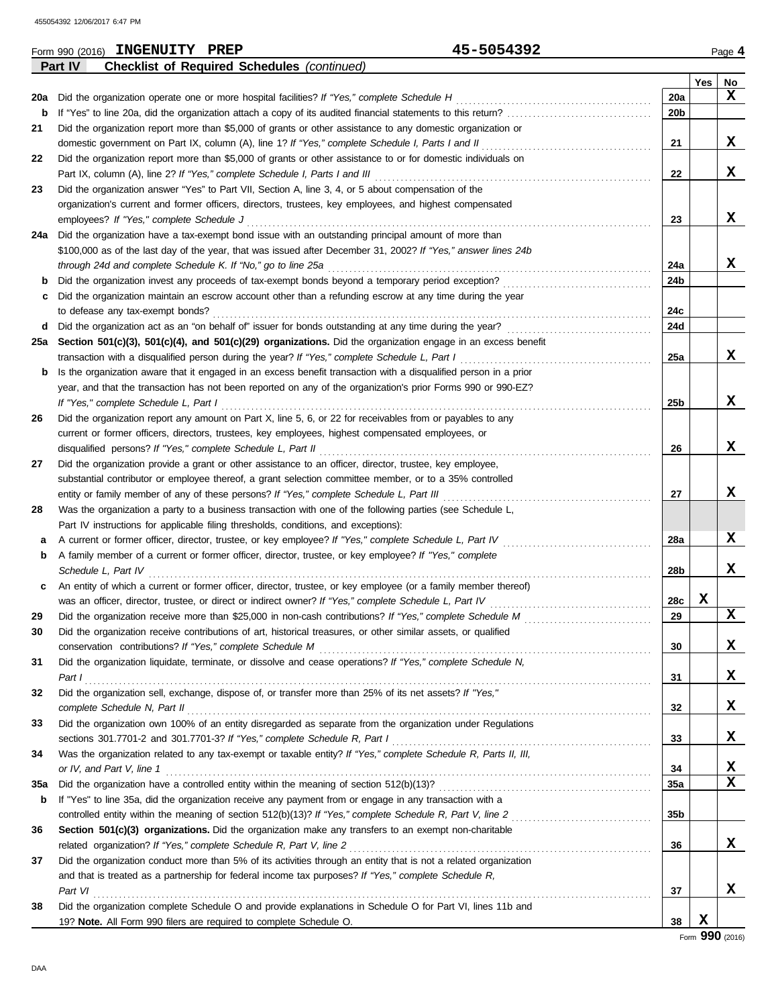|     | 45-5054392<br>Form 990 (2016) INGENUITY PREP                                                                     |                 |             | Page 4      |
|-----|------------------------------------------------------------------------------------------------------------------|-----------------|-------------|-------------|
|     | Part IV<br><b>Checklist of Required Schedules (continued)</b>                                                    |                 |             |             |
|     |                                                                                                                  |                 | Yes         | No          |
| 20a | Did the organization operate one or more hospital facilities? If "Yes," complete Schedule H                      | <b>20a</b>      |             | X           |
| b   |                                                                                                                  | 20b             |             |             |
| 21  | Did the organization report more than \$5,000 of grants or other assistance to any domestic organization or      |                 |             |             |
|     | domestic government on Part IX, column (A), line 1? If "Yes," complete Schedule I, Parts I and II                | 21              |             | X           |
| 22  | Did the organization report more than \$5,000 of grants or other assistance to or for domestic individuals on    |                 |             |             |
|     | Part IX, column (A), line 2? If "Yes," complete Schedule I, Parts I and III                                      | 22              |             | X           |
| 23  | Did the organization answer "Yes" to Part VII, Section A, line 3, 4, or 5 about compensation of the              |                 |             |             |
|     | organization's current and former officers, directors, trustees, key employees, and highest compensated          |                 |             |             |
|     | employees? If "Yes," complete Schedule J                                                                         | 23              |             | X           |
| 24a | Did the organization have a tax-exempt bond issue with an outstanding principal amount of more than              |                 |             |             |
|     | \$100,000 as of the last day of the year, that was issued after December 31, 2002? If "Yes," answer lines 24b    |                 |             |             |
|     | through 24d and complete Schedule K. If "No," go to line 25a                                                     | 24a             |             | X           |
| b   | Did the organization invest any proceeds of tax-exempt bonds beyond a temporary period exception?                | 24b             |             |             |
| c   | Did the organization maintain an escrow account other than a refunding escrow at any time during the year        |                 |             |             |
|     | to defease any tax-exempt bonds?                                                                                 | 24c             |             |             |
| d   | Did the organization act as an "on behalf of" issuer for bonds outstanding at any time during the year?<br>.     | 24d             |             |             |
| 25а | Section 501(c)(3), 501(c)(4), and 501(c)(29) organizations. Did the organization engage in an excess benefit     |                 |             |             |
|     | transaction with a disqualified person during the year? If "Yes," complete Schedule L, Part I                    | 25a             |             | x           |
| b   | Is the organization aware that it engaged in an excess benefit transaction with a disqualified person in a prior |                 |             |             |
|     | year, and that the transaction has not been reported on any of the organization's prior Forms 990 or 990-EZ?     |                 |             |             |
|     | If "Yes," complete Schedule L, Part I                                                                            | 25b             |             | x           |
| 26  | Did the organization report any amount on Part X, line 5, 6, or 22 for receivables from or payables to any       |                 |             |             |
|     | current or former officers, directors, trustees, key employees, highest compensated employees, or                |                 |             |             |
|     | disqualified persons? If "Yes," complete Schedule L, Part II                                                     | 26              |             | x           |
| 27  | Did the organization provide a grant or other assistance to an officer, director, trustee, key employee,         |                 |             |             |
|     | substantial contributor or employee thereof, a grant selection committee member, or to a 35% controlled          |                 |             |             |
|     | entity or family member of any of these persons? If "Yes," complete Schedule L, Part III                         | 27              |             | x           |
| 28  | Was the organization a party to a business transaction with one of the following parties (see Schedule L,        |                 |             |             |
|     | Part IV instructions for applicable filing thresholds, conditions, and exceptions):                              |                 |             |             |
| a   | A current or former officer, director, trustee, or key employee? If "Yes," complete Schedule L, Part IV          | 28a             |             | X           |
| b   | A family member of a current or former officer, director, trustee, or key employee? If "Yes," complete           |                 |             |             |
|     | Schedule L, Part IV                                                                                              | 28b             |             | x           |
| с   | An entity of which a current or former officer, director, trustee, or key employee (or a family member thereof)  |                 |             |             |
|     | was an officer, director, trustee, or direct or indirect owner? If "Yes," complete Schedule L, Part IV           | 28c             | X           |             |
| 29  |                                                                                                                  | 29              |             | $\mathbf x$ |
| 30  | Did the organization receive contributions of art, historical treasures, or other similar assets, or qualified   |                 |             |             |
|     | conservation contributions? If "Yes," complete Schedule M                                                        | 30              |             | X           |
| 31  | Did the organization liquidate, terminate, or dissolve and cease operations? If "Yes," complete Schedule N,      |                 |             |             |
|     | Part I                                                                                                           | 31              |             | X           |
| 32  | Did the organization sell, exchange, dispose of, or transfer more than 25% of its net assets? If "Yes,"          |                 |             |             |
|     | complete Schedule N, Part II                                                                                     | 32              |             | X           |
| 33  | Did the organization own 100% of an entity disregarded as separate from the organization under Regulations       |                 |             |             |
|     |                                                                                                                  | 33              |             | X           |
| 34  | Was the organization related to any tax-exempt or taxable entity? If "Yes," complete Schedule R, Parts II, III,  |                 |             |             |
|     | or IV, and Part V, line 1                                                                                        | 34              |             | X           |
| 35a |                                                                                                                  | <b>35a</b>      |             | $\mathbf x$ |
| b   | If "Yes" to line 35a, did the organization receive any payment from or engage in any transaction with a          |                 |             |             |
|     |                                                                                                                  | 35 <sub>b</sub> |             |             |
| 36  | Section 501(c)(3) organizations. Did the organization make any transfers to an exempt non-charitable             |                 |             |             |
|     | related organization? If "Yes," complete Schedule R, Part V, line 2                                              | 36              |             | X           |
| 37  | Did the organization conduct more than 5% of its activities through an entity that is not a related organization |                 |             |             |
|     | and that is treated as a partnership for federal income tax purposes? If "Yes," complete Schedule R,             |                 |             |             |
|     | Part VI                                                                                                          | 37              |             | x           |
| 38  | Did the organization complete Schedule O and provide explanations in Schedule O for Part VI, lines 11b and       |                 |             |             |
|     | 19? Note. All Form 990 filers are required to complete Schedule O.                                               | 38              | $\mathbf X$ |             |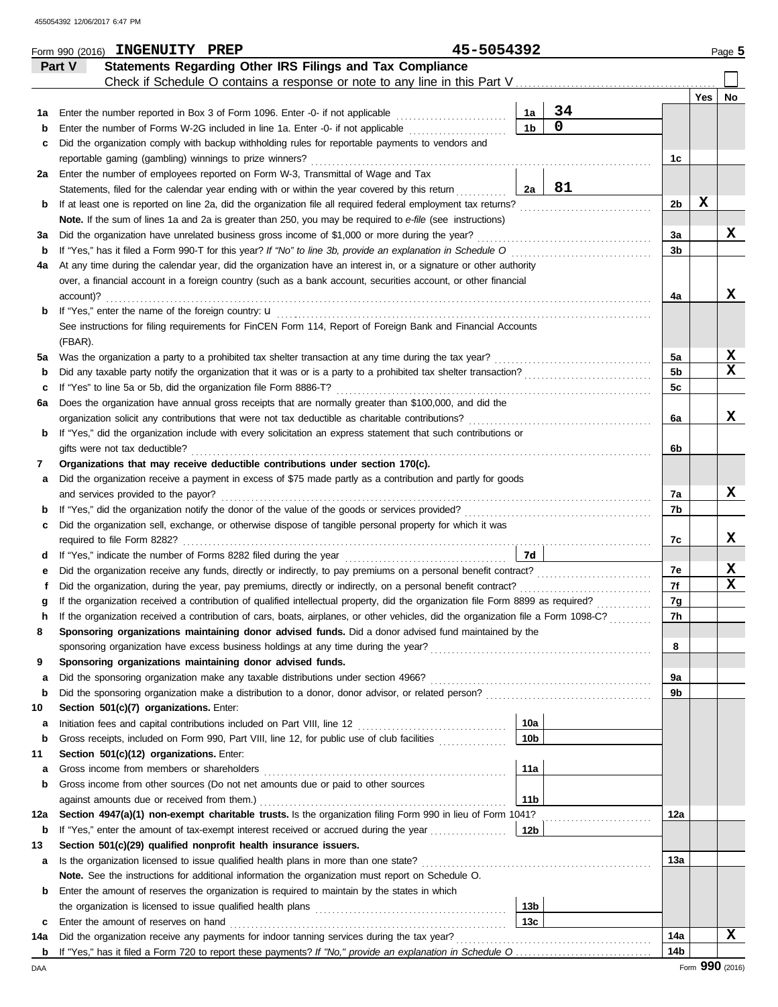|         |           | Form 990 (2016) INGENUITY PREP                                    |  |                                                                                                                                  | 45-5054392 |                 |                                                                                                                                    |                |     | Page 5      |
|---------|-----------|-------------------------------------------------------------------|--|----------------------------------------------------------------------------------------------------------------------------------|------------|-----------------|------------------------------------------------------------------------------------------------------------------------------------|----------------|-----|-------------|
|         | Part V    |                                                                   |  | Statements Regarding Other IRS Filings and Tax Compliance                                                                        |            |                 |                                                                                                                                    |                |     |             |
|         |           |                                                                   |  |                                                                                                                                  |            |                 |                                                                                                                                    |                |     |             |
|         |           |                                                                   |  |                                                                                                                                  |            |                 |                                                                                                                                    |                | Yes | No          |
| 1a      |           |                                                                   |  | Enter the number reported in Box 3 of Form 1096. Enter -0- if not applicable                                                     |            | 1a              | 34                                                                                                                                 |                |     |             |
| b       |           |                                                                   |  | Enter the number of Forms W-2G included in line 1a. Enter -0- if not applicable                                                  |            | 1 <sub>b</sub>  | $\mathbf 0$                                                                                                                        |                |     |             |
| c       |           |                                                                   |  | Did the organization comply with backup withholding rules for reportable payments to vendors and                                 |            |                 |                                                                                                                                    |                |     |             |
|         |           | reportable gaming (gambling) winnings to prize winners?           |  |                                                                                                                                  |            |                 |                                                                                                                                    | 1c             |     |             |
| 2a      |           |                                                                   |  | Enter the number of employees reported on Form W-3, Transmittal of Wage and Tax                                                  |            |                 |                                                                                                                                    |                |     |             |
|         |           |                                                                   |  | Statements, filed for the calendar year ending with or within the year covered by this return                                    |            | 2a              | 81                                                                                                                                 |                |     |             |
| b       |           |                                                                   |  | If at least one is reported on line 2a, did the organization file all required federal employment tax returns?                   |            |                 |                                                                                                                                    | 2 <sub>b</sub> | X   |             |
|         |           |                                                                   |  | Note. If the sum of lines 1a and 2a is greater than 250, you may be required to e-file (see instructions)                        |            |                 |                                                                                                                                    |                |     |             |
| За      |           |                                                                   |  | Did the organization have unrelated business gross income of \$1,000 or more during the year?                                    |            |                 |                                                                                                                                    | За             |     | X           |
| b       |           |                                                                   |  | If "Yes," has it filed a Form 990-T for this year? If "No" to line 3b, provide an explanation in Schedule O                      |            |                 |                                                                                                                                    | 3 <sub>b</sub> |     |             |
| 4a      |           |                                                                   |  | At any time during the calendar year, did the organization have an interest in, or a signature or other authority                |            |                 |                                                                                                                                    |                |     |             |
|         | account)? |                                                                   |  | over, a financial account in a foreign country (such as a bank account, securities account, or other financial                   |            |                 |                                                                                                                                    |                |     | x           |
| b       |           |                                                                   |  |                                                                                                                                  |            |                 |                                                                                                                                    | 4a             |     |             |
|         |           |                                                                   |  | See instructions for filing requirements for FinCEN Form 114, Report of Foreign Bank and Financial Accounts                      |            |                 |                                                                                                                                    |                |     |             |
|         | (FBAR).   |                                                                   |  |                                                                                                                                  |            |                 |                                                                                                                                    |                |     |             |
| 5a      |           |                                                                   |  | Was the organization a party to a prohibited tax shelter transaction at any time during the tax year?                            |            |                 |                                                                                                                                    | 5a             |     | X           |
| b       |           |                                                                   |  |                                                                                                                                  |            |                 | Did any taxable party notify the organization that it was or is a party to a prohibited tax shelter transaction?                   | 5 <sub>b</sub> |     | $\mathbf x$ |
| c       |           | If "Yes" to line 5a or 5b, did the organization file Form 8886-T? |  |                                                                                                                                  |            |                 |                                                                                                                                    | 5c             |     |             |
| 6а      |           |                                                                   |  | Does the organization have annual gross receipts that are normally greater than \$100,000, and did the                           |            |                 |                                                                                                                                    |                |     |             |
|         |           |                                                                   |  | organization solicit any contributions that were not tax deductible as charitable contributions?                                 |            |                 |                                                                                                                                    | 6a             |     | x           |
| b       |           |                                                                   |  | If "Yes," did the organization include with every solicitation an express statement that such contributions or                   |            |                 |                                                                                                                                    |                |     |             |
|         |           | gifts were not tax deductible?                                    |  |                                                                                                                                  |            |                 |                                                                                                                                    | 6b             |     |             |
| 7       |           |                                                                   |  | Organizations that may receive deductible contributions under section 170(c).                                                    |            |                 |                                                                                                                                    |                |     |             |
| а       |           |                                                                   |  | Did the organization receive a payment in excess of \$75 made partly as a contribution and partly for goods                      |            |                 |                                                                                                                                    |                |     |             |
|         |           | and services provided to the payor?                               |  |                                                                                                                                  |            |                 |                                                                                                                                    | 7a             |     | X           |
| b       |           |                                                                   |  |                                                                                                                                  |            |                 |                                                                                                                                    | 7b             |     |             |
| c       |           |                                                                   |  | Did the organization sell, exchange, or otherwise dispose of tangible personal property for which it was                         |            |                 |                                                                                                                                    |                |     |             |
|         |           |                                                                   |  |                                                                                                                                  |            |                 |                                                                                                                                    | 7с             |     | x           |
| d       |           |                                                                   |  |                                                                                                                                  |            | 7d              |                                                                                                                                    |                |     |             |
| е       |           |                                                                   |  |                                                                                                                                  |            |                 | Did the organization receive any funds, directly or indirectly, to pay premiums on a personal benefit contract?                    | 7e             |     | X           |
|         |           |                                                                   |  | Did the organization, during the year, pay premiums, directly or indirectly, on a personal benefit contract?                     |            |                 |                                                                                                                                    | 7f             |     | X           |
|         |           |                                                                   |  | If the organization received a contribution of qualified intellectual property, did the organization file Form 8899 as required? |            |                 |                                                                                                                                    | 7g             |     |             |
|         |           |                                                                   |  |                                                                                                                                  |            |                 | If the organization received a contribution of cars, boats, airplanes, or other vehicles, did the organization file a Form 1098-C? | 7h             |     |             |
| 8       |           |                                                                   |  | Sponsoring organizations maintaining donor advised funds. Did a donor advised fund maintained by the                             |            |                 |                                                                                                                                    |                |     |             |
|         |           |                                                                   |  |                                                                                                                                  |            |                 |                                                                                                                                    | 8              |     |             |
| 9       |           |                                                                   |  | Sponsoring organizations maintaining donor advised funds.                                                                        |            |                 |                                                                                                                                    |                |     |             |
| a       |           |                                                                   |  | Did the sponsoring organization make any taxable distributions under section 4966?                                               |            |                 |                                                                                                                                    | 9a             |     |             |
| b       |           |                                                                   |  | Did the sponsoring organization make a distribution to a donor, donor advisor, or related person?                                |            |                 |                                                                                                                                    | 9b             |     |             |
| 10      |           | Section 501(c)(7) organizations. Enter:                           |  |                                                                                                                                  |            | 10a             |                                                                                                                                    |                |     |             |
| а       |           |                                                                   |  | Gross receipts, included on Form 990, Part VIII, line 12, for public use of club facilities                                      |            | 10 <sub>b</sub> |                                                                                                                                    |                |     |             |
| b<br>11 |           | Section 501(c)(12) organizations. Enter:                          |  |                                                                                                                                  |            |                 |                                                                                                                                    |                |     |             |
| a       |           | Gross income from members or shareholders                         |  |                                                                                                                                  |            | 11a             |                                                                                                                                    |                |     |             |
| b       |           |                                                                   |  | Gross income from other sources (Do not net amounts due or paid to other sources                                                 |            |                 |                                                                                                                                    |                |     |             |
|         |           | against amounts due or received from them.)                       |  |                                                                                                                                  |            | 11 <sub>b</sub> |                                                                                                                                    |                |     |             |
| 12a     |           |                                                                   |  | Section 4947(a)(1) non-exempt charitable trusts. Is the organization filing Form 990 in lieu of Form 1041?                       |            |                 |                                                                                                                                    | 12a            |     |             |
| b       |           |                                                                   |  | If "Yes," enter the amount of tax-exempt interest received or accrued during the year                                            |            | 12 <sub>b</sub> |                                                                                                                                    |                |     |             |
| 13      |           |                                                                   |  | Section 501(c)(29) qualified nonprofit health insurance issuers.                                                                 |            |                 |                                                                                                                                    |                |     |             |
| а       |           |                                                                   |  | Is the organization licensed to issue qualified health plans in more than one state?                                             |            |                 |                                                                                                                                    | 13a            |     |             |
|         |           |                                                                   |  | Note. See the instructions for additional information the organization must report on Schedule O.                                |            |                 |                                                                                                                                    |                |     |             |
| b       |           |                                                                   |  | Enter the amount of reserves the organization is required to maintain by the states in which                                     |            |                 |                                                                                                                                    |                |     |             |
|         |           |                                                                   |  |                                                                                                                                  |            | 13 <sub>b</sub> |                                                                                                                                    |                |     |             |
| c       |           | Enter the amount of reserves on hand                              |  |                                                                                                                                  |            | 13 <sub>c</sub> |                                                                                                                                    |                |     |             |
| 14a     |           |                                                                   |  | Did the organization receive any payments for indoor tanning services during the tax year?                                       |            |                 |                                                                                                                                    | 14a            |     | x           |
|         |           |                                                                   |  |                                                                                                                                  |            |                 |                                                                                                                                    | 14b            |     |             |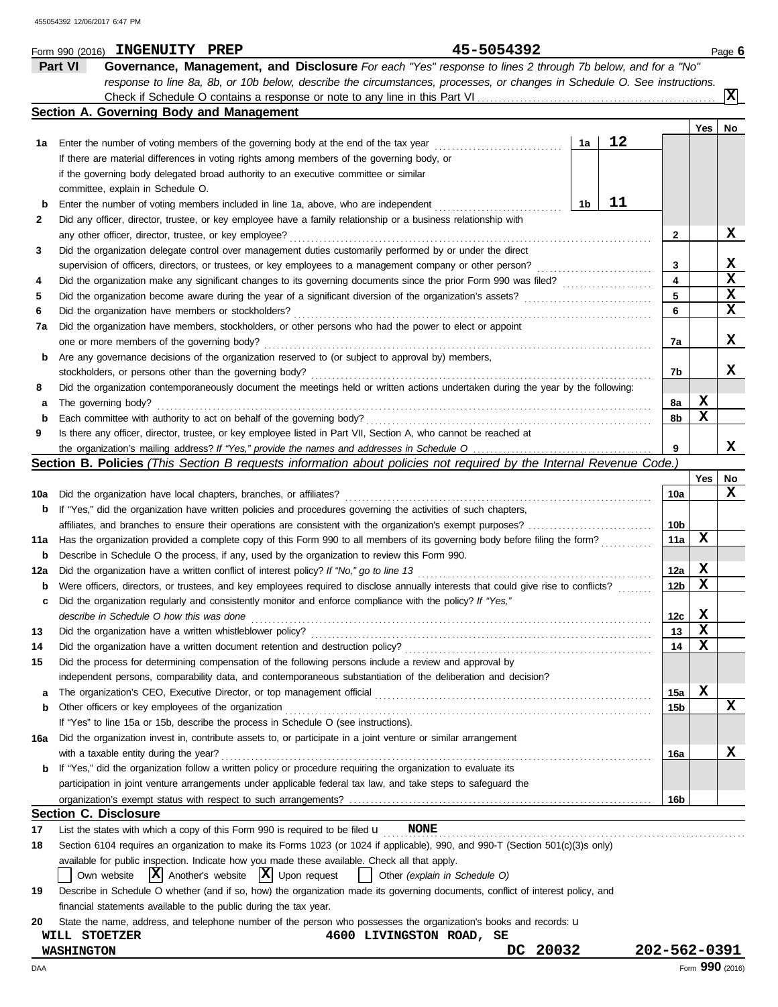|          | Part VI<br>Governance, Management, and Disclosure For each "Yes" response to lines 2 through 7b below, and for a "No"                       |    |    |                         |        |                          |
|----------|---------------------------------------------------------------------------------------------------------------------------------------------|----|----|-------------------------|--------|--------------------------|
|          | response to line 8a, 8b, or 10b below, describe the circumstances, processes, or changes in Schedule O. See instructions.                   |    |    |                         |        |                          |
|          |                                                                                                                                             |    |    |                         |        | $\vert \mathbf{x} \vert$ |
|          | Section A. Governing Body and Management                                                                                                    |    |    |                         | Yes    | No                       |
| 1а       | Enter the number of voting members of the governing body at the end of the tax year                                                         | 1a | 12 |                         |        |                          |
|          | If there are material differences in voting rights among members of the governing body, or                                                  |    |    |                         |        |                          |
|          | if the governing body delegated broad authority to an executive committee or similar                                                        |    |    |                         |        |                          |
|          | committee, explain in Schedule O.                                                                                                           |    |    |                         |        |                          |
| b        | Enter the number of voting members included in line 1a, above, who are independent                                                          | 1b | 11 |                         |        |                          |
| 2        | Did any officer, director, trustee, or key employee have a family relationship or a business relationship with                              |    |    |                         |        |                          |
|          | any other officer, director, trustee, or key employee?                                                                                      |    |    | 2                       |        | x                        |
| 3        | Did the organization delegate control over management duties customarily performed by or under the direct                                   |    |    |                         |        |                          |
|          | supervision of officers, directors, or trustees, or key employees to a management company or other person?                                  |    |    | 3                       |        | x                        |
| 4        |                                                                                                                                             |    |    | $\overline{\mathbf{4}}$ |        | x                        |
| 5        |                                                                                                                                             |    |    | 5                       |        | X                        |
| 6        | Did the organization have members or stockholders?                                                                                          |    |    | 6                       |        | x                        |
| 7a       | Did the organization have members, stockholders, or other persons who had the power to elect or appoint                                     |    |    |                         |        |                          |
|          | one or more members of the governing body?                                                                                                  |    |    | 7a                      |        | x                        |
| b        | Are any governance decisions of the organization reserved to (or subject to approval by) members,                                           |    |    |                         |        |                          |
|          | stockholders, or persons other than the governing body?                                                                                     |    |    | 7b                      |        | x                        |
| 8        | Did the organization contemporaneously document the meetings held or written actions undertaken during the year by the following:           |    |    |                         |        |                          |
| а        | The governing body?                                                                                                                         |    |    | 8a                      | X      |                          |
| b        | Each committee with authority to act on behalf of the governing body?                                                                       |    |    | 8b                      | x      |                          |
| 9        | Is there any officer, director, trustee, or key employee listed in Part VII, Section A, who cannot be reached at                            |    |    |                         |        |                          |
|          |                                                                                                                                             |    |    | 9                       |        | x                        |
|          | Section B. Policies (This Section B requests information about policies not required by the Internal Revenue Code.)                         |    |    |                         |        |                          |
|          |                                                                                                                                             |    |    |                         | Yes    | No                       |
| 10a      | Did the organization have local chapters, branches, or affiliates?                                                                          |    |    | 10a                     |        | x                        |
| b        | If "Yes," did the organization have written policies and procedures governing the activities of such chapters,                              |    |    |                         |        |                          |
|          |                                                                                                                                             |    |    | 10b                     |        |                          |
| 11a      | Has the organization provided a complete copy of this Form 990 to all members of its governing body before filing the form?                 |    |    | 11a                     | х      |                          |
| b        | Describe in Schedule O the process, if any, used by the organization to review this Form 990.                                               |    |    |                         |        |                          |
| 12a      | Did the organization have a written conflict of interest policy? If "No," go to line 13                                                     |    |    | 12a                     | X      |                          |
| b        | Were officers, directors, or trustees, and key employees required to disclose annually interests that could give rise to conflicts?         |    |    | 12 <sub>b</sub>         | x      |                          |
| c        | Did the organization regularly and consistently monitor and enforce compliance with the policy? If "Yes,"                                   |    |    |                         |        |                          |
|          | describe in Schedule O how this was done                                                                                                    |    |    | 12c<br>13               | X<br>X |                          |
| 13       | Did the organization have a written whistleblower policy?<br>Did the organization have a written document retention and destruction policy? |    |    | 14                      | х      |                          |
| 14<br>15 | Did the process for determining compensation of the following persons include a review and approval by                                      |    |    |                         |        |                          |
|          | independent persons, comparability data, and contemporaneous substantiation of the deliberation and decision?                               |    |    |                         |        |                          |
| а        |                                                                                                                                             |    |    | 15a                     | X      |                          |
| b        | Other officers or key employees of the organization                                                                                         |    |    | 15b                     |        | x                        |
|          | If "Yes" to line 15a or 15b, describe the process in Schedule O (see instructions).                                                         |    |    |                         |        |                          |
| 16a      | Did the organization invest in, contribute assets to, or participate in a joint venture or similar arrangement                              |    |    |                         |        |                          |
|          | with a taxable entity during the year?                                                                                                      |    |    | 16a                     |        | X                        |
| b        | If "Yes," did the organization follow a written policy or procedure requiring the organization to evaluate its                              |    |    |                         |        |                          |
|          | participation in joint venture arrangements under applicable federal tax law, and take steps to safeguard the                               |    |    |                         |        |                          |
|          |                                                                                                                                             |    |    | 16b                     |        |                          |
|          | <b>Section C. Disclosure</b>                                                                                                                |    |    |                         |        |                          |
| 17       | List the states with which a copy of this Form 990 is required to be filed $\mathbf u$<br><b>NONE</b>                                       |    |    |                         |        |                          |
| 18       | Section 6104 requires an organization to make its Forms 1023 (or 1024 if applicable), 990, and 990-T (Section 501(c)(3)s only)              |    |    |                         |        |                          |
|          | available for public inspection. Indicate how you made these available. Check all that apply.                                               |    |    |                         |        |                          |
|          | $ \mathbf{X} $ Another's website $ \mathbf{X} $ Upon request<br>Own website<br>Other (explain in Schedule O)                                |    |    |                         |        |                          |
| 19       | Describe in Schedule O whether (and if so, how) the organization made its governing documents, conflict of interest policy, and             |    |    |                         |        |                          |
|          | financial statements available to the public during the tax year.                                                                           |    |    |                         |        |                          |
| 20       | State the name, address, and telephone number of the person who possesses the organization's books and records: <b>u</b>                    |    |    |                         |        |                          |
|          | WILL STOETZER<br>4600 LIVINGSTON ROAD, SE                                                                                                   |    |    |                         |        |                          |
|          | 20032<br>DC<br><b>WASHINGTON</b>                                                                                                            |    |    | 202-562-0391            |        |                          |
| DAA      |                                                                                                                                             |    |    |                         |        | Form 990 (2016)          |

Form 990 (2016) Page **6 INGENUITY PREP 45-5054392**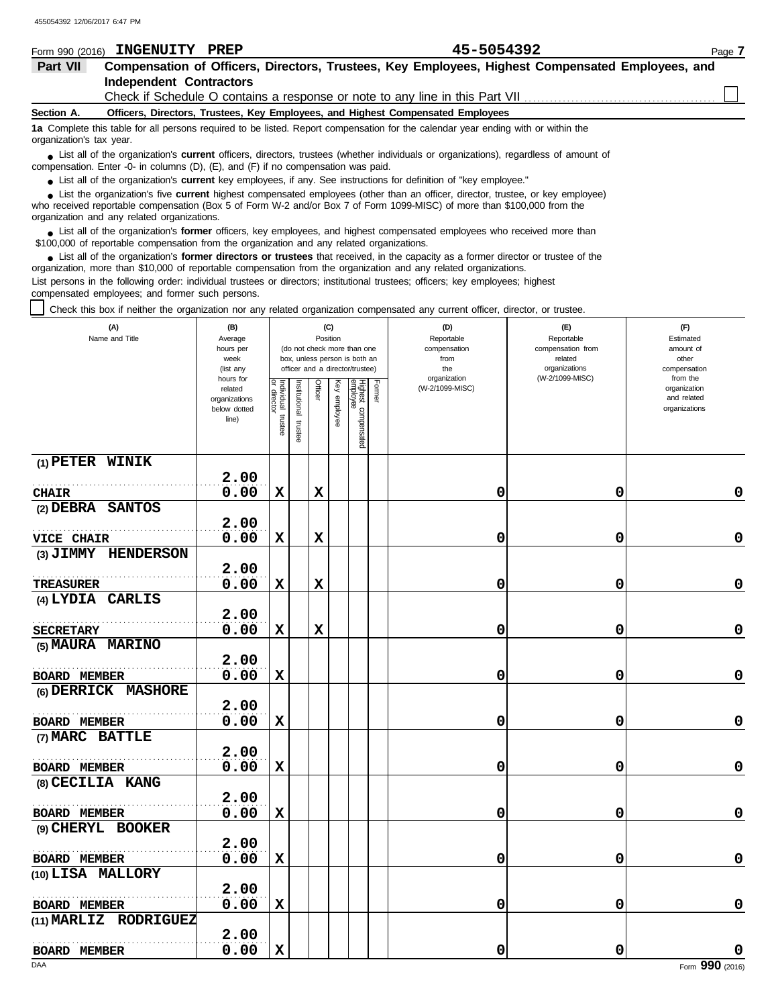|                          | Form 990 (2016) INGENUITY PREP | 45-5054392                                                                                                                                    | Page 7 |
|--------------------------|--------------------------------|-----------------------------------------------------------------------------------------------------------------------------------------------|--------|
| Part VII                 |                                | Compensation of Officers, Directors, Trustees, Key Employees, Highest Compensated Employees, and                                              |        |
|                          | <b>Independent Contractors</b> |                                                                                                                                               |        |
|                          |                                | Check if Schedule O contains a response or note to any line in this Part VII                                                                  |        |
| Section A.               |                                | Officers, Directors, Trustees, Key Employees, and Highest Compensated Employees                                                               |        |
| organization's tax year. |                                | 1a Complete this table for all persons required to be listed. Report compensation for the calendar year ending with or within the             |        |
|                          |                                | • List all of the organization's <b>current</b> officers, directors, trustees (whether individuals or organizations), regardless of amount of |        |

● List all of the organization's **current** officers, directors, trustees (whether ind compensation. Enter -0- in columns (D), (E), and (F) if no compensation was paid.

● List all of the organization's **current** key employees, if any. See instructions for definition of "key employee."

who received reportable compensation (Box 5 of Form W-2 and/or Box 7 of Form 1099-MISC) of more than \$100,000 from the organization and any related organizations. ■ List the organization's five **current** highest compensated employees (other than an officer, director, trustee, or key employee)<br> **•** Pregiund reportable compensation (Box 5 of Ferm W 2 and/or Box 7 of Ferm 1000 MISC) o

■ List all of the organization's **former** officers, key employees, and highest compensated employees who received more than<br> **•** 00.000 of reportable compensation from the examization and any related erganizations \$100,000 of reportable compensation from the organization and any related organizations.

■ List all of the organization's **former directors or trustees** that received, in the capacity as a former director or trustee of the practization more than \$10,000 of reportable compensation from the organization and any organization, more than \$10,000 of reportable compensation from the organization and any related organizations. List persons in the following order: individual trustees or directors; institutional trustees; officers; key employees; highest compensated employees; and former such persons.

Check this box if neither the organization nor any related organization compensated any current officer, director, or trustee.

| (A)<br>Name and Title | (B)<br>Average<br>hours per<br>week<br>(list any               |                                   |                          | Position    | (C)             | (do not check more than one<br>box, unless person is both an<br>officer and a director/trustee) |        | (D)<br>Reportable<br>compensation<br>from<br>the | (E)<br>Reportable<br>compensation from<br>related<br>organizations | (F)<br>Estimated<br>amount of<br>other<br>compensation   |
|-----------------------|----------------------------------------------------------------|-----------------------------------|--------------------------|-------------|-----------------|-------------------------------------------------------------------------------------------------|--------|--------------------------------------------------|--------------------------------------------------------------------|----------------------------------------------------------|
|                       | hours for<br>related<br>organizations<br>below dotted<br>line) | Individual trustee<br>or director | Institutional<br>trustee | Officer     | Key<br>employee | Highest compensated<br>employee                                                                 | Former | organization<br>(W-2/1099-MISC)                  | (W-2/1099-MISC)                                                    | from the<br>organization<br>and related<br>organizations |
| $(1)$ PETER WINIK     | 2.00                                                           |                                   |                          |             |                 |                                                                                                 |        |                                                  |                                                                    |                                                          |
| <b>CHAIR</b>          | 0.00                                                           | $\mathbf x$                       |                          | X           |                 |                                                                                                 |        | 0                                                | 0                                                                  | 0                                                        |
| (2) DEBRA SANTOS      | 2.00                                                           |                                   |                          |             |                 |                                                                                                 |        |                                                  |                                                                    |                                                          |
| VICE CHAIR            | 0.00                                                           | $\mathbf x$                       |                          | $\mathbf x$ |                 |                                                                                                 |        | 0                                                | 0                                                                  | $\mathbf 0$                                              |
| (3) JIMMY HENDERSON   |                                                                |                                   |                          |             |                 |                                                                                                 |        |                                                  |                                                                    |                                                          |
|                       | 2.00                                                           |                                   |                          |             |                 |                                                                                                 |        |                                                  |                                                                    |                                                          |
| TREASURER             | 0.00                                                           | X                                 |                          | X           |                 |                                                                                                 |        | 0                                                | 0                                                                  | 0                                                        |
| (4) LYDIA CARLIS      |                                                                |                                   |                          |             |                 |                                                                                                 |        |                                                  |                                                                    |                                                          |
|                       | 2.00                                                           |                                   |                          |             |                 |                                                                                                 |        |                                                  |                                                                    |                                                          |
| <b>SECRETARY</b>      | 0.00                                                           | X                                 |                          | X           |                 |                                                                                                 |        | 0                                                | 0                                                                  | 0                                                        |
| (5) MAURA MARINO      |                                                                |                                   |                          |             |                 |                                                                                                 |        |                                                  |                                                                    |                                                          |
|                       | 2.00                                                           |                                   |                          |             |                 |                                                                                                 |        |                                                  |                                                                    |                                                          |
| <b>BOARD MEMBER</b>   | 0.00                                                           | $\mathbf x$                       |                          |             |                 |                                                                                                 |        | 0                                                | 0                                                                  | $\mathbf 0$                                              |
| (6) DERRICK MASHORE   |                                                                |                                   |                          |             |                 |                                                                                                 |        |                                                  |                                                                    |                                                          |
|                       | 2.00                                                           |                                   |                          |             |                 |                                                                                                 |        |                                                  |                                                                    |                                                          |
| <b>BOARD MEMBER</b>   | 0.00                                                           | X                                 |                          |             |                 |                                                                                                 |        | 0                                                | 0                                                                  | $\pmb{0}$                                                |
| (7) MARC BATTLE       |                                                                |                                   |                          |             |                 |                                                                                                 |        |                                                  |                                                                    |                                                          |
|                       | 2.00                                                           |                                   |                          |             |                 |                                                                                                 |        |                                                  |                                                                    |                                                          |
| <b>BOARD MEMBER</b>   | 0.00                                                           | $\mathbf x$                       |                          |             |                 |                                                                                                 |        | 0                                                | 0                                                                  | 0                                                        |
| (8) CECILIA KANG      |                                                                |                                   |                          |             |                 |                                                                                                 |        |                                                  |                                                                    |                                                          |
|                       | 2.00                                                           |                                   |                          |             |                 |                                                                                                 |        |                                                  |                                                                    |                                                          |
| <b>BOARD MEMBER</b>   | 0.00                                                           | $\mathbf x$                       |                          |             |                 |                                                                                                 |        | 0                                                | 0                                                                  | 0                                                        |
| (9) CHERYL BOOKER     |                                                                |                                   |                          |             |                 |                                                                                                 |        |                                                  |                                                                    |                                                          |
|                       | 2.00                                                           |                                   |                          |             |                 |                                                                                                 |        |                                                  |                                                                    |                                                          |
| <b>BOARD MEMBER</b>   | 0.00                                                           | X                                 |                          |             |                 |                                                                                                 |        | 0                                                | 0                                                                  | $\mathbf 0$                                              |
| (10) LISA MALLORY     |                                                                |                                   |                          |             |                 |                                                                                                 |        |                                                  |                                                                    |                                                          |
|                       | 2.00                                                           |                                   |                          |             |                 |                                                                                                 |        |                                                  |                                                                    |                                                          |
| <b>BOARD MEMBER</b>   | 0.00                                                           | $\mathbf x$                       |                          |             |                 |                                                                                                 |        | 0                                                | 0                                                                  | 0                                                        |
| (11) MARLIZ RODRIGUEZ |                                                                |                                   |                          |             |                 |                                                                                                 |        |                                                  |                                                                    |                                                          |
|                       | 2.00                                                           |                                   |                          |             |                 |                                                                                                 |        |                                                  |                                                                    |                                                          |
| <b>BOARD MEMBER</b>   | 0.00                                                           | $\mathbf x$                       |                          |             |                 |                                                                                                 |        | 0                                                | 0                                                                  | $\pmb{0}$                                                |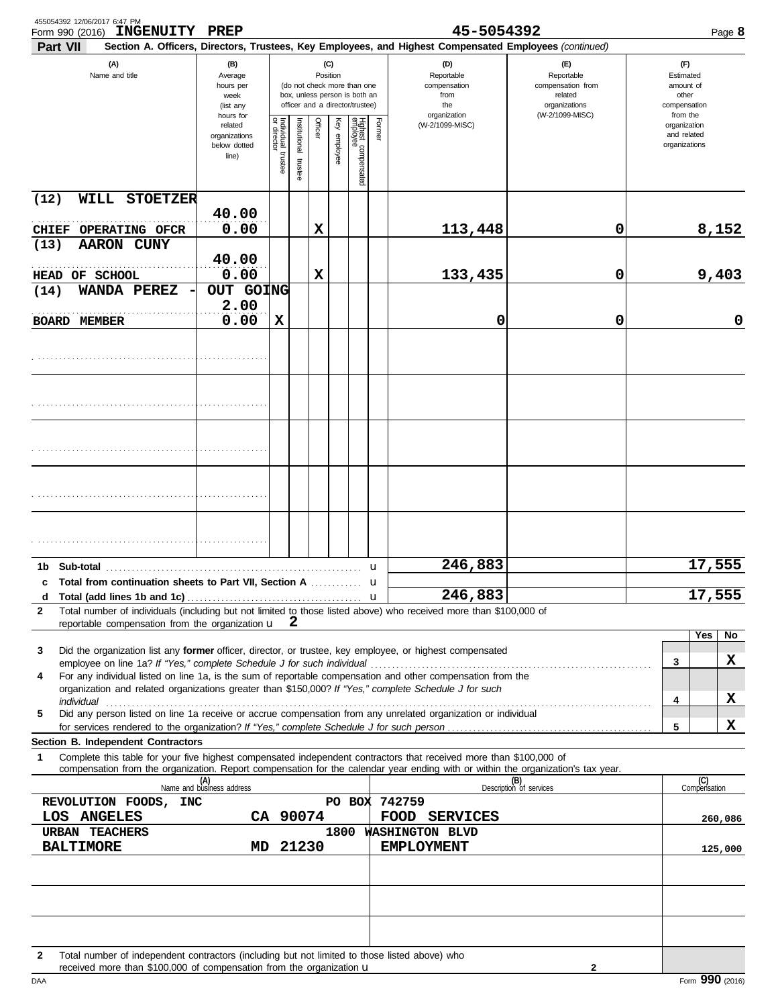| 455054392 12/06/2017 6:47 PM<br><b>INGENUITY PREP</b><br>Form 990 (2016)                                                                                                                                                                                    |                                                                |                                      |                         |                 |                 |                                                                                                 |        | 45-5054392                                                                                             |                                                                    |   | Page 8                                                   |
|-------------------------------------------------------------------------------------------------------------------------------------------------------------------------------------------------------------------------------------------------------------|----------------------------------------------------------------|--------------------------------------|-------------------------|-----------------|-----------------|-------------------------------------------------------------------------------------------------|--------|--------------------------------------------------------------------------------------------------------|--------------------------------------------------------------------|---|----------------------------------------------------------|
| Part VII                                                                                                                                                                                                                                                    |                                                                |                                      |                         |                 |                 |                                                                                                 |        | Section A. Officers, Directors, Trustees, Key Employees, and Highest Compensated Employees (continued) |                                                                    |   |                                                          |
| (A)<br>Name and title                                                                                                                                                                                                                                       | (B)<br>Average<br>hours per<br>week<br>(list any               |                                      |                         | (C)<br>Position |                 | (do not check more than one<br>box, unless person is both an<br>officer and a director/trustee) |        | (D)<br>Reportable<br>compensation<br>from<br>the                                                       | (E)<br>Reportable<br>compensation from<br>related<br>organizations |   | (F)<br>Estimated<br>amount of<br>other<br>compensation   |
|                                                                                                                                                                                                                                                             | hours for<br>related<br>organizations<br>below dotted<br>line) | Individual<br>or director<br>trustee | nstitutional<br>trustee | Officer         | Key<br>employee | Highest compensated<br>employee                                                                 | Former | organization<br>(W-2/1099-MISC)                                                                        | (W-2/1099-MISC)                                                    |   | from the<br>organization<br>and related<br>organizations |
| WILL STOETZER<br>(12)                                                                                                                                                                                                                                       |                                                                |                                      |                         |                 |                 |                                                                                                 |        |                                                                                                        |                                                                    |   |                                                          |
| CHIEF OPERATING OFCR                                                                                                                                                                                                                                        | 40.00<br>0.00                                                  |                                      |                         | х               |                 |                                                                                                 |        | 113,448                                                                                                | 0                                                                  |   | 8,152                                                    |
| (13)<br><b>AARON CUNY</b>                                                                                                                                                                                                                                   |                                                                |                                      |                         |                 |                 |                                                                                                 |        |                                                                                                        |                                                                    |   |                                                          |
| HEAD OF SCHOOL                                                                                                                                                                                                                                              | 40.00<br>0.00                                                  |                                      |                         | X               |                 |                                                                                                 |        | 133,435                                                                                                | 0                                                                  |   | 9,403                                                    |
| WANDA PEREZ<br>(14)                                                                                                                                                                                                                                         | OUT GOING<br>2.00                                              |                                      |                         |                 |                 |                                                                                                 |        |                                                                                                        |                                                                    |   |                                                          |
| <b>BOARD MEMBER</b>                                                                                                                                                                                                                                         | 0.00                                                           | X                                    |                         |                 |                 |                                                                                                 |        | 0                                                                                                      | 0                                                                  |   | 0                                                        |
|                                                                                                                                                                                                                                                             |                                                                |                                      |                         |                 |                 |                                                                                                 |        |                                                                                                        |                                                                    |   |                                                          |
|                                                                                                                                                                                                                                                             |                                                                |                                      |                         |                 |                 |                                                                                                 |        |                                                                                                        |                                                                    |   |                                                          |
|                                                                                                                                                                                                                                                             |                                                                |                                      |                         |                 |                 |                                                                                                 |        |                                                                                                        |                                                                    |   |                                                          |
|                                                                                                                                                                                                                                                             |                                                                |                                      |                         |                 |                 |                                                                                                 |        |                                                                                                        |                                                                    |   |                                                          |
|                                                                                                                                                                                                                                                             |                                                                |                                      |                         |                 |                 |                                                                                                 |        |                                                                                                        |                                                                    |   |                                                          |
|                                                                                                                                                                                                                                                             |                                                                |                                      |                         |                 |                 |                                                                                                 | u      | 246,883                                                                                                |                                                                    |   | 17,555                                                   |
| c Total from continuation sheets to Part VII, Section A<br>d                                                                                                                                                                                                |                                                                |                                      |                         |                 |                 |                                                                                                 | u      | 246,883                                                                                                |                                                                    |   | 17,555                                                   |
| Total number of individuals (including but not limited to those listed above) who received more than \$100,000 of<br>$\mathbf{2}$<br>reportable compensation from the organization $\mathbf{u} \quad \mathbf{2}$                                            |                                                                |                                      |                         |                 |                 |                                                                                                 |        |                                                                                                        |                                                                    |   |                                                          |
|                                                                                                                                                                                                                                                             |                                                                |                                      |                         |                 |                 |                                                                                                 |        |                                                                                                        |                                                                    |   | Yes<br>No                                                |
| Did the organization list any former officer, director, or trustee, key employee, or highest compensated<br>3<br>employee on line 1a? If "Yes," complete Schedule J for such individual                                                                     |                                                                |                                      |                         |                 |                 |                                                                                                 |        |                                                                                                        |                                                                    | 3 | X                                                        |
| For any individual listed on line 1a, is the sum of reportable compensation and other compensation from the<br>4<br>organization and related organizations greater than \$150,000? If "Yes," complete Schedule J for such                                   |                                                                |                                      |                         |                 |                 |                                                                                                 |        |                                                                                                        |                                                                    |   | X                                                        |
| individual<br>Did any person listed on line 1a receive or accrue compensation from any unrelated organization or individual<br>5                                                                                                                            |                                                                |                                      |                         |                 |                 |                                                                                                 |        |                                                                                                        |                                                                    | 4 |                                                          |
| for services rendered to the organization? If "Yes," complete Schedule J for such person.<br>Section B. Independent Contractors                                                                                                                             |                                                                |                                      |                         |                 |                 |                                                                                                 |        |                                                                                                        |                                                                    | 5 | X                                                        |
| Complete this table for your five highest compensated independent contractors that received more than \$100,000 of<br>1<br>compensation from the organization. Report compensation for the calendar year ending with or within the organization's tax year. |                                                                |                                      |                         |                 |                 |                                                                                                 |        |                                                                                                        |                                                                    |   |                                                          |
|                                                                                                                                                                                                                                                             | (A)<br>Name and business address                               |                                      |                         |                 |                 |                                                                                                 |        |                                                                                                        | (B)<br>Description of services                                     |   | (C)<br>Compensation                                      |
| REVOLUTION FOODS, INC<br>LOS ANGELES                                                                                                                                                                                                                        |                                                                |                                      | CA 90074                |                 |                 |                                                                                                 |        | PO BOX 742759<br>FOOD SERVICES                                                                         |                                                                    |   | 260,086                                                  |
| URBAN TEACHERS                                                                                                                                                                                                                                              |                                                                |                                      |                         |                 |                 |                                                                                                 |        | 1800 WASHINGTON BLVD                                                                                   |                                                                    |   |                                                          |
| <b>BALTIMORE</b>                                                                                                                                                                                                                                            | MD.                                                            |                                      | 21230                   |                 |                 |                                                                                                 |        | <b>EMPLOYMENT</b>                                                                                      |                                                                    |   | 125,000                                                  |
|                                                                                                                                                                                                                                                             |                                                                |                                      |                         |                 |                 |                                                                                                 |        |                                                                                                        |                                                                    |   |                                                          |
|                                                                                                                                                                                                                                                             |                                                                |                                      |                         |                 |                 |                                                                                                 |        |                                                                                                        |                                                                    |   |                                                          |
|                                                                                                                                                                                                                                                             |                                                                |                                      |                         |                 |                 |                                                                                                 |        |                                                                                                        |                                                                    |   |                                                          |
| Total number of independent contractors (including but not limited to those listed above) who<br>$\mathbf{2}$<br>received more than \$100,000 of compensation from the organization $\mathbf u$                                                             |                                                                |                                      |                         |                 |                 |                                                                                                 |        |                                                                                                        | 2                                                                  |   |                                                          |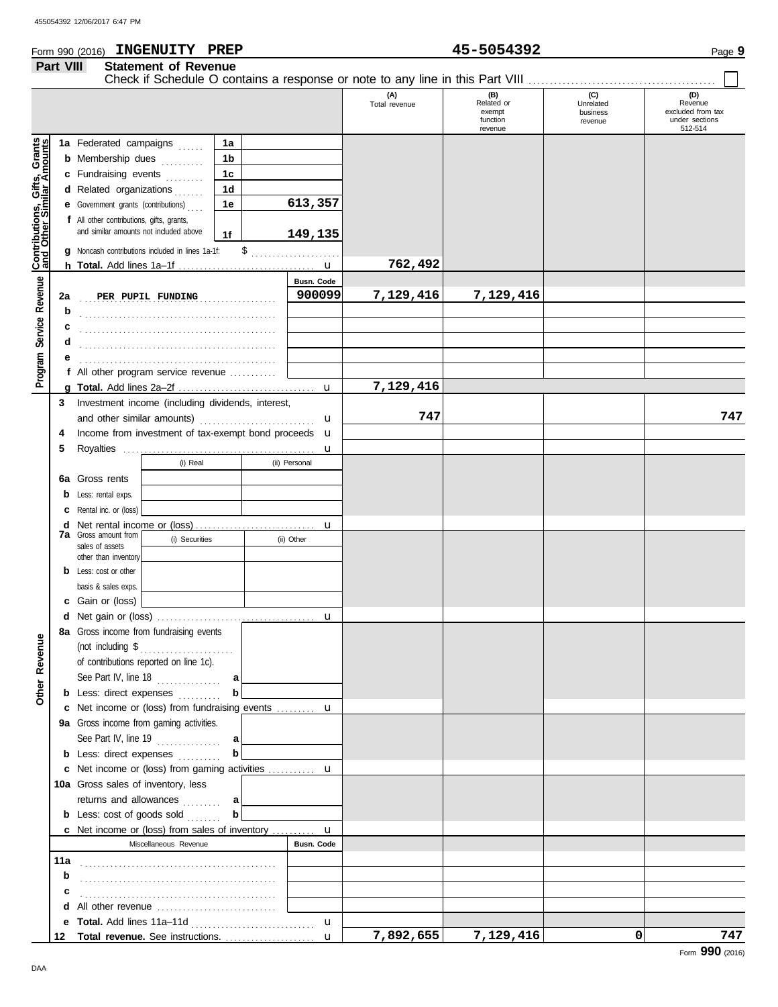## Form 990 (2016) Page **9 INGENUITY PREP 45-5054392 Part VIII Statement of Revenue**

| $45 - 5$ |
|----------|
|          |

Check if Schedule O contains a response or note to any line in this Part VIII . . . . . . . . . . . . . . . . . . . . . . . . . . . . . . . . . . . . . . . . . . . .

|                                                           |     |                                                             |        |               | (A)<br>Total revenue | (B)<br>Related or<br>exempt<br>function<br>revenue | (C)<br>Unrelated<br>business<br>revenue | (D)<br>Revenue<br>excluded from tax<br>under sections<br>512-514 |
|-----------------------------------------------------------|-----|-------------------------------------------------------------|--------|---------------|----------------------|----------------------------------------------------|-----------------------------------------|------------------------------------------------------------------|
|                                                           |     | 1a Federated campaigns                                      | 1a     |               |                      |                                                    |                                         |                                                                  |
|                                                           |     | <b>b</b> Membership dues<br><u>.</u>                        | 1b     |               |                      |                                                    |                                         |                                                                  |
|                                                           |     | c Fundraising events                                        | 1c     |               |                      |                                                    |                                         |                                                                  |
|                                                           |     | d Related organizations                                     | 1d     |               |                      |                                                    |                                         |                                                                  |
|                                                           |     | <b>e</b> Government grants (contributions)<br>1e            |        | 613,357       |                      |                                                    |                                         |                                                                  |
|                                                           |     | f All other contributions, gifts, grants,                   |        |               |                      |                                                    |                                         |                                                                  |
|                                                           |     | and similar amounts not included above                      | 1f     | 149,135       |                      |                                                    |                                         |                                                                  |
| Contributions, Gifts, Grants<br>and Other Similar Amounts | a   | Noncash contributions included in lines 1a-1f:              |        |               |                      |                                                    |                                         |                                                                  |
|                                                           |     |                                                             |        |               | 762,492              |                                                    |                                         |                                                                  |
|                                                           |     |                                                             |        | Busn. Code    |                      |                                                    |                                         |                                                                  |
|                                                           | 2a  | PER PUPIL FUNDING                                           |        | 900099        | 7,129,416            | 7,129,416                                          |                                         |                                                                  |
|                                                           | b   |                                                             |        |               |                      |                                                    |                                         |                                                                  |
| Service Revenue                                           | с   |                                                             |        |               |                      |                                                    |                                         |                                                                  |
|                                                           | d   |                                                             |        |               |                      |                                                    |                                         |                                                                  |
|                                                           | е   |                                                             |        |               |                      |                                                    |                                         |                                                                  |
| Program                                                   |     | f All other program service revenue                         |        |               |                      |                                                    |                                         |                                                                  |
|                                                           |     |                                                             |        |               | 7,129,416            |                                                    |                                         |                                                                  |
|                                                           | 3   | Investment income (including dividends, interest,           |        |               |                      |                                                    |                                         |                                                                  |
|                                                           |     | and other similar amounts)<br>u                             |        | 747           |                      |                                                    | 747                                     |                                                                  |
|                                                           | 4   | Income from investment of tax-exempt bond proceeds <b>u</b> |        |               |                      |                                                    |                                         |                                                                  |
|                                                           | 5   |                                                             |        | u             |                      |                                                    |                                         |                                                                  |
|                                                           |     | (i) Real                                                    |        | (ii) Personal |                      |                                                    |                                         |                                                                  |
|                                                           |     | 6a Gross rents                                              |        |               |                      |                                                    |                                         |                                                                  |
|                                                           | b   | Less: rental exps.                                          |        |               |                      |                                                    |                                         |                                                                  |
|                                                           | c   | Rental inc. or (loss)                                       |        |               |                      |                                                    |                                         |                                                                  |
|                                                           | d   | <b>7a</b> Gross amount from                                 |        | u             |                      |                                                    |                                         |                                                                  |
|                                                           |     | (i) Securities<br>sales of assets                           |        | (ii) Other    |                      |                                                    |                                         |                                                                  |
|                                                           |     | other than inventory                                        |        |               |                      |                                                    |                                         |                                                                  |
|                                                           |     | <b>b</b> Less: cost or other                                |        |               |                      |                                                    |                                         |                                                                  |
|                                                           |     | basis & sales exps.                                         |        |               |                      |                                                    |                                         |                                                                  |
|                                                           |     | <b>c</b> Gain or (loss)                                     |        |               |                      |                                                    |                                         |                                                                  |
|                                                           | d   |                                                             |        | u             |                      |                                                    |                                         |                                                                  |
|                                                           |     | 8a Gross income from fundraising events                     |        |               |                      |                                                    |                                         |                                                                  |
| venue                                                     |     | (not including \$                                           |        |               |                      |                                                    |                                         |                                                                  |
| <b>Re</b>                                                 |     | of contributions reported on line 1c).                      |        |               |                      |                                                    |                                         |                                                                  |
| Other                                                     |     | See Part IV, line 18<br><b>b</b> Less: direct expenses      | a<br>b |               |                      |                                                    |                                         |                                                                  |
|                                                           |     | c Net income or (loss) from fundraising events  u           |        |               |                      |                                                    |                                         |                                                                  |
|                                                           |     | 9a Gross income from gaming activities.                     |        |               |                      |                                                    |                                         |                                                                  |
|                                                           |     | See Part IV, line 19 $\ldots$                               | a      |               |                      |                                                    |                                         |                                                                  |
|                                                           |     | <b>b</b> Less: direct expenses                              | b      |               |                      |                                                    |                                         |                                                                  |
|                                                           |     | c Net income or (loss) from gaming activities  u            |        |               |                      |                                                    |                                         |                                                                  |
|                                                           |     | 10a Gross sales of inventory, less                          |        |               |                      |                                                    |                                         |                                                                  |
|                                                           |     | returns and allowances                                      | a      |               |                      |                                                    |                                         |                                                                  |
|                                                           |     | <b>b</b> Less: cost of goods sold                           | b      |               |                      |                                                    |                                         |                                                                  |
|                                                           |     | c Net income or (loss) from sales of inventory  u           |        |               |                      |                                                    |                                         |                                                                  |
|                                                           |     | Miscellaneous Revenue                                       |        | Busn. Code    |                      |                                                    |                                         |                                                                  |
|                                                           | 11a |                                                             |        |               |                      |                                                    |                                         |                                                                  |
|                                                           | b   |                                                             |        |               |                      |                                                    |                                         |                                                                  |
|                                                           | c   |                                                             |        |               |                      |                                                    |                                         |                                                                  |
|                                                           | d   | All other revenue                                           |        |               |                      |                                                    |                                         |                                                                  |
|                                                           | е   | <b>Total.</b> Add lines 11a-11d                             |        | u             |                      |                                                    |                                         |                                                                  |
|                                                           | 12  |                                                             |        |               | 7,892,655            | 7,129,416                                          | $\mathbf{0}$                            | 747                                                              |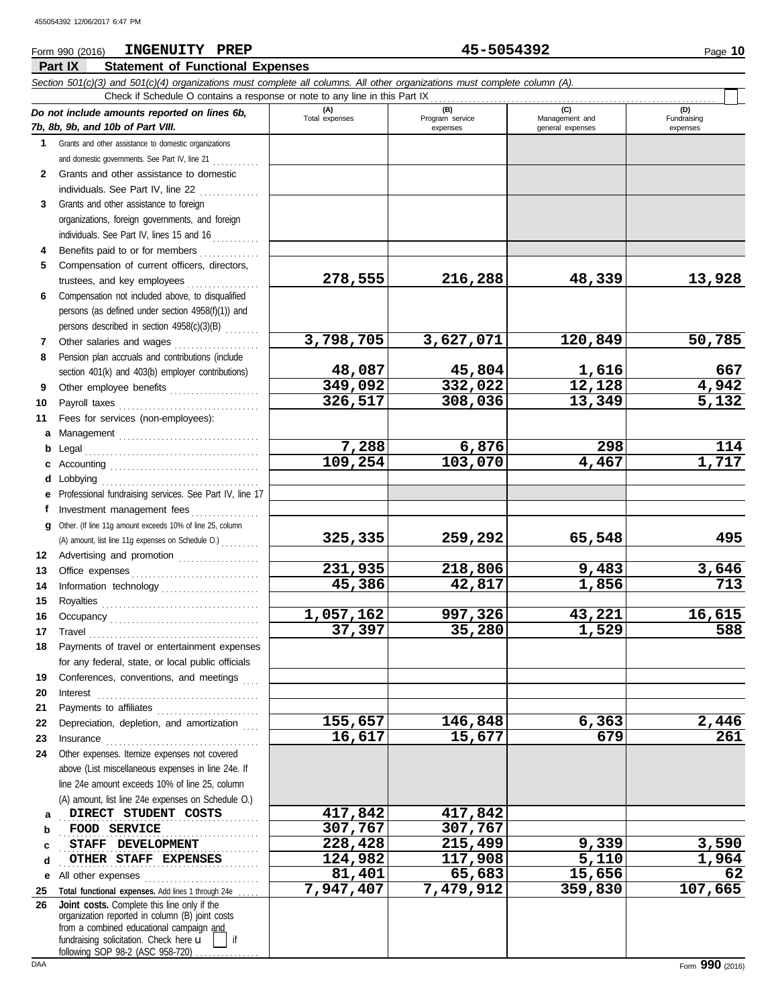#### **Part IX Statement of Functional Expenses** Form 990 (2016) Page **10 INGENUITY PREP 45-5054392** *Section 501(c)(3) and 501(c)(4) organizations must complete all columns. All other organizations must complete column (A). Do not include amounts reported on lines 6b, 7b, 8b, 9b, and 10b of Part VIII.* **1 2** Grants and other assistance to domestic organizations and domestic governments. See Part IV, line 21 ............ Grants and other assistance to domestic individuals. See Part IV, line 22 . . . . . . . . . . . . . **(A) (B) (C) (D)** Total expenses Program service Management and expenses and general expenses Check if Schedule O contains a response or note to any line in this Part IX

**326,517 308,036 13,349 5,132**

- **3 4** Grants and other assistance to foreign organizations, foreign governments, and foreign individuals. See Part IV, lines 15 and 16
- **5** Benefits paid to or for members . . . . . . . . . . . . . Compensation of current officers, directors, trustees, and key employees . . . . . . . . . . . . . . . . .
- **6** Compensation not included above, to disqualified persons (as defined under section 4958(f)(1)) and persons described in section 4958(c)(3)(B) . . . . . . . .
- **7 8** Other salaries and wages . . . . . . . . . . . . . . . . . . . . Pension plan accruals and contributions (include section 401(k) and 403(b) employer contributions)
- **9 10 11** Other employee benefits ..................... Payroll taxes . . . . . . . . . . . . . . . . . . . . . . . . . . . . . . . . . Fees for services (non-employees):
- **a** Management . . . . . . . . . . . . . . . . . . . . . . . . . . . . . . . . . **b** Legal . . . . . . . . . . . . . . . . . . . . . . . . . . . . . . . . . . . . . . . . . **c** Accounting . . . . . . . . . . . . . . . . . . . . . . . . . . . . . . . . . . .
- **d** Lobbying . . . . . . . . . . . . . . . . . . . . . . . . . . . . . . . . . . . . . **e f g** Other. (If line 11g amount exceeds 10% of line 25, column **12** Advertising and promotion . . . . . . . . . . . . . . . . . . . Professional fundraising services. See Part IV, line 17 Investment management fees ................ (A) amount, list line 11g expenses on Schedule O.) . . . . . . . . .
- **13 14 15 16 17 18** Office expenses . . . . . . . . . . . . . . . . . . . . . . . . . . . . . . Information technology . . . . . . . . . . . . . . . . . . . . . . . Royalties . . . . . . . . . . . . . . . . . . . . . . . . . . . . . . . . . . . . . Occupancy . . . . . . . . . . . . . . . . . . . . . . . . . . . . . . . . . . . Travel . . . . . . . . . . . . . . . . . . . . . . . . . . . . . . . . . . . . . . . . Payments of travel or entertainment expenses for any federal, state, or local public officials
- **19 20 21 22 23** Conferences, conventions, and meetings Interest . . . . . . . . . . . . . . . . . . . . . . . . . . . . . . . . . . . . . . Payments to affiliates . . . . . . . . . . . . . . . . . . . . . . . . Depreciation, depletion, and amortization
- **24 a** Insurance . . . . . . . . . . . . . . . . . . . . . . . . . . . . . . . . . . . . Other expenses. Itemize expenses not covered above (List miscellaneous expenses in line 24e. If line 24e amount exceeds 10% of line 25, column (A) amount, list line 24e expenses on Schedule O.) **DIRECT STUDENT COSTS 417,842 417,842**
- **b c d e** All other expenses . . . . . . . . . . . . . . . . . . . . . . . . . . . . . . . . . . . . . . . . . . . . . . . . . . . . . . . . . . . . . . . . . . . . . . . . . . **FOOD SERVICE 307,767 307,767** . . . . . . . . . . . . . . . . . . . . . . . . . . . . . . . . . . . . . . . . . . . . . . . **STAFF DEVELOPMENT 228,428 215,499 9,339 3,590** . . . . . . . . . . . . . . . . . . . . . . . . . . . . . . . . . . . . . . . . . . . . . . . **OTHER STAFF EXPENSES 124,982 117,908 5,110 1,964**

**25 26** Total functional expenses. Add lines 1 through 24e . fundraising solicitation. Check here  $\mathbf u$ organization reported in column (B) joint costs from a combined educational campaign and following SOP 98-2 (ASC 958-720) **Joint costs.** Complete this line only if the

(D)<br>Fundraising expenses

**278,555 216,288 48,339 13,928**

**3,798,705 3,627,071 120,849 50,785**

**48,087 45,804 1,616 667 349,092 332,022 12,128 4,942**

**7,288 6,876 298 114 109,254 103,070 4,467 1,717**

**325,335 259,292 65,548 495**

**231,935 218,806 9,483 3,646 45,386 42,817 1,856 713**

**1,057,162 997,326 43,221 16,615 37,397 35,280 1,529 588**

**155,657 146,848 6,363 2,446 16,617 15,677 679 261**

**81,401 65,683 15,656 62**

**7,947,407 7,479,912 359,830 107,665**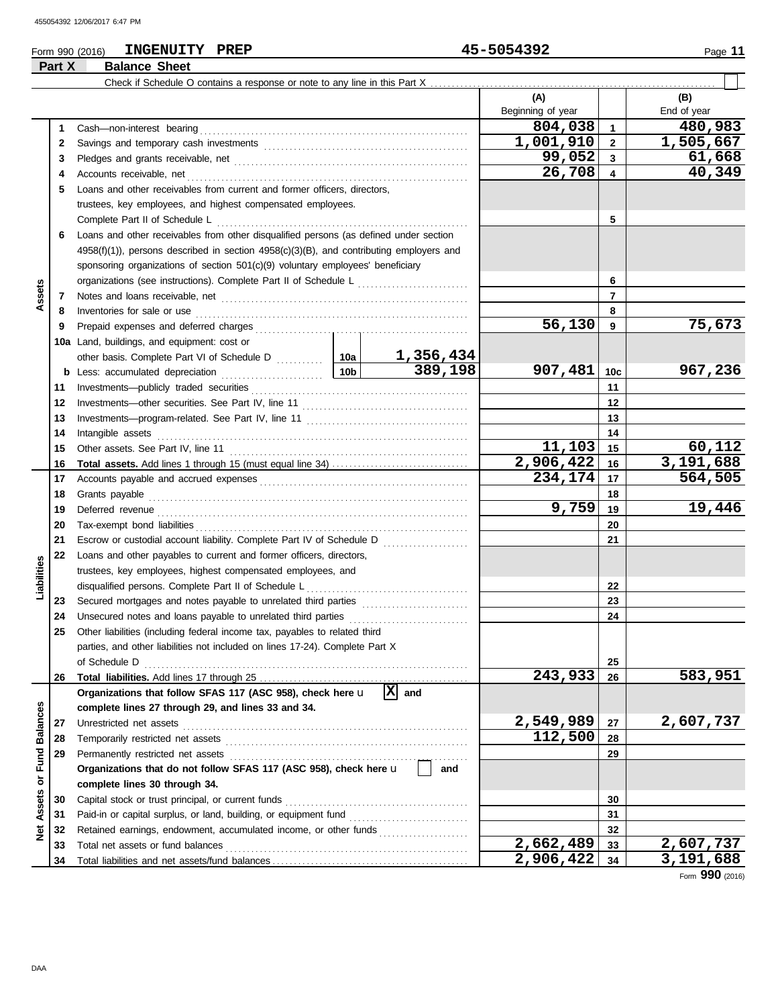**Part X Balance Sheet**

# Form 990 (2016) Page **11 INGENUITY PREP 45-5054392**

|                      |    |                                                                                               |           |                             | (A)<br>Beginning of year |                 | (B)<br>End of year |
|----------------------|----|-----------------------------------------------------------------------------------------------|-----------|-----------------------------|--------------------------|-----------------|--------------------|
|                      | 1  | Cash-non-interest bearing                                                                     |           |                             | 804,038                  | $\overline{1}$  | 480,983            |
|                      | 2  |                                                                                               |           |                             | 1,001,910                | $\overline{2}$  | 1,505,667          |
|                      | 3  |                                                                                               | 99,052    | $\overline{\mathbf{3}}$     | 61,668                   |                 |                    |
|                      | 4  | Accounts receivable, net                                                                      | 26,708    | $\overline{\mathbf{4}}$     | 40,349                   |                 |                    |
|                      | 5  | Loans and other receivables from current and former officers, directors,                      |           |                             |                          |                 |                    |
|                      |    | trustees, key employees, and highest compensated employees.                                   |           |                             |                          |                 |                    |
|                      |    | Complete Part II of Schedule L                                                                |           | 5                           |                          |                 |                    |
|                      | 6  | Loans and other receivables from other disqualified persons (as defined under section         |           |                             |                          |                 |                    |
|                      |    | $4958(f)(1)$ ), persons described in section $4958(c)(3)(B)$ , and contributing employers and |           |                             |                          |                 |                    |
|                      |    | sponsoring organizations of section 501(c)(9) voluntary employees' beneficiary                |           |                             |                          |                 |                    |
|                      |    |                                                                                               |           |                             |                          | 6               |                    |
| Assets               | 7  |                                                                                               |           |                             |                          | $\overline{7}$  |                    |
|                      | 8  | Inventories for sale or use                                                                   |           |                             |                          | 8               |                    |
|                      | 9  | Prepaid expenses and deferred charges                                                         |           |                             | 56,130                   | 9               | 75,673             |
|                      |    | 10a Land, buildings, and equipment: cost or                                                   |           |                             |                          |                 |                    |
|                      |    | other basis. Complete Part VI of Schedule D [102]                                             |           | <u>1,356,434</u>            |                          |                 |                    |
|                      |    | <b>b</b> Less: accumulated depreciation                                                       | 10bl      | 389,198                     | 907,481                  | 10 <sub>c</sub> | 967,236            |
|                      | 11 | Investments-publicly traded securities                                                        |           |                             |                          | 11              |                    |
|                      | 12 |                                                                                               |           |                             |                          | 12              |                    |
|                      | 13 |                                                                                               |           |                             |                          | 13              |                    |
|                      | 14 | Intangible assets                                                                             |           | 14                          |                          |                 |                    |
|                      | 15 | Other assets. See Part IV, line 11                                                            | 11,103    | 15                          | 60,112                   |                 |                    |
|                      | 16 |                                                                                               |           |                             | 2,906,422                | 16              | 3,191,688          |
|                      | 17 |                                                                                               | 234,174   | 17                          | 564,505                  |                 |                    |
|                      | 18 | Grants payable                                                                                |           | 18                          |                          |                 |                    |
|                      | 19 | Deferred revenue                                                                              |           |                             | 9,759                    | 19              | 19,446             |
|                      | 20 |                                                                                               |           | 20                          |                          |                 |                    |
|                      | 21 | Escrow or custodial account liability. Complete Part IV of Schedule D                         |           |                             |                          | 21              |                    |
|                      | 22 | Loans and other payables to current and former officers, directors,                           |           |                             |                          |                 |                    |
| Liabilities          |    | trustees, key employees, highest compensated employees, and                                   |           |                             |                          |                 |                    |
|                      |    | disqualified persons. Complete Part II of Schedule L                                          |           |                             |                          | 22              |                    |
|                      | 23 | Secured mortgages and notes payable to unrelated third parties                                |           |                             |                          | 23              |                    |
|                      | 24 | Unsecured notes and loans payable to unrelated third parties                                  |           |                             |                          | 24              |                    |
|                      | 25 | Other liabilities (including federal income tax, payables to related third                    |           |                             |                          |                 |                    |
|                      |    | parties, and other liabilities not included on lines 17-24). Complete Part X                  |           |                             |                          |                 |                    |
|                      |    | of Schedule D                                                                                 |           |                             | 243,933                  | 25<br>26        | 583,951            |
|                      | 26 | Organizations that follow SFAS 117 (ASC 958), check here u                                    |           | $\overline{\mathbf{X}}$ and |                          |                 |                    |
|                      |    | complete lines 27 through 29, and lines 33 and 34.                                            |           |                             |                          |                 |                    |
|                      | 27 | Unrestricted net assets                                                                       |           |                             | 2,549,989                | 27              | 2,607,737          |
|                      | 28 | Temporarily restricted net assets                                                             |           |                             | 112,500                  | 28              |                    |
|                      | 29 | Permanently restricted net assets                                                             |           |                             |                          | 29              |                    |
| <b>Fund Balances</b> |    | Organizations that do not follow SFAS 117 (ASC 958), check here u                             |           | and                         |                          |                 |                    |
| ৯                    |    | complete lines 30 through 34.                                                                 |           |                             |                          |                 |                    |
|                      | 30 | Capital stock or trust principal, or current funds                                            |           |                             |                          | 30              |                    |
| Assets               | 31 | Paid-in or capital surplus, or land, building, or equipment fund                              |           |                             |                          | 31              |                    |
| $\breve{\mathbf{z}}$ | 32 | Retained earnings, endowment, accumulated income, or other funds                              |           |                             |                          | 32              |                    |
|                      | 33 | Total net assets or fund balances                                                             |           |                             | 2,662,489                | 33              | 2,607,737          |
|                      | 34 |                                                                                               | 2,906,422 | 34                          | 3,191,688                |                 |                    |

Form **990** (2016)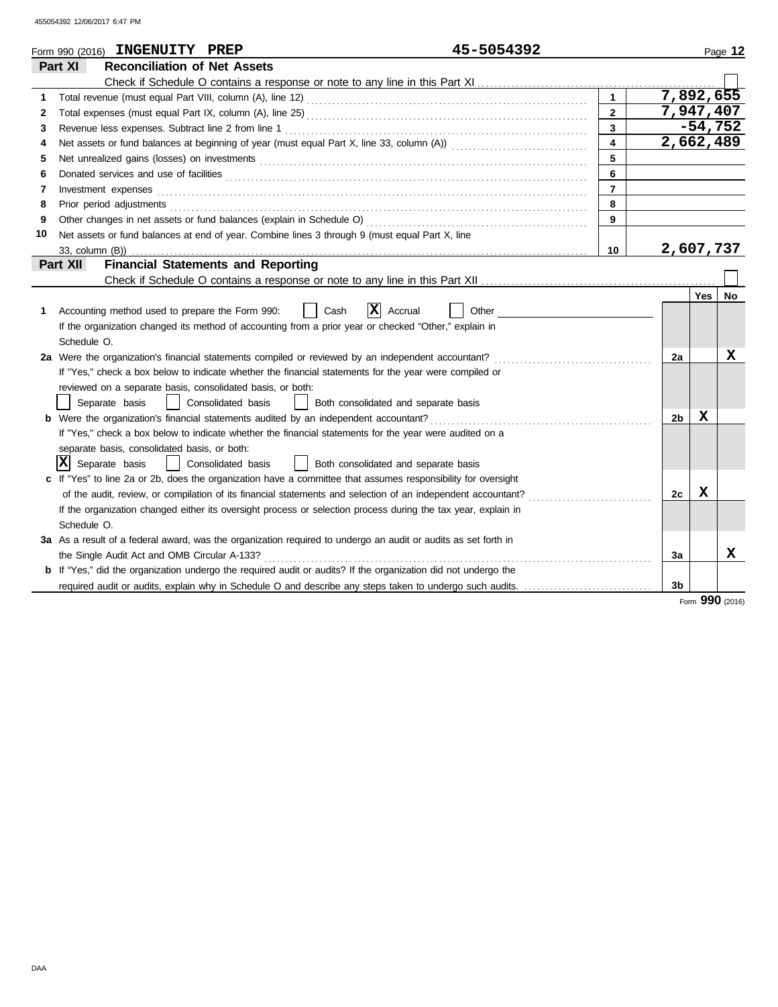| <b>Reconciliation of Net Assets</b><br>Part XI<br>7,892,655<br>1<br>1<br>7,947,407<br>$\overline{2}$<br>2<br>$\overline{\mathbf{3}}$<br>$-54,752$<br>3<br>$\overline{\mathbf{4}}$<br>2,662,489<br>4<br>5<br>5<br>6<br>Donated services and use of facilities <b>constants and interview of the service of facilities</b><br>6<br>$\overline{7}$<br>Investment expenses <b>contract and the expenses</b><br>7<br>8<br>Prior period adjustments entertainments and a statement of the statement of the statement of the statements of<br>8<br>9<br>9<br>Net assets or fund balances at end of year. Combine lines 3 through 9 (must equal Part X, line<br>10<br>2,607,737<br>10 | Page 12 |
|-------------------------------------------------------------------------------------------------------------------------------------------------------------------------------------------------------------------------------------------------------------------------------------------------------------------------------------------------------------------------------------------------------------------------------------------------------------------------------------------------------------------------------------------------------------------------------------------------------------------------------------------------------------------------------|---------|
|                                                                                                                                                                                                                                                                                                                                                                                                                                                                                                                                                                                                                                                                               |         |
|                                                                                                                                                                                                                                                                                                                                                                                                                                                                                                                                                                                                                                                                               |         |
|                                                                                                                                                                                                                                                                                                                                                                                                                                                                                                                                                                                                                                                                               |         |
|                                                                                                                                                                                                                                                                                                                                                                                                                                                                                                                                                                                                                                                                               |         |
|                                                                                                                                                                                                                                                                                                                                                                                                                                                                                                                                                                                                                                                                               |         |
|                                                                                                                                                                                                                                                                                                                                                                                                                                                                                                                                                                                                                                                                               |         |
|                                                                                                                                                                                                                                                                                                                                                                                                                                                                                                                                                                                                                                                                               |         |
|                                                                                                                                                                                                                                                                                                                                                                                                                                                                                                                                                                                                                                                                               |         |
|                                                                                                                                                                                                                                                                                                                                                                                                                                                                                                                                                                                                                                                                               |         |
|                                                                                                                                                                                                                                                                                                                                                                                                                                                                                                                                                                                                                                                                               |         |
|                                                                                                                                                                                                                                                                                                                                                                                                                                                                                                                                                                                                                                                                               |         |
|                                                                                                                                                                                                                                                                                                                                                                                                                                                                                                                                                                                                                                                                               |         |
|                                                                                                                                                                                                                                                                                                                                                                                                                                                                                                                                                                                                                                                                               |         |
| Part XII<br><b>Financial Statements and Reporting</b>                                                                                                                                                                                                                                                                                                                                                                                                                                                                                                                                                                                                                         |         |
|                                                                                                                                                                                                                                                                                                                                                                                                                                                                                                                                                                                                                                                                               |         |
| Yes                                                                                                                                                                                                                                                                                                                                                                                                                                                                                                                                                                                                                                                                           | No      |
| X <br>Accounting method used to prepare the Form 990:<br>Cash<br>Accrual<br>Other<br>1.                                                                                                                                                                                                                                                                                                                                                                                                                                                                                                                                                                                       |         |
| If the organization changed its method of accounting from a prior year or checked "Other," explain in                                                                                                                                                                                                                                                                                                                                                                                                                                                                                                                                                                         |         |
| Schedule O.                                                                                                                                                                                                                                                                                                                                                                                                                                                                                                                                                                                                                                                                   |         |
| 2a Were the organization's financial statements compiled or reviewed by an independent accountant?<br>2a                                                                                                                                                                                                                                                                                                                                                                                                                                                                                                                                                                      | x       |
| If "Yes," check a box below to indicate whether the financial statements for the year were compiled or                                                                                                                                                                                                                                                                                                                                                                                                                                                                                                                                                                        |         |
| reviewed on a separate basis, consolidated basis, or both:                                                                                                                                                                                                                                                                                                                                                                                                                                                                                                                                                                                                                    |         |
| Separate basis<br>Consolidated basis<br>Both consolidated and separate basis                                                                                                                                                                                                                                                                                                                                                                                                                                                                                                                                                                                                  |         |
| x<br><b>b</b> Were the organization's financial statements audited by an independent accountant?<br>2 <sub>b</sub>                                                                                                                                                                                                                                                                                                                                                                                                                                                                                                                                                            |         |
| If "Yes," check a box below to indicate whether the financial statements for the year were audited on a                                                                                                                                                                                                                                                                                                                                                                                                                                                                                                                                                                       |         |
| separate basis, consolidated basis, or both:                                                                                                                                                                                                                                                                                                                                                                                                                                                                                                                                                                                                                                  |         |
| x <br>Separate basis<br>Consolidated basis<br>Both consolidated and separate basis                                                                                                                                                                                                                                                                                                                                                                                                                                                                                                                                                                                            |         |
| c If "Yes" to line 2a or 2b, does the organization have a committee that assumes responsibility for oversight                                                                                                                                                                                                                                                                                                                                                                                                                                                                                                                                                                 |         |
| х<br>of the audit, review, or compilation of its financial statements and selection of an independent accountant?<br>2c                                                                                                                                                                                                                                                                                                                                                                                                                                                                                                                                                       |         |
| If the organization changed either its oversight process or selection process during the tax year, explain in                                                                                                                                                                                                                                                                                                                                                                                                                                                                                                                                                                 |         |
| Schedule O.                                                                                                                                                                                                                                                                                                                                                                                                                                                                                                                                                                                                                                                                   |         |
| 3a As a result of a federal award, was the organization required to undergo an audit or audits as set forth in                                                                                                                                                                                                                                                                                                                                                                                                                                                                                                                                                                |         |
| the Single Audit Act and OMB Circular A-133?<br>3a                                                                                                                                                                                                                                                                                                                                                                                                                                                                                                                                                                                                                            | X       |
| b If "Yes," did the organization undergo the required audit or audits? If the organization did not undergo the                                                                                                                                                                                                                                                                                                                                                                                                                                                                                                                                                                |         |
| required audit or audits, explain why in Schedule O and describe any steps taken to undergo such audits.<br>3 <sub>b</sub>                                                                                                                                                                                                                                                                                                                                                                                                                                                                                                                                                    |         |

Form **990** (2016)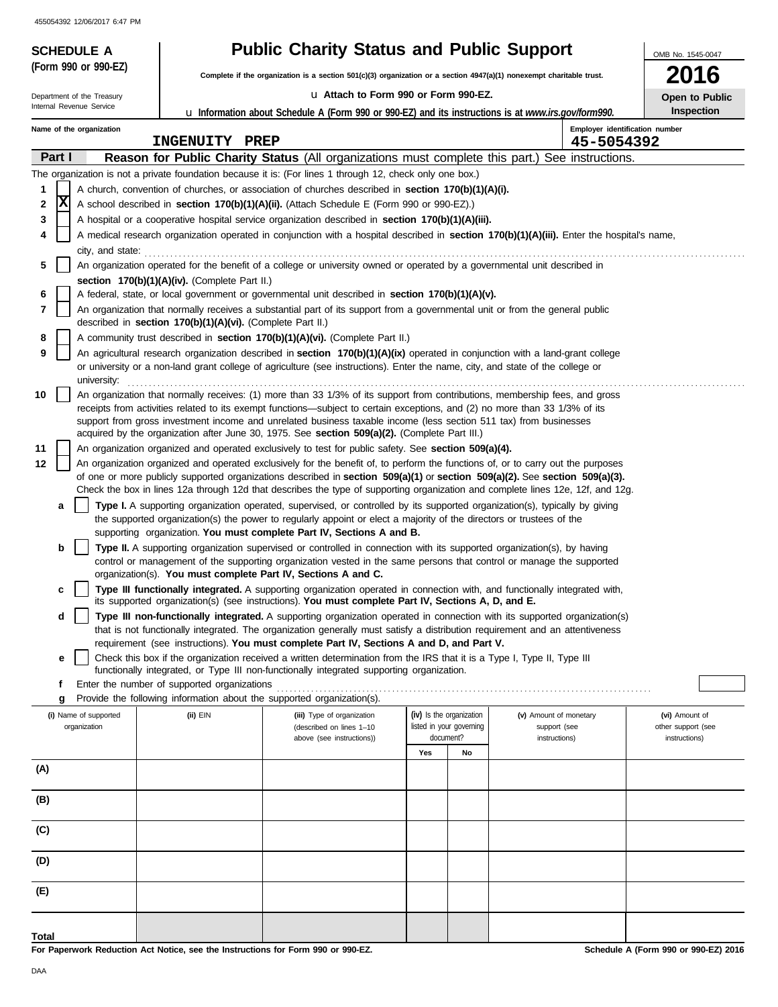Internal Revenue Service Department of the Treasury

**(Form 990 or 990-EZ)**

# **SCHEDULE A Public Charity Status and Public Support**

**Complete if the organization is a section 501(c)(3) organization or a section 4947(a)(1) nonexempt charitable trust.**

#### u **Attach to Form 990 or Form 990-EZ.**

u **Information about Schedule A (Form 990 or 990-EZ) and its instructions is at** *www.irs.gov/form990.*

| 2016                                       |
|--------------------------------------------|
| <b>Open to Public</b><br><b>Inspection</b> |
|                                            |

OMB No. 1545-0047

|              |                                                                                            |                                       |                                                                        | <b>u</b> information about Scributiful A (Form 770 or 770-LL) and its instructions is at <i>www.irs.gov/form770.</i>                                                                                                                                                   |     |                                                      |                                        |                                      |
|--------------|--------------------------------------------------------------------------------------------|---------------------------------------|------------------------------------------------------------------------|------------------------------------------------------------------------------------------------------------------------------------------------------------------------------------------------------------------------------------------------------------------------|-----|------------------------------------------------------|----------------------------------------|--------------------------------------|
|              | Employer identification number<br>Name of the organization<br>INGENUITY PREP<br>45-5054392 |                                       |                                                                        |                                                                                                                                                                                                                                                                        |     |                                                      |                                        |                                      |
|              | Part I                                                                                     |                                       |                                                                        | Reason for Public Charity Status (All organizations must complete this part.)                                                                                                                                                                                          |     |                                                      | See instructions.                      |                                      |
|              |                                                                                            |                                       |                                                                        | The organization is not a private foundation because it is: (For lines 1 through 12, check only one box.)                                                                                                                                                              |     |                                                      |                                        |                                      |
| 1            |                                                                                            |                                       |                                                                        | A church, convention of churches, or association of churches described in <b>section 170(b)(1)(A)(i).</b>                                                                                                                                                              |     |                                                      |                                        |                                      |
| 2            | X                                                                                          |                                       |                                                                        | A school described in <b>section 170(b)(1)(A)(ii).</b> (Attach Schedule E (Form 990 or 990-EZ).)                                                                                                                                                                       |     |                                                      |                                        |                                      |
| 3            |                                                                                            |                                       |                                                                        | A hospital or a cooperative hospital service organization described in section 170(b)(1)(A)(iii).                                                                                                                                                                      |     |                                                      |                                        |                                      |
| 4            |                                                                                            |                                       |                                                                        | A medical research organization operated in conjunction with a hospital described in section 170(b)(1)(A)(iii). Enter the hospital's name,                                                                                                                             |     |                                                      |                                        |                                      |
|              |                                                                                            | city, and state:                      |                                                                        |                                                                                                                                                                                                                                                                        |     |                                                      |                                        |                                      |
| 5            |                                                                                            |                                       |                                                                        | An organization operated for the benefit of a college or university owned or operated by a governmental unit described in                                                                                                                                              |     |                                                      |                                        |                                      |
|              |                                                                                            |                                       | section 170(b)(1)(A)(iv). (Complete Part II.)                          |                                                                                                                                                                                                                                                                        |     |                                                      |                                        |                                      |
| 6            |                                                                                            |                                       |                                                                        | A federal, state, or local government or governmental unit described in section 170(b)(1)(A)(v).                                                                                                                                                                       |     |                                                      |                                        |                                      |
| 7            |                                                                                            |                                       | described in section 170(b)(1)(A)(vi). (Complete Part II.)             | An organization that normally receives a substantial part of its support from a governmental unit or from the general public                                                                                                                                           |     |                                                      |                                        |                                      |
| 8            |                                                                                            |                                       |                                                                        | A community trust described in section 170(b)(1)(A)(vi). (Complete Part II.)                                                                                                                                                                                           |     |                                                      |                                        |                                      |
| 9            |                                                                                            |                                       |                                                                        | An agricultural research organization described in section 170(b)(1)(A)(ix) operated in conjunction with a land-grant college                                                                                                                                          |     |                                                      |                                        |                                      |
|              |                                                                                            | university:                           |                                                                        | or university or a non-land grant college of agriculture (see instructions). Enter the name, city, and state of the college or                                                                                                                                         |     |                                                      |                                        |                                      |
| 10           |                                                                                            |                                       |                                                                        | An organization that normally receives: (1) more than 33 1/3% of its support from contributions, membership fees, and gross                                                                                                                                            |     |                                                      |                                        |                                      |
|              |                                                                                            |                                       |                                                                        | receipts from activities related to its exempt functions—subject to certain exceptions, and (2) no more than 33 1/3% of its                                                                                                                                            |     |                                                      |                                        |                                      |
|              |                                                                                            |                                       |                                                                        | support from gross investment income and unrelated business taxable income (less section 511 tax) from businesses                                                                                                                                                      |     |                                                      |                                        |                                      |
|              |                                                                                            |                                       |                                                                        | acquired by the organization after June 30, 1975. See section 509(a)(2). (Complete Part III.)                                                                                                                                                                          |     |                                                      |                                        |                                      |
| 11           |                                                                                            |                                       |                                                                        | An organization organized and operated exclusively to test for public safety. See section 509(a)(4).                                                                                                                                                                   |     |                                                      |                                        |                                      |
| 12           |                                                                                            |                                       |                                                                        | An organization organized and operated exclusively for the benefit of, to perform the functions of, or to carry out the purposes                                                                                                                                       |     |                                                      |                                        |                                      |
|              |                                                                                            |                                       |                                                                        | of one or more publicly supported organizations described in section $509(a)(1)$ or section $509(a)(2)$ . See section $509(a)(3)$ .<br>Check the box in lines 12a through 12d that describes the type of supporting organization and complete lines 12e, 12f, and 12g. |     |                                                      |                                        |                                      |
|              | а                                                                                          |                                       |                                                                        | Type I. A supporting organization operated, supervised, or controlled by its supported organization(s), typically by giving                                                                                                                                            |     |                                                      |                                        |                                      |
|              |                                                                                            |                                       |                                                                        | the supported organization(s) the power to regularly appoint or elect a majority of the directors or trustees of the<br>supporting organization. You must complete Part IV, Sections A and B.                                                                          |     |                                                      |                                        |                                      |
|              | b                                                                                          |                                       |                                                                        | <b>Type II.</b> A supporting organization supervised or controlled in connection with its supported organization(s), by having                                                                                                                                         |     |                                                      |                                        |                                      |
|              |                                                                                            |                                       |                                                                        | control or management of the supporting organization vested in the same persons that control or manage the supported                                                                                                                                                   |     |                                                      |                                        |                                      |
|              |                                                                                            |                                       | organization(s). You must complete Part IV, Sections A and C.          |                                                                                                                                                                                                                                                                        |     |                                                      |                                        |                                      |
|              | c                                                                                          |                                       |                                                                        | Type III functionally integrated. A supporting organization operated in connection with, and functionally integrated with,<br>its supported organization(s) (see instructions). You must complete Part IV, Sections A, D, and E.                                       |     |                                                      |                                        |                                      |
|              | d                                                                                          |                                       |                                                                        | Type III non-functionally integrated. A supporting organization operated in connection with its supported organization(s)                                                                                                                                              |     |                                                      |                                        |                                      |
|              |                                                                                            |                                       |                                                                        | that is not functionally integrated. The organization generally must satisfy a distribution requirement and an attentiveness                                                                                                                                           |     |                                                      |                                        |                                      |
|              |                                                                                            |                                       |                                                                        | requirement (see instructions). You must complete Part IV, Sections A and D, and Part V.                                                                                                                                                                               |     |                                                      |                                        |                                      |
|              | е                                                                                          |                                       |                                                                        | Check this box if the organization received a written determination from the IRS that it is a Type I, Type II, Type III                                                                                                                                                |     |                                                      |                                        |                                      |
|              |                                                                                            |                                       |                                                                        | functionally integrated, or Type III non-functionally integrated supporting organization.                                                                                                                                                                              |     |                                                      |                                        |                                      |
|              |                                                                                            |                                       | Enter the number of supported organizations                            |                                                                                                                                                                                                                                                                        |     |                                                      |                                        |                                      |
|              | g                                                                                          |                                       | Provide the following information about the supported organization(s). |                                                                                                                                                                                                                                                                        |     |                                                      |                                        |                                      |
|              |                                                                                            | (i) Name of supported<br>organization | (ii) EIN                                                               | (iii) Type of organization<br>(described on lines 1-10                                                                                                                                                                                                                 |     | (iv) Is the organization<br>listed in your governing | (v) Amount of monetary<br>support (see | (vi) Amount of<br>other support (see |
|              |                                                                                            |                                       |                                                                        | above (see instructions))                                                                                                                                                                                                                                              |     | document?                                            | instructions)                          | instructions)                        |
|              |                                                                                            |                                       |                                                                        |                                                                                                                                                                                                                                                                        | Yes | No                                                   |                                        |                                      |
| (A)          |                                                                                            |                                       |                                                                        |                                                                                                                                                                                                                                                                        |     |                                                      |                                        |                                      |
|              |                                                                                            |                                       |                                                                        |                                                                                                                                                                                                                                                                        |     |                                                      |                                        |                                      |
| (B)          |                                                                                            |                                       |                                                                        |                                                                                                                                                                                                                                                                        |     |                                                      |                                        |                                      |
| (C)          |                                                                                            |                                       |                                                                        |                                                                                                                                                                                                                                                                        |     |                                                      |                                        |                                      |
| (D)          |                                                                                            |                                       |                                                                        |                                                                                                                                                                                                                                                                        |     |                                                      |                                        |                                      |
| (E)          |                                                                                            |                                       |                                                                        |                                                                                                                                                                                                                                                                        |     |                                                      |                                        |                                      |
|              |                                                                                            |                                       |                                                                        |                                                                                                                                                                                                                                                                        |     |                                                      |                                        |                                      |
| <b>Total</b> |                                                                                            |                                       |                                                                        |                                                                                                                                                                                                                                                                        |     |                                                      |                                        |                                      |

**For Paperwork Reduction Act Notice, see the Instructions for Form 990 or 990-EZ.**

**Schedule A (Form 990 or 990-EZ) 2016**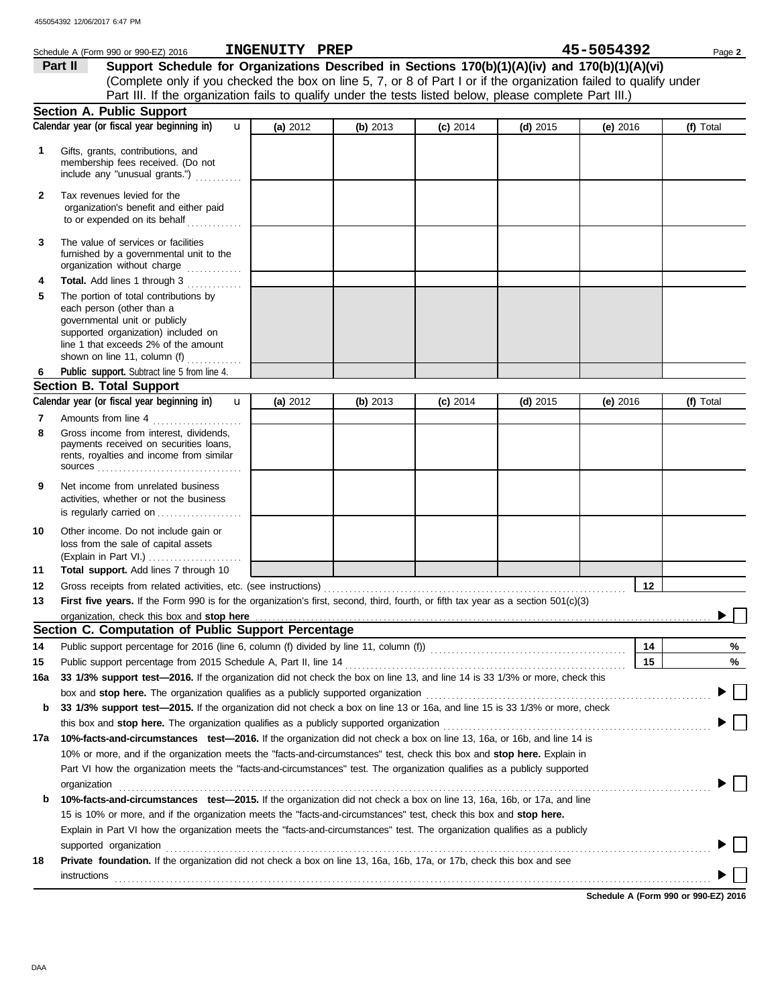|              | Schedule A (Form 990 or 990-EZ) 2016                                                                                                                                                                                                                                                                                                                         | INGENUITY PREP |            |            |            | 45-5054392 | Page 2    |
|--------------|--------------------------------------------------------------------------------------------------------------------------------------------------------------------------------------------------------------------------------------------------------------------------------------------------------------------------------------------------------------|----------------|------------|------------|------------|------------|-----------|
|              | Support Schedule for Organizations Described in Sections 170(b)(1)(A)(iv) and 170(b)(1)(A)(vi)<br>Part II                                                                                                                                                                                                                                                    |                |            |            |            |            |           |
|              | (Complete only if you checked the box on line 5, 7, or 8 of Part I or if the organization failed to qualify under                                                                                                                                                                                                                                            |                |            |            |            |            |           |
|              | Part III. If the organization fails to qualify under the tests listed below, please complete Part III.)                                                                                                                                                                                                                                                      |                |            |            |            |            |           |
|              | Section A. Public Support                                                                                                                                                                                                                                                                                                                                    |                |            |            |            |            |           |
|              | Calendar year (or fiscal year beginning in)<br>$\mathbf{u}$                                                                                                                                                                                                                                                                                                  | (a) 2012       | (b) 2013   | $(c)$ 2014 | $(d)$ 2015 | (e) $2016$ | (f) Total |
| 1            | Gifts, grants, contributions, and<br>membership fees received. (Do not<br>include any "unusual grants.")                                                                                                                                                                                                                                                     |                |            |            |            |            |           |
| $\mathbf{2}$ | Tax revenues levied for the<br>organization's benefit and either paid<br>to or expended on its behalf                                                                                                                                                                                                                                                        |                |            |            |            |            |           |
| 3            | The value of services or facilities<br>furnished by a governmental unit to the<br>organization without charge                                                                                                                                                                                                                                                |                |            |            |            |            |           |
| 4            | Total. Add lines 1 through 3                                                                                                                                                                                                                                                                                                                                 |                |            |            |            |            |           |
| 5            | The portion of total contributions by<br>each person (other than a<br>governmental unit or publicly<br>supported organization) included on<br>line 1 that exceeds 2% of the amount<br>shown on line 11, column (f) $\ldots$                                                                                                                                  |                |            |            |            |            |           |
| 6            | Public support. Subtract line 5 from line 4.                                                                                                                                                                                                                                                                                                                 |                |            |            |            |            |           |
|              | <b>Section B. Total Support</b>                                                                                                                                                                                                                                                                                                                              |                |            |            |            |            |           |
|              | Calendar year (or fiscal year beginning in)<br>$\mathbf{u}$                                                                                                                                                                                                                                                                                                  | (a) $2012$     | (b) $2013$ | $(c)$ 2014 | $(d)$ 2015 | (e) 2016   | (f) Total |
| 7            | Amounts from line 4                                                                                                                                                                                                                                                                                                                                          |                |            |            |            |            |           |
| 8            | Gross income from interest, dividends,<br>payments received on securities loans,<br>rents, royalties and income from similar                                                                                                                                                                                                                                 |                |            |            |            |            |           |
| 9            | Net income from unrelated business<br>activities, whether or not the business<br>is regularly carried on                                                                                                                                                                                                                                                     |                |            |            |            |            |           |
| 10           | Other income. Do not include gain or<br>loss from the sale of capital assets<br>(Explain in Part VI.)                                                                                                                                                                                                                                                        |                |            |            |            |            |           |
| 11           | Total support. Add lines 7 through 10                                                                                                                                                                                                                                                                                                                        |                |            |            |            |            |           |
| 12           |                                                                                                                                                                                                                                                                                                                                                              |                |            |            |            | 12         |           |
| 13           | First five years. If the Form 990 is for the organization's first, second, third, fourth, or fifth tax year as a section 501(c)(3)                                                                                                                                                                                                                           |                |            |            |            |            |           |
|              |                                                                                                                                                                                                                                                                                                                                                              |                |            |            |            |            |           |
|              | Section C. Computation of Public Support Percentage                                                                                                                                                                                                                                                                                                          |                |            |            |            |            |           |
| 14           | Public support percentage for 2016 (line 6, column (f) divided by line 11, column (f)) [[[[[[[[[[[[[[[[[[[[[[                                                                                                                                                                                                                                                |                |            |            |            | 14         | %         |
| 15           |                                                                                                                                                                                                                                                                                                                                                              |                |            |            |            | 15         | %         |
| 16a          | 33 1/3% support test-2016. If the organization did not check the box on line 13, and line 14 is 33 1/3% or more, check this                                                                                                                                                                                                                                  |                |            |            |            |            |           |
|              |                                                                                                                                                                                                                                                                                                                                                              |                |            |            |            |            |           |
| b            | 33 1/3% support test—2015. If the organization did not check a box on line 13 or 16a, and line 15 is 33 1/3% or more, check                                                                                                                                                                                                                                  |                |            |            |            |            |           |
|              | this box and stop here. The organization qualifies as a publicly supported organization [11] content content content of the content of the content of the content of the content of the content of the content of the content                                                                                                                                |                |            |            |            |            |           |
| 17a          | 10%-facts-and-circumstances test-2016. If the organization did not check a box on line 13, 16a, or 16b, and line 14 is                                                                                                                                                                                                                                       |                |            |            |            |            |           |
|              | 10% or more, and if the organization meets the "facts-and-circumstances" test, check this box and stop here. Explain in                                                                                                                                                                                                                                      |                |            |            |            |            |           |
|              | Part VI how the organization meets the "facts-and-circumstances" test. The organization qualifies as a publicly supported                                                                                                                                                                                                                                    |                |            |            |            |            |           |
|              | organization                                                                                                                                                                                                                                                                                                                                                 |                |            |            |            |            |           |
| b            | 10%-facts-and-circumstances test-2015. If the organization did not check a box on line 13, 16a, 16b, or 17a, and line                                                                                                                                                                                                                                        |                |            |            |            |            |           |
|              | 15 is 10% or more, and if the organization meets the "facts-and-circumstances" test, check this box and stop here.                                                                                                                                                                                                                                           |                |            |            |            |            |           |
|              | Explain in Part VI how the organization meets the "facts-and-circumstances" test. The organization qualifies as a publicly<br>supported organization with the contract of the contract of the contract of the contract or the contract or the contract or the contract of the contract of the contract of the contract of the contract of the contract of th |                |            |            |            |            |           |

**18 Private foundation.** If the organization did not check a box on line 13, 16a, 16b, 17a, or 17b, check this box and see instructions . . . . . . . . . . . . . . . . . . . . . . . . . . . . . . . . . . . . . . . . . . . . . . . . . . . . . . . . . . . . . . . . . . . . . . . . . . . . . . . . . . . . . . . . . . . . . . . . . . . . . . . . . . . . . . . . . . . . . . . . . . . . . . . . . . . . . . . . . . . .

**Schedule A (Form 990 or 990-EZ) 2016**

 $\Box$  $\blacktriangleright$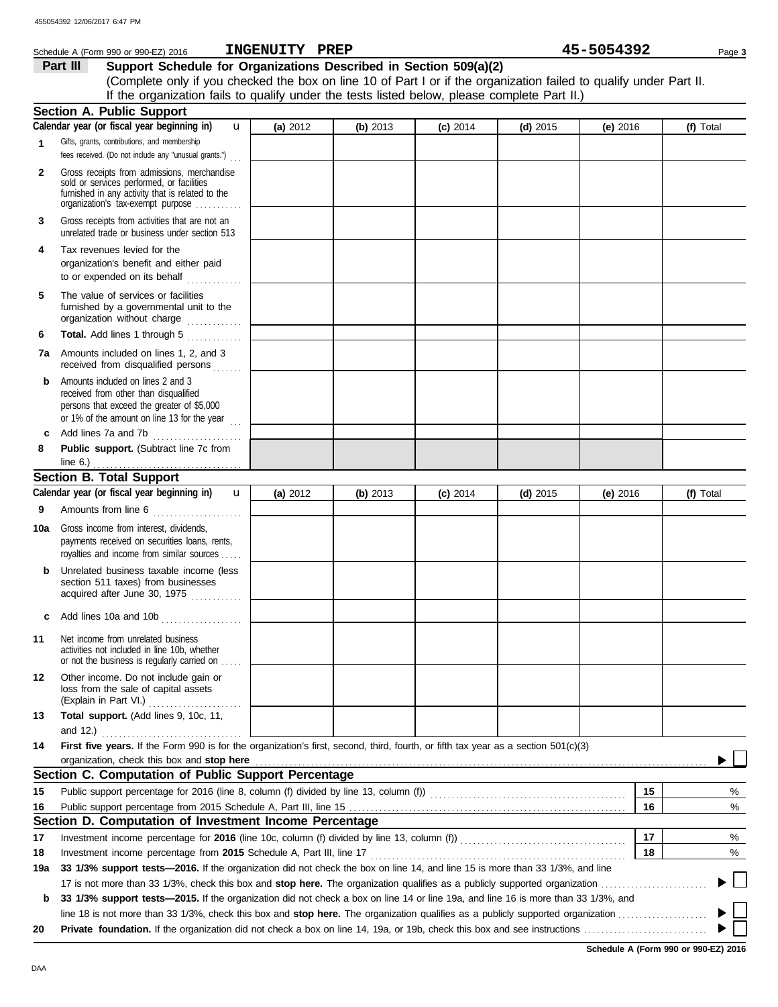|              | Schedule A (Form 990 or 990-EZ) 2016                                                                                                                                                                                                | INGENUITY PREP |          |            |            | 45-5054392 | Page 3    |
|--------------|-------------------------------------------------------------------------------------------------------------------------------------------------------------------------------------------------------------------------------------|----------------|----------|------------|------------|------------|-----------|
|              | Support Schedule for Organizations Described in Section 509(a)(2)<br>Part III                                                                                                                                                       |                |          |            |            |            |           |
|              | (Complete only if you checked the box on line 10 of Part I or if the organization failed to qualify under Part II.                                                                                                                  |                |          |            |            |            |           |
|              | If the organization fails to qualify under the tests listed below, please complete Part II.)                                                                                                                                        |                |          |            |            |            |           |
|              | Section A. Public Support                                                                                                                                                                                                           |                |          |            |            |            |           |
|              | Calendar year (or fiscal year beginning in)<br>$\mathbf{u}$                                                                                                                                                                         | (a) 2012       | (b) 2013 | $(c)$ 2014 | $(d)$ 2015 | (e) $2016$ | (f) Total |
| 1            | Gifts, grants, contributions, and membership<br>fees received. (Do not include any "unusual grants.")                                                                                                                               |                |          |            |            |            |           |
| $\mathbf{2}$ | Gross receipts from admissions, merchandise<br>sold or services performed, or facilities<br>furnished in any activity that is related to the<br>organization's tax-exempt purpose                                                   |                |          |            |            |            |           |
| 3            | Gross receipts from activities that are not an<br>unrelated trade or business under section 513                                                                                                                                     |                |          |            |            |            |           |
| 4            | Tax revenues levied for the<br>organization's benefit and either paid<br>to or expended on its behalf                                                                                                                               |                |          |            |            |            |           |
| 5            | The value of services or facilities<br>furnished by a governmental unit to the<br>organization without charge                                                                                                                       |                |          |            |            |            |           |
| 6            | Total. Add lines 1 through 5                                                                                                                                                                                                        |                |          |            |            |            |           |
|              | 7a Amounts included on lines 1, 2, and 3<br>received from disqualified persons                                                                                                                                                      |                |          |            |            |            |           |
| b            | Amounts included on lines 2 and 3<br>received from other than disqualified<br>persons that exceed the greater of \$5,000<br>or 1% of the amount on line 13 for the year $\frac{1}{11}$                                              |                |          |            |            |            |           |
| c            | Add lines 7a and 7b                                                                                                                                                                                                                 |                |          |            |            |            |           |
| 8            | Public support. (Subtract line 7c from                                                                                                                                                                                              |                |          |            |            |            |           |
|              | Section B. Total Support                                                                                                                                                                                                            |                |          |            |            |            |           |
|              |                                                                                                                                                                                                                                     |                |          |            |            |            |           |
|              | Calendar year (or fiscal year beginning in)<br>$\mathbf{u}$                                                                                                                                                                         | (a) 2012       | (b) 2013 | $(c)$ 2014 | $(d)$ 2015 | (e) 2016   | (f) Total |
| 9            | Amounts from line 6                                                                                                                                                                                                                 |                |          |            |            |            |           |
|              | <b>10a</b> Gross income from interest, dividends,<br>payments received on securities loans, rents,<br>royalties and income from similar sources                                                                                     |                |          |            |            |            |           |
| b            | Unrelated business taxable income (less<br>section 511 taxes) from businesses<br>acquired after June 30, 1975                                                                                                                       |                |          |            |            |            |           |
| c            | Add lines 10a and 10b<br>. <b>.</b> .                                                                                                                                                                                               |                |          |            |            |            |           |
| 11           | Net income from unrelated business<br>activities not included in line 10b, whether<br>or not the business is regularly carried on                                                                                                   |                |          |            |            |            |           |
| 12           | Other income. Do not include gain or<br>loss from the sale of capital assets<br>(Explain in Part VI.)                                                                                                                               |                |          |            |            |            |           |
| 13           | Total support. (Add lines 9, 10c, 11,                                                                                                                                                                                               |                |          |            |            |            |           |
| 14           | First five years. If the Form 990 is for the organization's first, second, third, fourth, or fifth tax year as a section 501(c)(3)                                                                                                  |                |          |            |            |            |           |
|              | organization, check this box and stop here <b>contained</b> and contained a state of the contained and stop here contained a strategy or and stop here contained a strategy or and strategy and strategy or and strategy and strate |                |          |            |            |            |           |
|              | Section C. Computation of Public Support Percentage                                                                                                                                                                                 |                |          |            |            |            |           |
| 15           | Public support percentage for 2016 (line 8, column (f) divided by line 13, column (f)) [[[[[[[[[[[[[[[[[[[[[[                                                                                                                       |                |          |            |            | 15         | %         |
| 16           |                                                                                                                                                                                                                                     |                |          |            |            | 16         | $\%$      |
|              | Section D. Computation of Investment Income Percentage                                                                                                                                                                              |                |          |            |            |            |           |
| 17           |                                                                                                                                                                                                                                     |                |          |            |            | 17         | %         |
| 18           |                                                                                                                                                                                                                                     |                |          |            |            | 18         | %         |
| 19a          | 33 1/3% support tests-2016. If the organization did not check the box on line 14, and line 15 is more than 33 1/3%, and line                                                                                                        |                |          |            |            |            |           |
|              |                                                                                                                                                                                                                                     |                |          |            |            |            |           |
| b            | 33 1/3% support tests-2015. If the organization did not check a box on line 14 or line 19a, and line 16 is more than 33 1/3%, and                                                                                                   |                |          |            |            |            |           |
|              |                                                                                                                                                                                                                                     |                |          |            |            |            |           |
| 20           |                                                                                                                                                                                                                                     |                |          |            |            |            |           |

**Schedule A (Form 990 or 990-EZ) 2016**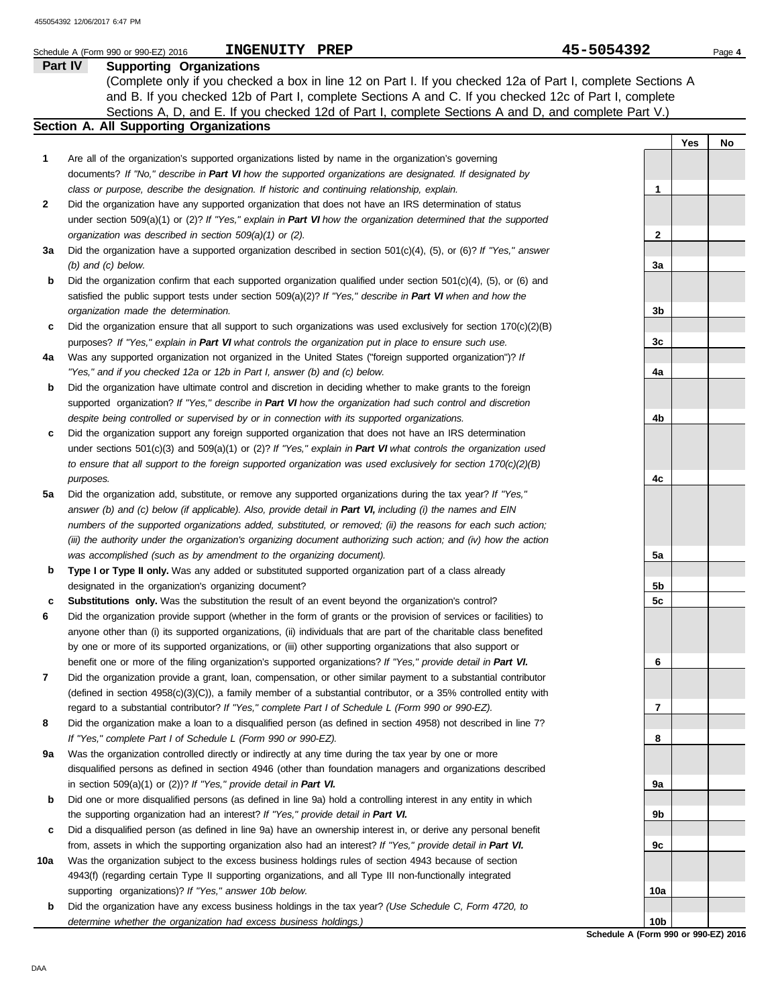|     | <b>INGENUITY</b><br>PREP<br>Schedule A (Form 990 or 990-EZ) 2016                                                                                                                                                                     | 45-5054392 |     | Page 4 |
|-----|--------------------------------------------------------------------------------------------------------------------------------------------------------------------------------------------------------------------------------------|------------|-----|--------|
|     | Part IV<br><b>Supporting Organizations</b>                                                                                                                                                                                           |            |     |        |
|     | (Complete only if you checked a box in line 12 on Part I. If you checked 12a of Part I, complete Sections A                                                                                                                          |            |     |        |
|     | and B. If you checked 12b of Part I, complete Sections A and C. If you checked 12c of Part I, complete                                                                                                                               |            |     |        |
|     | Sections A, D, and E. If you checked 12d of Part I, complete Sections A and D, and complete Part V.)                                                                                                                                 |            |     |        |
|     | Section A. All Supporting Organizations                                                                                                                                                                                              |            |     |        |
|     |                                                                                                                                                                                                                                      |            | Yes | No     |
| 1   | Are all of the organization's supported organizations listed by name in the organization's governing                                                                                                                                 |            |     |        |
|     | documents? If "No," describe in Part VI how the supported organizations are designated. If designated by                                                                                                                             |            |     |        |
|     | class or purpose, describe the designation. If historic and continuing relationship, explain.                                                                                                                                        | 1          |     |        |
| 2   | Did the organization have any supported organization that does not have an IRS determination of status                                                                                                                               |            |     |        |
|     | under section $509(a)(1)$ or (2)? If "Yes," explain in Part VI how the organization determined that the supported                                                                                                                    |            |     |        |
|     | organization was described in section 509(a)(1) or (2).                                                                                                                                                                              | 2          |     |        |
| За  | Did the organization have a supported organization described in section $501(c)(4)$ , (5), or (6)? If "Yes," answer                                                                                                                  |            |     |        |
|     | $(b)$ and $(c)$ below.                                                                                                                                                                                                               | 3a         |     |        |
| b   | Did the organization confirm that each supported organization qualified under section $501(c)(4)$ , (5), or (6) and<br>satisfied the public support tests under section $509(a)(2)$ ? If "Yes," describe in Part VI when and how the |            |     |        |
|     | organization made the determination.                                                                                                                                                                                                 | 3b         |     |        |
| c   | Did the organization ensure that all support to such organizations was used exclusively for section $170(c)(2)(B)$                                                                                                                   |            |     |        |
|     | purposes? If "Yes," explain in Part VI what controls the organization put in place to ensure such use.                                                                                                                               | 3c         |     |        |
| 4a  | Was any supported organization not organized in the United States ("foreign supported organization")? If                                                                                                                             |            |     |        |
|     | "Yes," and if you checked 12a or 12b in Part I, answer (b) and (c) below.                                                                                                                                                            | 4a         |     |        |
| b   | Did the organization have ultimate control and discretion in deciding whether to make grants to the foreign                                                                                                                          |            |     |        |
|     | supported organization? If "Yes," describe in Part VI how the organization had such control and discretion                                                                                                                           |            |     |        |
|     | despite being controlled or supervised by or in connection with its supported organizations.                                                                                                                                         | 4b         |     |        |
| c   | Did the organization support any foreign supported organization that does not have an IRS determination                                                                                                                              |            |     |        |
|     | under sections $501(c)(3)$ and $509(a)(1)$ or (2)? If "Yes," explain in Part VI what controls the organization used                                                                                                                  |            |     |        |
|     | to ensure that all support to the foreign supported organization was used exclusively for section $170(c)(2)(B)$                                                                                                                     |            |     |        |
|     | purposes.                                                                                                                                                                                                                            | 4c         |     |        |
| 5a  | Did the organization add, substitute, or remove any supported organizations during the tax year? If "Yes,"                                                                                                                           |            |     |        |
|     | answer (b) and (c) below (if applicable). Also, provide detail in Part VI, including (i) the names and EIN                                                                                                                           |            |     |        |
|     | numbers of the supported organizations added, substituted, or removed; (ii) the reasons for each such action;                                                                                                                        |            |     |        |
|     | (iii) the authority under the organization's organizing document authorizing such action; and (iv) how the action                                                                                                                    |            |     |        |
|     | was accomplished (such as by amendment to the organizing document).                                                                                                                                                                  | 5a         |     |        |
| b   | Type I or Type II only. Was any added or substituted supported organization part of a class already                                                                                                                                  |            |     |        |
|     | designated in the organization's organizing document?                                                                                                                                                                                | 5b         |     |        |
| c   | <b>Substitutions only.</b> Was the substitution the result of an event beyond the organization's control?                                                                                                                            | 5c         |     |        |
| 6   | Did the organization provide support (whether in the form of grants or the provision of services or facilities) to                                                                                                                   |            |     |        |
|     | anyone other than (i) its supported organizations, (ii) individuals that are part of the charitable class benefited                                                                                                                  |            |     |        |
|     | by one or more of its supported organizations, or (iii) other supporting organizations that also support or<br>benefit one or more of the filing organization's supported organizations? If "Yes," provide detail in Part VI.        | 6          |     |        |
| 7   | Did the organization provide a grant, loan, compensation, or other similar payment to a substantial contributor                                                                                                                      |            |     |        |
|     | (defined in section 4958(c)(3)(C)), a family member of a substantial contributor, or a 35% controlled entity with                                                                                                                    |            |     |        |
|     | regard to a substantial contributor? If "Yes," complete Part I of Schedule L (Form 990 or 990-EZ).                                                                                                                                   | 7          |     |        |
| 8   | Did the organization make a loan to a disqualified person (as defined in section 4958) not described in line 7?                                                                                                                      |            |     |        |
|     | If "Yes," complete Part I of Schedule L (Form 990 or 990-EZ).                                                                                                                                                                        | 8          |     |        |
| 9a  | Was the organization controlled directly or indirectly at any time during the tax year by one or more                                                                                                                                |            |     |        |
|     | disqualified persons as defined in section 4946 (other than foundation managers and organizations described                                                                                                                          |            |     |        |
|     | in section $509(a)(1)$ or $(2)$ ? If "Yes," provide detail in Part VI.                                                                                                                                                               | 9а         |     |        |
| b   | Did one or more disqualified persons (as defined in line 9a) hold a controlling interest in any entity in which                                                                                                                      |            |     |        |
|     | the supporting organization had an interest? If "Yes," provide detail in Part VI.                                                                                                                                                    | 9b         |     |        |
| c   | Did a disqualified person (as defined in line 9a) have an ownership interest in, or derive any personal benefit                                                                                                                      |            |     |        |
|     | from, assets in which the supporting organization also had an interest? If "Yes," provide detail in Part VI.                                                                                                                         | 9c         |     |        |
| 10a | Was the organization subject to the excess business holdings rules of section 4943 because of section                                                                                                                                |            |     |        |
|     | 4943(f) (regarding certain Type II supporting organizations, and all Type III non-functionally integrated                                                                                                                            |            |     |        |
|     | supporting organizations)? If "Yes," answer 10b below.                                                                                                                                                                               | 10a        |     |        |
| b   | Did the organization have any excess business holdings in the tax year? (Use Schedule C, Form 4720, to                                                                                                                               |            |     |        |
|     | determine whether the organization had excess business holdings.)                                                                                                                                                                    | 10b        |     |        |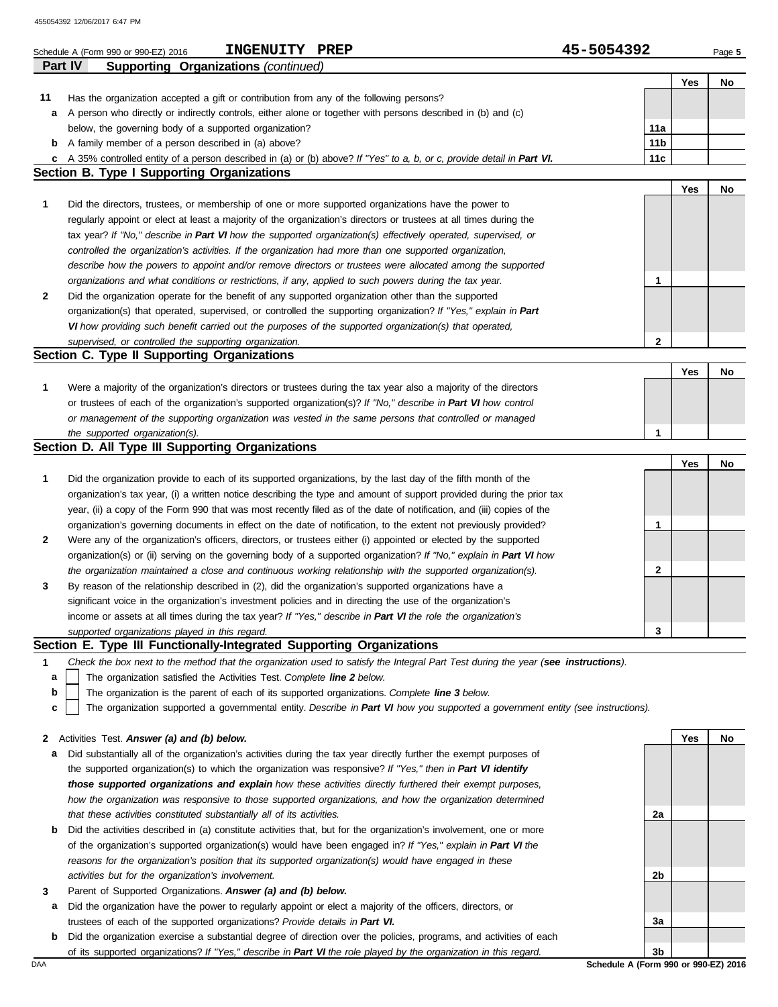|              | INGENUITY PREP<br>Schedule A (Form 990 or 990-EZ) 2016                                                                            | 45-5054392      |     | Page 5 |
|--------------|-----------------------------------------------------------------------------------------------------------------------------------|-----------------|-----|--------|
|              | <b>Supporting Organizations (continued)</b><br>Part IV                                                                            |                 |     |        |
|              |                                                                                                                                   |                 | Yes | No     |
| 11           | Has the organization accepted a gift or contribution from any of the following persons?                                           |                 |     |        |
| а            | A person who directly or indirectly controls, either alone or together with persons described in (b) and (c)                      |                 |     |        |
|              | below, the governing body of a supported organization?                                                                            | 11a             |     |        |
| b            | A family member of a person described in (a) above?                                                                               | 11 <sub>b</sub> |     |        |
| c            | A 35% controlled entity of a person described in (a) or (b) above? If "Yes" to a, b, or c, provide detail in Part VI.             | 11c             |     |        |
|              | <b>Section B. Type I Supporting Organizations</b>                                                                                 |                 |     |        |
|              |                                                                                                                                   |                 | Yes | No     |
| 1            | Did the directors, trustees, or membership of one or more supported organizations have the power to                               |                 |     |        |
|              | regularly appoint or elect at least a majority of the organization's directors or trustees at all times during the                |                 |     |        |
|              | tax year? If "No," describe in Part VI how the supported organization(s) effectively operated, supervised, or                     |                 |     |        |
|              | controlled the organization's activities. If the organization had more than one supported organization,                           |                 |     |        |
|              | describe how the powers to appoint and/or remove directors or trustees were allocated among the supported                         |                 |     |        |
|              | organizations and what conditions or restrictions, if any, applied to such powers during the tax year.                            | 1               |     |        |
| $\mathbf{2}$ | Did the organization operate for the benefit of any supported organization other than the supported                               |                 |     |        |
|              | organization(s) that operated, supervised, or controlled the supporting organization? If "Yes," explain in Part                   |                 |     |        |
|              | VI how providing such benefit carried out the purposes of the supported organization(s) that operated,                            |                 |     |        |
|              | supervised, or controlled the supporting organization.<br>Section C. Type II Supporting Organizations                             | $\mathbf{2}$    |     |        |
|              |                                                                                                                                   |                 | Yes |        |
| 1            | Were a majority of the organization's directors or trustees during the tax year also a majority of the directors                  |                 |     | No     |
|              | or trustees of each of the organization's supported organization(s)? If "No," describe in Part VI how control                     |                 |     |        |
|              |                                                                                                                                   |                 |     |        |
|              | or management of the supporting organization was vested in the same persons that controlled or managed                            | 1               |     |        |
|              | the supported organization(s).<br>Section D. All Type III Supporting Organizations                                                |                 |     |        |
|              |                                                                                                                                   |                 | Yes | No     |
| $\mathbf{1}$ | Did the organization provide to each of its supported organizations, by the last day of the fifth month of the                    |                 |     |        |
|              | organization's tax year, (i) a written notice describing the type and amount of support provided during the prior tax             |                 |     |        |
|              | year, (ii) a copy of the Form 990 that was most recently filed as of the date of notification, and (iii) copies of the            |                 |     |        |
|              | organization's governing documents in effect on the date of notification, to the extent not previously provided?                  | 1               |     |        |
| $\mathbf{2}$ | Were any of the organization's officers, directors, or trustees either (i) appointed or elected by the supported                  |                 |     |        |
|              | organization(s) or (ii) serving on the governing body of a supported organization? If "No," explain in Part VI how                |                 |     |        |
|              | the organization maintained a close and continuous working relationship with the supported organization(s).                       | 2               |     |        |
| 3            | By reason of the relationship described in (2), did the organization's supported organizations have a                             |                 |     |        |
|              | significant voice in the organization's investment policies and in directing the use of the organization's                        |                 |     |        |
|              | income or assets at all times during the tax year? If "Yes," describe in Part VI the role the organization's                      |                 |     |        |
|              | supported organizations played in this regard.                                                                                    | 3               |     |        |
|              | Section E. Type III Functionally-Integrated Supporting Organizations                                                              |                 |     |        |
| $\mathbf 1$  | Check the box next to the method that the organization used to satisfy the Integral Part Test during the year (see instructions). |                 |     |        |
| а            | The organization satisfied the Activities Test. Complete line 2 below.                                                            |                 |     |        |
| b            | The organization is the parent of each of its supported organizations. Complete line 3 below.                                     |                 |     |        |
| c            | The organization supported a governmental entity. Describe in Part VI how you supported a government entity (see instructions).   |                 |     |        |
|              |                                                                                                                                   |                 |     |        |
| 2            | Activities Test. Answer (a) and (b) below.                                                                                        |                 | Yes | No     |
| а            | Did substantially all of the organization's activities during the tax year directly further the exempt purposes of                |                 |     |        |
|              | the supported organization(s) to which the organization was responsive? If "Yes," then in Part VI identify                        |                 |     |        |
|              | those supported organizations and explain how these activities directly furthered their exempt purposes,                          |                 |     |        |
|              | how the organization was responsive to those supported organizations, and how the organization determined                         |                 |     |        |
|              | that these activities constituted substantially all of its activities.                                                            | 2a              |     |        |
| b            | Did the activities described in (a) constitute activities that, but for the organization's involvement, one or more               |                 |     |        |
|              | of the organization's supported organization(s) would have been engaged in? If "Yes," explain in Part VI the                      |                 |     |        |
|              | reasons for the organization's position that its supported organization(s) would have engaged in these                            |                 |     |        |
|              | activities but for the organization's involvement.                                                                                | 2b              |     |        |
| 3            | Parent of Supported Organizations. Answer (a) and (b) below.                                                                      |                 |     |        |
| а            | Did the organization have the power to regularly appoint or elect a majority of the officers, directors, or                       |                 |     |        |
|              | trustees of each of the supported organizations? Provide details in Part VI.                                                      | За              |     |        |
| b            | Did the organization exercise a substantial degree of direction over the policies, programs, and activities of each               |                 |     |        |
|              | of its supported organizations? If "Yes," describe in Part VI the role played by the organization in this regard.                 | 3b              |     |        |

DAA **Schedule A (Form 990 or 990-EZ) 2016**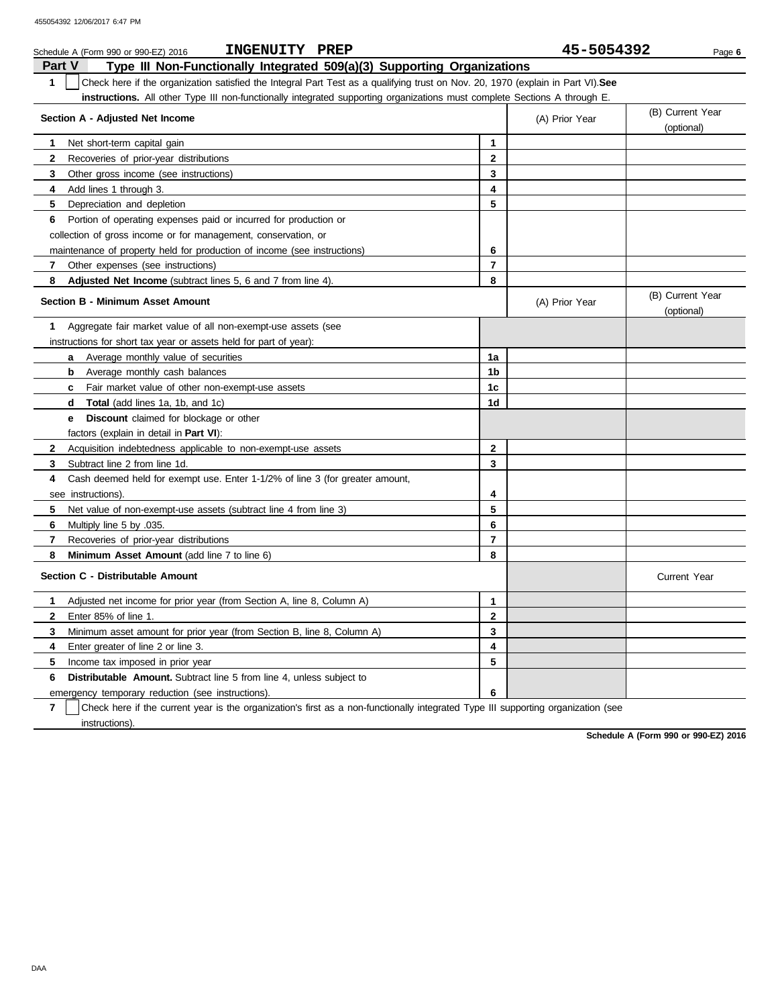| INGENUITY PREP<br>Schedule A (Form 990 or 990-EZ) 2016                                                                                |                | 45-5054392     | Page 6                         |
|---------------------------------------------------------------------------------------------------------------------------------------|----------------|----------------|--------------------------------|
| Type III Non-Functionally Integrated 509(a)(3) Supporting Organizations<br>Part V                                                     |                |                |                                |
| 1<br>Check here if the organization satisfied the Integral Part Test as a qualifying trust on Nov. 20, 1970 (explain in Part VI). See |                |                |                                |
| <b>instructions.</b> All other Type III non-functionally integrated supporting organizations must complete Sections A through E.      |                |                |                                |
| Section A - Adjusted Net Income                                                                                                       |                | (A) Prior Year | (B) Current Year<br>(optional) |
| Net short-term capital gain<br>1                                                                                                      | 1              |                |                                |
| 2<br>Recoveries of prior-year distributions                                                                                           | $\mathbf 2$    |                |                                |
| 3<br>Other gross income (see instructions)                                                                                            | 3              |                |                                |
| Add lines 1 through 3.<br>4                                                                                                           | 4              |                |                                |
| 5.<br>Depreciation and depletion                                                                                                      | 5              |                |                                |
| Portion of operating expenses paid or incurred for production or<br>6                                                                 |                |                |                                |
| collection of gross income or for management, conservation, or                                                                        |                |                |                                |
| maintenance of property held for production of income (see instructions)                                                              | 6              |                |                                |
| 7<br>Other expenses (see instructions)                                                                                                | $\overline{7}$ |                |                                |
| 8<br><b>Adjusted Net Income</b> (subtract lines 5, 6 and 7 from line 4).                                                              | 8              |                |                                |
| <b>Section B - Minimum Asset Amount</b>                                                                                               |                | (A) Prior Year | (B) Current Year<br>(optional) |
| Aggregate fair market value of all non-exempt-use assets (see<br>1                                                                    |                |                |                                |
| instructions for short tax year or assets held for part of year):                                                                     |                |                |                                |
| Average monthly value of securities<br>a                                                                                              | 1a             |                |                                |
| <b>b</b> Average monthly cash balances                                                                                                | 1b             |                |                                |
| Fair market value of other non-exempt-use assets<br>C                                                                                 | 1c             |                |                                |
| <b>Total</b> (add lines 1a, 1b, and 1c)<br>d                                                                                          | 1d             |                |                                |
| <b>Discount</b> claimed for blockage or other<br>e                                                                                    |                |                |                                |
| factors (explain in detail in Part VI):                                                                                               |                |                |                                |
| $\mathbf{2}$<br>Acquisition indebtedness applicable to non-exempt-use assets                                                          | $\mathbf{2}$   |                |                                |
| 3<br>Subtract line 2 from line 1d.                                                                                                    | 3              |                |                                |
| 4<br>Cash deemed held for exempt use. Enter 1-1/2% of line 3 (for greater amount,                                                     |                |                |                                |
| see instructions).                                                                                                                    | 4              |                |                                |
| 5<br>Net value of non-exempt-use assets (subtract line 4 from line 3)                                                                 | 5              |                |                                |
| 6<br>.035. Multiply line 5 by                                                                                                         | 6              |                |                                |
| $\overline{7}$<br>Recoveries of prior-year distributions                                                                              | $\overline{7}$ |                |                                |
| 8<br><b>Minimum Asset Amount (add line 7 to line 6)</b>                                                                               | 8              |                |                                |
| Section C - Distributable Amount                                                                                                      |                |                | <b>Current Year</b>            |
| Adjusted net income for prior year (from Section A, line 8, Column A)<br>1.                                                           | $\mathbf{1}$   |                |                                |
| $\mathbf{2}$<br>Enter 85% of line 1.                                                                                                  | $\mathbf{2}$   |                |                                |
| 3<br>Minimum asset amount for prior year (from Section B, line 8, Column A)                                                           | 3              |                |                                |
| 4<br>Enter greater of line 2 or line 3.                                                                                               | 4              |                |                                |
| 5<br>Income tax imposed in prior year                                                                                                 | 5              |                |                                |
| <b>Distributable Amount.</b> Subtract line 5 from line 4, unless subject to<br>6                                                      |                |                |                                |
| emergency temporary reduction (see instructions)                                                                                      | 6              |                |                                |

**7** instructions). Check here if the current year is the organization's first as a non-functionally integrated Type III supporting organization (see

**Schedule A (Form 990 or 990-EZ) 2016**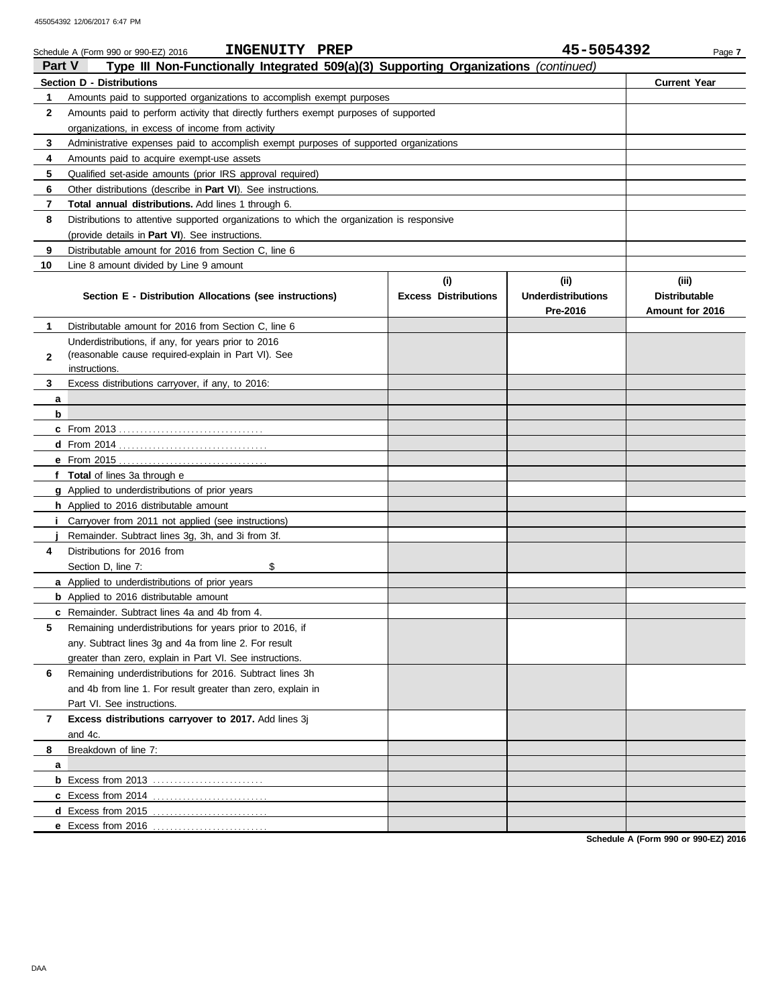|               | INGENUITY PREP<br>Schedule A (Form 990 or 990-EZ) 2016                                                                                    |                             | 45-5054392                | Page 7               |
|---------------|-------------------------------------------------------------------------------------------------------------------------------------------|-----------------------------|---------------------------|----------------------|
| <b>Part V</b> | Type III Non-Functionally Integrated 509(a)(3) Supporting Organizations (continued)                                                       |                             |                           |                      |
|               | <b>Section D - Distributions</b>                                                                                                          |                             |                           | <b>Current Year</b>  |
| 1             | Amounts paid to supported organizations to accomplish exempt purposes                                                                     |                             |                           |                      |
| 2             | Amounts paid to perform activity that directly furthers exempt purposes of supported                                                      |                             |                           |                      |
| 3             | organizations, in excess of income from activity<br>Administrative expenses paid to accomplish exempt purposes of supported organizations |                             |                           |                      |
| 4             | Amounts paid to acquire exempt-use assets                                                                                                 |                             |                           |                      |
| 5             | Qualified set-aside amounts (prior IRS approval required)                                                                                 |                             |                           |                      |
| 6             | Other distributions (describe in <b>Part VI</b> ). See instructions.                                                                      |                             |                           |                      |
| 7             | Total annual distributions. Add lines 1 through 6.                                                                                        |                             |                           |                      |
| 8             | Distributions to attentive supported organizations to which the organization is responsive                                                |                             |                           |                      |
|               | (provide details in <b>Part VI</b> ). See instructions.                                                                                   |                             |                           |                      |
| 9             | Distributable amount for 2016 from Section C, line 6                                                                                      |                             |                           |                      |
| 10            | Line 8 amount divided by Line 9 amount                                                                                                    |                             |                           |                      |
|               |                                                                                                                                           | (i)                         | (iii)                     | (iii)                |
|               | Section E - Distribution Allocations (see instructions)                                                                                   | <b>Excess Distributions</b> | <b>Underdistributions</b> | <b>Distributable</b> |
|               |                                                                                                                                           |                             | Pre-2016                  | Amount for 2016      |
| 1             | Distributable amount for 2016 from Section C, line 6                                                                                      |                             |                           |                      |
|               | Underdistributions, if any, for years prior to 2016                                                                                       |                             |                           |                      |
| $\mathbf{2}$  | (reasonable cause required-explain in Part VI). See                                                                                       |                             |                           |                      |
|               | instructions.                                                                                                                             |                             |                           |                      |
| 3             | Excess distributions carryover, if any, to 2016:                                                                                          |                             |                           |                      |
| а             |                                                                                                                                           |                             |                           |                      |
| b             |                                                                                                                                           |                             |                           |                      |
|               |                                                                                                                                           |                             |                           |                      |
|               | $d$ From 2014                                                                                                                             |                             |                           |                      |
|               | e From 2015                                                                                                                               |                             |                           |                      |
|               | f Total of lines 3a through e                                                                                                             |                             |                           |                      |
|               | <b>g</b> Applied to underdistributions of prior years                                                                                     |                             |                           |                      |
|               | <b>h</b> Applied to 2016 distributable amount                                                                                             |                             |                           |                      |
|               | Carryover from 2011 not applied (see instructions)                                                                                        |                             |                           |                      |
|               | Remainder. Subtract lines 3g, 3h, and 3i from 3f.                                                                                         |                             |                           |                      |
| 4             | Distributions for 2016 from                                                                                                               |                             |                           |                      |
|               | \$<br>Section D, line 7:                                                                                                                  |                             |                           |                      |
|               | <b>a</b> Applied to underdistributions of prior years                                                                                     |                             |                           |                      |
|               | <b>b</b> Applied to 2016 distributable amount                                                                                             |                             |                           |                      |
|               | c Remainder. Subtract lines 4a and 4b from 4.                                                                                             |                             |                           |                      |
| 5             | Remaining underdistributions for years prior to 2016, if                                                                                  |                             |                           |                      |
|               | any. Subtract lines 3g and 4a from line 2. For result                                                                                     |                             |                           |                      |
|               | greater than zero, explain in Part VI. See instructions.                                                                                  |                             |                           |                      |
| 6             | Remaining underdistributions for 2016. Subtract lines 3h                                                                                  |                             |                           |                      |
|               | and 4b from line 1. For result greater than zero, explain in                                                                              |                             |                           |                      |
|               | Part VI. See instructions.                                                                                                                |                             |                           |                      |
| 7             | Excess distributions carryover to 2017. Add lines 3j                                                                                      |                             |                           |                      |
|               | and 4c.                                                                                                                                   |                             |                           |                      |
| 8             | Breakdown of line 7:                                                                                                                      |                             |                           |                      |
| а             |                                                                                                                                           |                             |                           |                      |
|               |                                                                                                                                           |                             |                           |                      |
|               | c Excess from 2014<br>d Excess from 2015                                                                                                  |                             |                           |                      |
|               | e Excess from 2016                                                                                                                        |                             |                           |                      |
|               |                                                                                                                                           |                             |                           |                      |

**Schedule A (Form 990 or 990-EZ) 2016**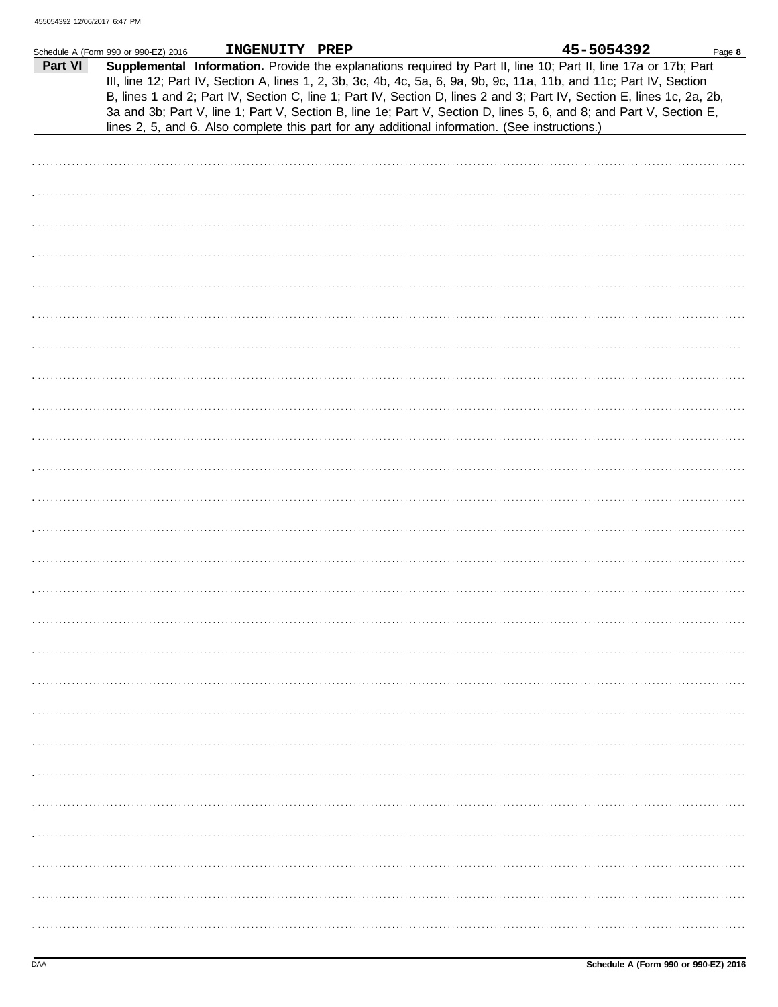|         | Schedule A (Form 990 or 990-EZ) 2016 | INGENUITY PREP                                                                                 |  | 45-5054392                                                                                                                                                                                                                                                                                                                                                                                                                                                                               | Page 8 |
|---------|--------------------------------------|------------------------------------------------------------------------------------------------|--|------------------------------------------------------------------------------------------------------------------------------------------------------------------------------------------------------------------------------------------------------------------------------------------------------------------------------------------------------------------------------------------------------------------------------------------------------------------------------------------|--------|
| Part VI |                                      | lines 2, 5, and 6. Also complete this part for any additional information. (See instructions.) |  | Supplemental Information. Provide the explanations required by Part II, line 10; Part II, line 17a or 17b; Part<br>III, line 12; Part IV, Section A, lines 1, 2, 3b, 3c, 4b, 4c, 5a, 6, 9a, 9b, 9c, 11a, 11b, and 11c; Part IV, Section<br>B, lines 1 and 2; Part IV, Section C, line 1; Part IV, Section D, lines 2 and 3; Part IV, Section E, lines 1c, 2a, 2b,<br>3a and 3b; Part V, line 1; Part V, Section B, line 1e; Part V, Section D, lines 5, 6, and 8; and Part V, Section E, |        |
|         |                                      |                                                                                                |  |                                                                                                                                                                                                                                                                                                                                                                                                                                                                                          |        |
|         |                                      |                                                                                                |  |                                                                                                                                                                                                                                                                                                                                                                                                                                                                                          |        |
|         |                                      |                                                                                                |  |                                                                                                                                                                                                                                                                                                                                                                                                                                                                                          |        |
|         |                                      |                                                                                                |  |                                                                                                                                                                                                                                                                                                                                                                                                                                                                                          |        |
|         |                                      |                                                                                                |  |                                                                                                                                                                                                                                                                                                                                                                                                                                                                                          |        |
|         |                                      |                                                                                                |  |                                                                                                                                                                                                                                                                                                                                                                                                                                                                                          |        |
|         |                                      |                                                                                                |  |                                                                                                                                                                                                                                                                                                                                                                                                                                                                                          |        |
|         |                                      |                                                                                                |  |                                                                                                                                                                                                                                                                                                                                                                                                                                                                                          |        |
|         |                                      |                                                                                                |  |                                                                                                                                                                                                                                                                                                                                                                                                                                                                                          |        |
|         |                                      |                                                                                                |  |                                                                                                                                                                                                                                                                                                                                                                                                                                                                                          |        |
|         |                                      |                                                                                                |  |                                                                                                                                                                                                                                                                                                                                                                                                                                                                                          |        |
|         |                                      |                                                                                                |  |                                                                                                                                                                                                                                                                                                                                                                                                                                                                                          |        |
|         |                                      |                                                                                                |  |                                                                                                                                                                                                                                                                                                                                                                                                                                                                                          |        |
|         |                                      |                                                                                                |  |                                                                                                                                                                                                                                                                                                                                                                                                                                                                                          |        |
|         |                                      |                                                                                                |  |                                                                                                                                                                                                                                                                                                                                                                                                                                                                                          |        |
|         |                                      |                                                                                                |  |                                                                                                                                                                                                                                                                                                                                                                                                                                                                                          |        |
|         |                                      |                                                                                                |  |                                                                                                                                                                                                                                                                                                                                                                                                                                                                                          |        |
|         |                                      |                                                                                                |  |                                                                                                                                                                                                                                                                                                                                                                                                                                                                                          |        |
|         |                                      |                                                                                                |  |                                                                                                                                                                                                                                                                                                                                                                                                                                                                                          |        |
|         |                                      |                                                                                                |  |                                                                                                                                                                                                                                                                                                                                                                                                                                                                                          |        |
|         |                                      |                                                                                                |  |                                                                                                                                                                                                                                                                                                                                                                                                                                                                                          |        |
|         |                                      |                                                                                                |  |                                                                                                                                                                                                                                                                                                                                                                                                                                                                                          |        |
|         |                                      |                                                                                                |  |                                                                                                                                                                                                                                                                                                                                                                                                                                                                                          |        |
|         |                                      |                                                                                                |  |                                                                                                                                                                                                                                                                                                                                                                                                                                                                                          |        |
|         |                                      |                                                                                                |  |                                                                                                                                                                                                                                                                                                                                                                                                                                                                                          |        |
|         |                                      |                                                                                                |  |                                                                                                                                                                                                                                                                                                                                                                                                                                                                                          |        |
|         |                                      |                                                                                                |  |                                                                                                                                                                                                                                                                                                                                                                                                                                                                                          |        |
|         |                                      |                                                                                                |  |                                                                                                                                                                                                                                                                                                                                                                                                                                                                                          |        |
|         |                                      |                                                                                                |  |                                                                                                                                                                                                                                                                                                                                                                                                                                                                                          |        |
|         |                                      |                                                                                                |  |                                                                                                                                                                                                                                                                                                                                                                                                                                                                                          |        |
|         |                                      |                                                                                                |  |                                                                                                                                                                                                                                                                                                                                                                                                                                                                                          |        |
|         |                                      |                                                                                                |  |                                                                                                                                                                                                                                                                                                                                                                                                                                                                                          |        |
|         |                                      |                                                                                                |  |                                                                                                                                                                                                                                                                                                                                                                                                                                                                                          |        |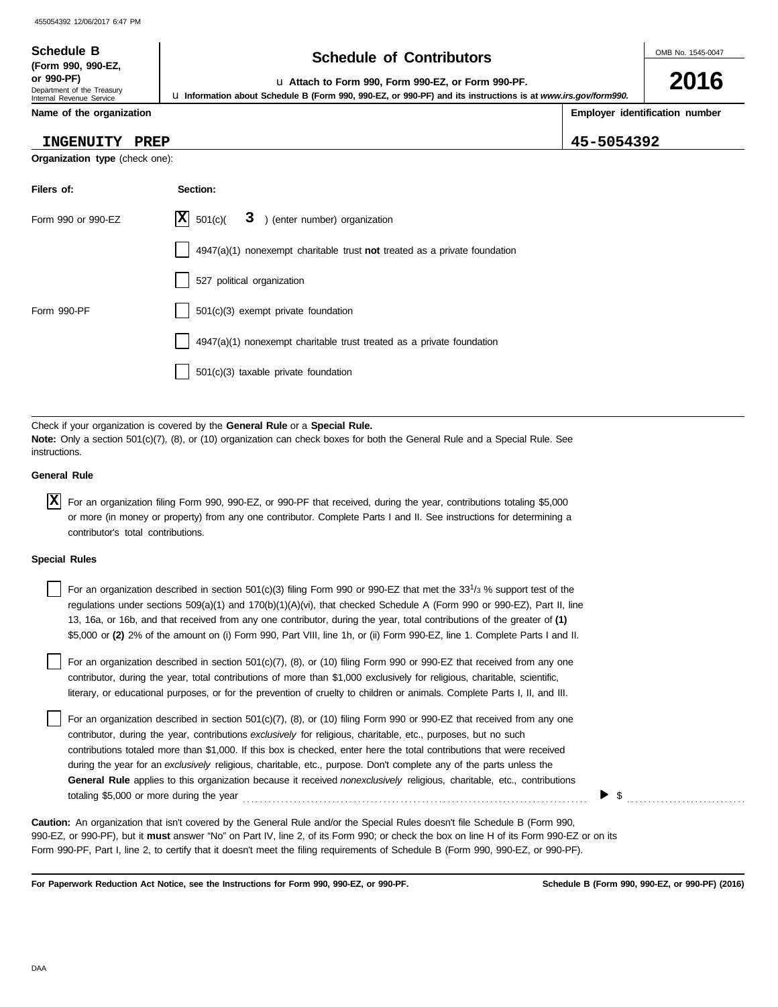# **Schedule of Contributors Schedule B**

**2016**

**Employer identification number**

**or 990-PF)** u **Attach to Form 990, Form 990-EZ, or Form 990-PF.**

u **Information about Schedule B (Form 990, 990-EZ, or 990-PF) and its instructions is at** *www.irs.gov/form990.*

**Name of the organization**

Department of the Treasury Internal Revenue Service

**(Form 990, 990-EZ,**

### **INGENUITY PREP 45-5054392**

**Organization type** (check one):

| Filers of:         | Section:                                                                  |  |  |  |
|--------------------|---------------------------------------------------------------------------|--|--|--|
| Form 990 or 990-EZ | $ \mathbf{X} $ 501(c)(<br>3 ) (enter number) organization                 |  |  |  |
|                    | 4947(a)(1) nonexempt charitable trust not treated as a private foundation |  |  |  |
|                    | 527 political organization                                                |  |  |  |
| Form 990-PF        | 501(c)(3) exempt private foundation                                       |  |  |  |
|                    | 4947(a)(1) nonexempt charitable trust treated as a private foundation     |  |  |  |
|                    | 501(c)(3) taxable private foundation                                      |  |  |  |

Check if your organization is covered by the **General Rule** or a **Special Rule. Note:** Only a section 501(c)(7), (8), or (10) organization can check boxes for both the General Rule and a Special Rule. See instructions.

### **General Rule**

For an organization filing Form 990, 990-EZ, or 990-PF that received, during the year, contributions totaling \$5,000 **X** or more (in money or property) from any one contributor. Complete Parts I and II. See instructions for determining a contributor's total contributions.

#### **Special Rules**

| For an organization described in section 501(c)(3) filing Form 990 or 990-EZ that met the 33 <sup>1</sup> /3 % support test of the |
|------------------------------------------------------------------------------------------------------------------------------------|
| regulations under sections $509(a)(1)$ and $170(b)(1)(A)(vi)$ , that checked Schedule A (Form 990 or 990-EZ), Part II, line        |
| 13, 16a, or 16b, and that received from any one contributor, during the year, total contributions of the greater of (1)            |
| \$5,000 or (2) 2% of the amount on (i) Form 990, Part VIII, line 1h, or (ii) Form 990-EZ, line 1. Complete Parts I and II.         |
|                                                                                                                                    |

literary, or educational purposes, or for the prevention of cruelty to children or animals. Complete Parts I, II, and III. For an organization described in section 501(c)(7), (8), or (10) filing Form 990 or 990-EZ that received from any one contributor, during the year, total contributions of more than \$1,000 exclusively for religious, charitable, scientific,

For an organization described in section 501(c)(7), (8), or (10) filing Form 990 or 990-EZ that received from any one contributor, during the year, contributions *exclusively* for religious, charitable, etc., purposes, but no such contributions totaled more than \$1,000. If this box is checked, enter here the total contributions that were received during the year for an *exclusively* religious, charitable, etc., purpose. Don't complete any of the parts unless the **General Rule** applies to this organization because it received *nonexclusively* religious, charitable, etc., contributions totaling \$5,000 or more during the year . . . . . . . . . . . . . . . . . . . . . . . . . . . . . . . . . . . . . . . . . . . . . . . . . . . . . . . . . . . . . . . . . . . . . . . . . . . . . . . . .

990-EZ, or 990-PF), but it **must** answer "No" on Part IV, line 2, of its Form 990; or check the box on line H of its Form 990-EZ or on its Form 990-PF, Part I, line 2, to certify that it doesn't meet the filing requirements of Schedule B (Form 990, 990-EZ, or 990-PF). **Caution:** An organization that isn't covered by the General Rule and/or the Special Rules doesn't file Schedule B (Form 990,

**For Paperwork Reduction Act Notice, see the Instructions for Form 990, 990-EZ, or 990-PF.**

\$ . . . . . . . . . . . . . . . . . . . . . . . . . . . .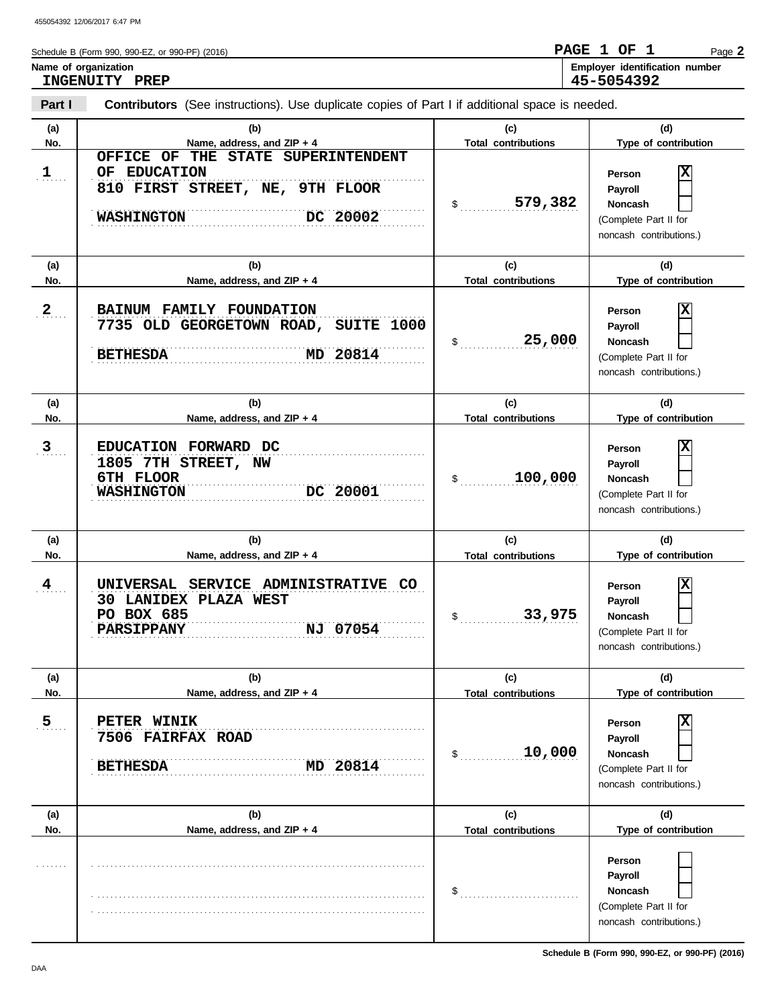**Part I**

| Schedule B (Form 990, 990-EZ, or 990-PF) (2016) | PAGE 1 OF  |  | $P$ age $\blacktriangle$              |
|-------------------------------------------------|------------|--|---------------------------------------|
| Name of organization                            |            |  | <b>Employer identification number</b> |
| INGENUITY<br>PREP                               | 45-5054392 |  |                                       |

**Contributors** (See instructions). Use duplicate copies of Part I if additional space is needed.

**Type of contribution Person Payroll Noncash (a) (b) (c) (d) No. Name, address, and ZIP + 4 Type of contribution Person Payroll Noncash (a) (b) (c) (d) No. Name, address, and ZIP + 4 Type of contribution Person Payroll Noncash (a) (b) (c) (d)** No. No. Name, address, and ZIP + 4 **Total contributions** Type of contribution **Person Payroll Noncash** \$ . . . . . . . . . . . . . . . . . . . . . . . . . . . . **579,382** (Complete Part II for noncash contributions.) \$ . . . . . . . . . . . . . . . . . . . . . . . . . . . . **25,000** (Complete Part II for noncash contributions.) \$ . . . . . . . . . . . . . . . . . . . . . . . . . . . . (Complete Part II for noncash contributions.)  $\frac{1}{2}$ (Complete Part II for noncash contributions.)  $\frac{1}{2}$ (Complete Part II for noncash contributions.)  $\frac{1}{2}$ (Complete Part II for noncash contributions.) **(a) (b) (c) (d) No. Name, address, and ZIP + 4 Total contributions Type of contribution Person Payroll Noncash (a) (b) (c) (d)** No. No. Name, address, and ZIP + 4 **1988** Total contributions Type of contribution **Person Payroll Noncash (a) (b) (c) (d) No. Name, address, and ZIP + 4** . . . . . . . **1**  $2_{\ldots}$  $3 \quad .$  $4$  $5<sub>1</sub>$ . . . . . . . . . . . . . . . . . . . . . . . . . . . . . . . . . . . . . . . . . . . . . . . . . . . . . . . . . . . . . . . . . . . . . . . . . . . . . . . . . . . . . . . . . . . . . . . . . . . . . . . . . . . . . . . . . . . . . . . . . . . . . . . . . . . . . . . . . . . . . . . . . . . . . . . . . . . . . . . . . . . . . . . . . . . . . . . . . . . . . . . . . . . . . . . . . . . . . . . . . . . . . . . . . . . . . . . . . . . . . . . . . . . . . . . . . . . . . . . . . . . . . . . . . . . . . . . . . . . . . . . . . . . . . . . . . . . . . . . . . . . . . . . . . . . . . . . . . . . . . . . . . . . . . . . . . . . . . . . **5 PETER WINIK** . . . . . . . . . . . . . . . . . . . . . . . . . . . . . . . . . . . . . . . . . . . . . . . . . . . . . . . . . . . . . . . . . . . . . . . . . . . . . . . . . . . . . . . . . . . . . . . . . . . . . . . . . . . . . . . . . . . . . . . . . . . . . . . . . . . . . . . . . . . . . . . . . . . . . . . . . . . . **BETHESDA MD 20814** . . . . . . . . . . . . . . . . . . . . . . . . . . . . . . . . . . . . . . . . . . . . . . . . . . . . . . . . . . . . . . . . . . . . . . . . . . . . . . **PARSIPPANY NJ 07054** . . . . . . . . . . . . . . . . . . . . . . . . . . . . . . . . . . . . . . . . . . . . . . . . . . . . . . . . . . . . . . . . . . . . . . . . . . . . . . **PO BOX 685** . . . . . . . . . . . . . . . . . . . . . . . . . . . . . . . . . . . . . . . . . . . . . . . . . . . . . . . . . . . . . . . . . . . . . . . . . . . . . . **4 UNIVERSAL SERVICE ADMINISTRATIVE CO** . . . . . . . . . . . . . . . . . . . . . . . . . . . . . . . . . . . . . . . . . . . . . . . . . . . . . . . . . . . . . . . . . . . . . . . . . . . . . . **3 EDUCATION FORWARD DC** . <u>0111 PHOOR</u> DC 20001 . . . . . . . . . . . . . . . . . . . . . . . . . . . . . . . . . . . . . . . . . . . . . . . . . . . . . . . . . . . . . . . . . . . . . . . . . . . . . . . . . . . . . . . . . . . . . . . . . . . . . . . . . . . . . . . . . . . . . . . . . . . . . . . . . . . . . . . . . . . . . . . . . . . . . . . . . . . . . . . . . . . . . . . . . . . . . . . . . . . . . . . . . . . . . . . . . . . . . . . . . . . . . . . . . . . . . . . . . . . . . . . . . . . . . . . . . . **2 BAINUM FAMILY FOUNDATION 810 FIRST STREET, NE, 9TH FLOOR** . . . . . . . . . . . . . . . . . . . . . . . . . . . . . . . . . . . . . . . . . . . . . . . . . . . . . . . . . . . . . . . . . . . . . . . . . . . . . . . . . . . . . . . . . . . . . . . . . . . . . . . . . . . . . . . . . . . . . . . . . . . . . . . . . . . . . . . . . . . . . . . . . . . . . . . . . . . . **WASHINGTON DC 20002 Total contributions Total contributions Total contributions Total contributions Total contributions OFFICE OF THE STATE SUPERINTENDENT OF EDUCATION X 7735 OLD GEORGETOWN ROAD, SUITE 1000 BETHESDA MD 20814 X 1805 7TH STREET, NW 6TH FLOOR WASHINGTON DC 20001 100,000 X 30 LANIDEX PLAZA WEST 33,975 X 7506 FAIRFAX ROAD 10,000 X**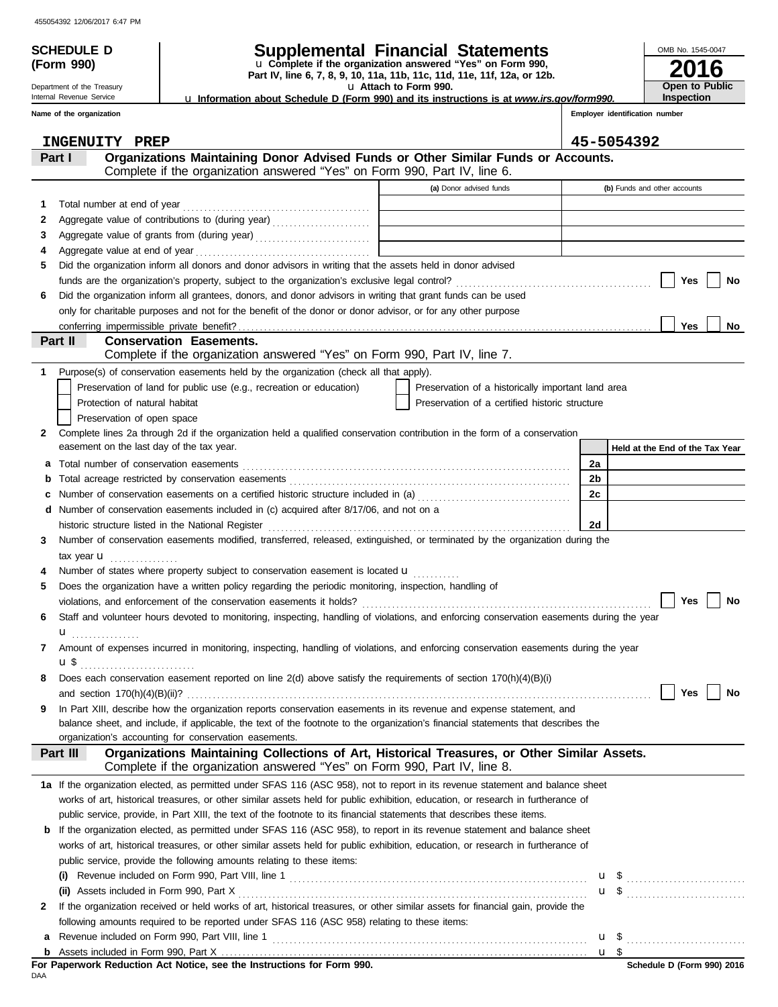**(Form 990)**

Department of the Treasury Internal Revenue Service

# **SCHEDULE D Supplemental Financial Statements**

u **Attach to Form 990. Part IV, line 6, 7, 8, 9, 10, 11a, 11b, 11c, 11d, 11e, 11f, 12a, or 12b.** u **Complete if the organization answered "Yes" on Form 990,**

u **Information about Schedule D (Form 990) and its instructions is at** *www.irs.gov/form990.*

**Inspection**

**2016**

**Open to Public**

OMB No. 1545-0047

|              | Name of the organization                                                                                                                                                              |                                                    |                | Employer identification number  |
|--------------|---------------------------------------------------------------------------------------------------------------------------------------------------------------------------------------|----------------------------------------------------|----------------|---------------------------------|
|              | INGENUITY PREP                                                                                                                                                                        |                                                    |                | 45-5054392                      |
|              | Organizations Maintaining Donor Advised Funds or Other Similar Funds or Accounts.<br>Part I<br>Complete if the organization answered "Yes" on Form 990, Part IV, line 6.              |                                                    |                |                                 |
|              |                                                                                                                                                                                       | (a) Donor advised funds                            |                | (b) Funds and other accounts    |
|              |                                                                                                                                                                                       |                                                    |                |                                 |
| 1.           |                                                                                                                                                                                       |                                                    |                |                                 |
| 2            |                                                                                                                                                                                       |                                                    |                |                                 |
| З            |                                                                                                                                                                                       |                                                    |                |                                 |
| 4            | Did the organization inform all donors and donor advisors in writing that the assets held in donor advised                                                                            |                                                    |                |                                 |
| 5            |                                                                                                                                                                                       |                                                    |                |                                 |
|              |                                                                                                                                                                                       |                                                    |                | Yes<br>No                       |
| 6            | Did the organization inform all grantees, donors, and donor advisors in writing that grant funds can be used                                                                          |                                                    |                |                                 |
|              | only for charitable purposes and not for the benefit of the donor or donor advisor, or for any other purpose                                                                          |                                                    |                | <b>Yes</b><br>No                |
|              | Part II<br><b>Conservation Easements.</b>                                                                                                                                             |                                                    |                |                                 |
|              | Complete if the organization answered "Yes" on Form 990, Part IV, line 7.                                                                                                             |                                                    |                |                                 |
| 1            | Purpose(s) of conservation easements held by the organization (check all that apply).                                                                                                 |                                                    |                |                                 |
|              | Preservation of land for public use (e.g., recreation or education)                                                                                                                   | Preservation of a historically important land area |                |                                 |
|              | Protection of natural habitat                                                                                                                                                         | Preservation of a certified historic structure     |                |                                 |
|              | Preservation of open space                                                                                                                                                            |                                                    |                |                                 |
| 2            | Complete lines 2a through 2d if the organization held a qualified conservation contribution in the form of a conservation                                                             |                                                    |                |                                 |
|              | easement on the last day of the tax year.                                                                                                                                             |                                                    |                | Held at the End of the Tax Year |
| а            | Total number of conservation easements                                                                                                                                                |                                                    | 2a             |                                 |
| b            |                                                                                                                                                                                       |                                                    | 2 <sub>b</sub> |                                 |
|              | Number of conservation easements on a certified historic structure included in (a) [[[[[[[[[[[[[[[[[[[[[[[[[]]]]]]]                                                                   |                                                    | 2c             |                                 |
|              | Number of conservation easements included in (c) acquired after 8/17/06, and not on a                                                                                                 |                                                    |                |                                 |
|              | historic structure listed in the National Register                                                                                                                                    |                                                    | 2d             |                                 |
| 3            | Number of conservation easements modified, transferred, released, extinguished, or terminated by the organization during the                                                          |                                                    |                |                                 |
|              | tax year <b>u</b>                                                                                                                                                                     |                                                    |                |                                 |
|              | Number of states where property subject to conservation easement is located <b>u</b>                                                                                                  |                                                    |                |                                 |
| 5            | Does the organization have a written policy regarding the periodic monitoring, inspection, handling of                                                                                |                                                    |                |                                 |
|              |                                                                                                                                                                                       |                                                    |                | Yes<br>No                       |
| 6            | Staff and volunteer hours devoted to monitoring, inspecting, handling of violations, and enforcing conservation easements during the year                                             |                                                    |                |                                 |
|              | .                                                                                                                                                                                     |                                                    |                |                                 |
|              | Amount of expenses incurred in monitoring, inspecting, handling of violations, and enforcing conservation easements during the year                                                   |                                                    |                |                                 |
|              | u \$                                                                                                                                                                                  |                                                    |                |                                 |
|              | Does each conservation easement reported on line 2(d) above satisfy the requirements of section 170(h)(4)(B)(i)                                                                       |                                                    |                |                                 |
|              | and section $170(h)(4)(B)(ii)?$                                                                                                                                                       |                                                    |                | Yes<br>No                       |
| 9            | In Part XIII, describe how the organization reports conservation easements in its revenue and expense statement, and                                                                  |                                                    |                |                                 |
|              | balance sheet, and include, if applicable, the text of the footnote to the organization's financial statements that describes the                                                     |                                                    |                |                                 |
|              | organization's accounting for conservation easements.                                                                                                                                 |                                                    |                |                                 |
|              | Organizations Maintaining Collections of Art, Historical Treasures, or Other Similar Assets.<br>Part III<br>Complete if the organization answered "Yes" on Form 990, Part IV, line 8. |                                                    |                |                                 |
|              |                                                                                                                                                                                       |                                                    |                |                                 |
|              | 1a If the organization elected, as permitted under SFAS 116 (ASC 958), not to report in its revenue statement and balance sheet                                                       |                                                    |                |                                 |
|              | works of art, historical treasures, or other similar assets held for public exhibition, education, or research in furtherance of                                                      |                                                    |                |                                 |
|              | public service, provide, in Part XIII, the text of the footnote to its financial statements that describes these items.                                                               |                                                    |                |                                 |
| b            | If the organization elected, as permitted under SFAS 116 (ASC 958), to report in its revenue statement and balance sheet                                                              |                                                    |                |                                 |
|              | works of art, historical treasures, or other similar assets held for public exhibition, education, or research in furtherance of                                                      |                                                    |                |                                 |
|              | public service, provide the following amounts relating to these items:                                                                                                                |                                                    |                |                                 |
|              |                                                                                                                                                                                       |                                                    |                | $\mathbf{u}$ \$                 |
|              | (ii) Assets included in Form 990, Part X                                                                                                                                              |                                                    |                |                                 |
| $\mathbf{2}$ | If the organization received or held works of art, historical treasures, or other similar assets for financial gain, provide the                                                      |                                                    |                |                                 |
|              | following amounts required to be reported under SFAS 116 (ASC 958) relating to these items:                                                                                           |                                                    |                |                                 |
| а            |                                                                                                                                                                                       |                                                    |                |                                 |
|              |                                                                                                                                                                                       |                                                    |                | u \$                            |

DAA **For Paperwork Reduction Act Notice, see the Instructions for Form 990.**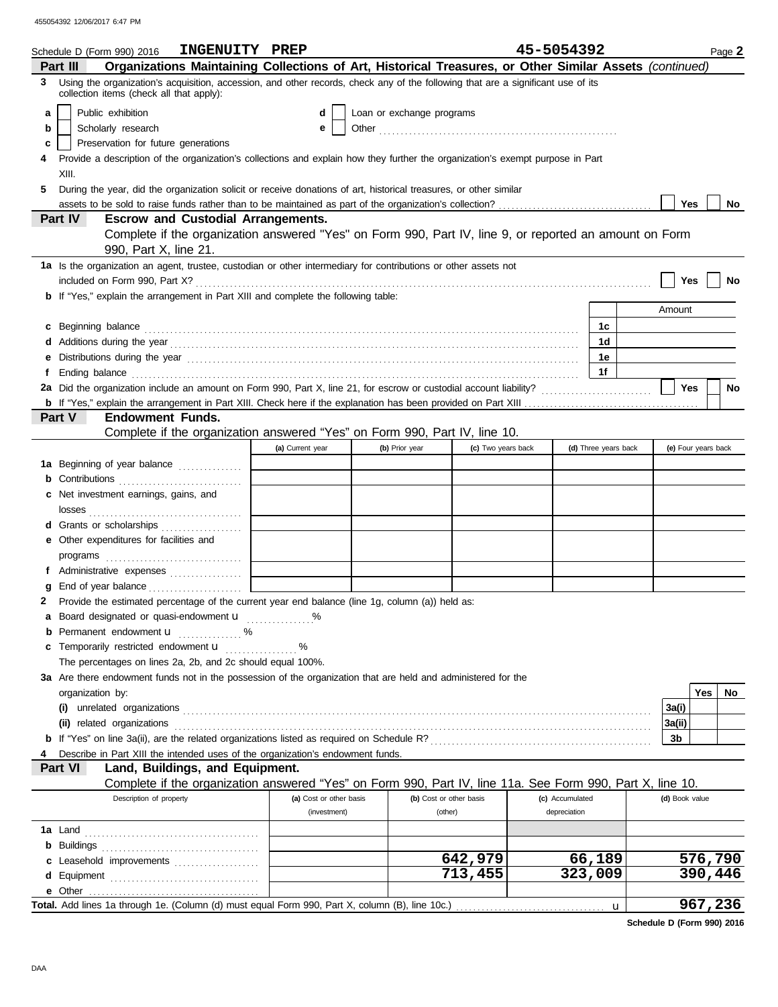|    | INGENUITY PREP<br>Schedule D (Form 990) 2016                                                                                                                                                                                        |                         |                           |                         | 45-5054392      |                      |                     | Page 2            |
|----|-------------------------------------------------------------------------------------------------------------------------------------------------------------------------------------------------------------------------------------|-------------------------|---------------------------|-------------------------|-----------------|----------------------|---------------------|-------------------|
|    | Organizations Maintaining Collections of Art, Historical Treasures, or Other Similar Assets (continued)<br>Part III                                                                                                                 |                         |                           |                         |                 |                      |                     |                   |
| 3. | Using the organization's acquisition, accession, and other records, check any of the following that are a significant use of its<br>collection items (check all that apply):                                                        |                         |                           |                         |                 |                      |                     |                   |
| a  | Public exhibition                                                                                                                                                                                                                   | d                       | Loan or exchange programs |                         |                 |                      |                     |                   |
| b  | Scholarly research                                                                                                                                                                                                                  | е                       |                           |                         |                 |                      |                     |                   |
| c  | Preservation for future generations                                                                                                                                                                                                 |                         |                           |                         |                 |                      |                     |                   |
|    | Provide a description of the organization's collections and explain how they further the organization's exempt purpose in Part                                                                                                      |                         |                           |                         |                 |                      |                     |                   |
|    | XIII.                                                                                                                                                                                                                               |                         |                           |                         |                 |                      |                     |                   |
| 5  | During the year, did the organization solicit or receive donations of art, historical treasures, or other similar                                                                                                                   |                         |                           |                         |                 |                      |                     |                   |
|    |                                                                                                                                                                                                                                     |                         |                           |                         |                 |                      | Yes                 | No                |
|    | Part IV<br><b>Escrow and Custodial Arrangements.</b>                                                                                                                                                                                |                         |                           |                         |                 |                      |                     |                   |
|    | Complete if the organization answered "Yes" on Form 990, Part IV, line 9, or reported an amount on Form                                                                                                                             |                         |                           |                         |                 |                      |                     |                   |
|    | 990, Part X, line 21.                                                                                                                                                                                                               |                         |                           |                         |                 |                      |                     |                   |
|    | 1a Is the organization an agent, trustee, custodian or other intermediary for contributions or other assets not                                                                                                                     |                         |                           |                         |                 |                      |                     |                   |
|    |                                                                                                                                                                                                                                     |                         |                           |                         |                 |                      | Yes                 | No                |
|    | <b>b</b> If "Yes," explain the arrangement in Part XIII and complete the following table:                                                                                                                                           |                         |                           |                         |                 |                      | Amount              |                   |
|    |                                                                                                                                                                                                                                     |                         |                           |                         |                 |                      |                     |                   |
| c  |                                                                                                                                                                                                                                     |                         |                           |                         |                 | 1c                   |                     |                   |
|    |                                                                                                                                                                                                                                     |                         |                           |                         |                 | 1d                   |                     |                   |
| е  |                                                                                                                                                                                                                                     |                         |                           |                         |                 | 1е                   |                     |                   |
| f  | Ending balance <b>construction and the construction of the construction</b> of the construction of the construction of the construction of the construction of the construction of the construction of the construction of the cons |                         |                           |                         |                 | 1f                   |                     |                   |
|    |                                                                                                                                                                                                                                     |                         |                           |                         |                 |                      | Yes                 | <b>No</b>         |
|    | <b>Endowment Funds.</b><br><b>Part V</b>                                                                                                                                                                                            |                         |                           |                         |                 |                      |                     |                   |
|    | Complete if the organization answered "Yes" on Form 990, Part IV, line 10.                                                                                                                                                          |                         |                           |                         |                 |                      |                     |                   |
|    |                                                                                                                                                                                                                                     | (a) Current year        | (b) Prior year            | (c) Two years back      |                 | (d) Three years back | (e) Four years back |                   |
|    | 1a Beginning of year balance                                                                                                                                                                                                        |                         |                           |                         |                 |                      |                     |                   |
|    | <b>b</b> Contributions <b>contributions</b>                                                                                                                                                                                         |                         |                           |                         |                 |                      |                     |                   |
|    | c Net investment earnings, gains, and                                                                                                                                                                                               |                         |                           |                         |                 |                      |                     |                   |
|    |                                                                                                                                                                                                                                     |                         |                           |                         |                 |                      |                     |                   |
|    | d Grants or scholarships                                                                                                                                                                                                            |                         |                           |                         |                 |                      |                     |                   |
|    | e Other expenditures for facilities and                                                                                                                                                                                             |                         |                           |                         |                 |                      |                     |                   |
|    |                                                                                                                                                                                                                                     |                         |                           |                         |                 |                      |                     |                   |
|    | f Administrative expenses                                                                                                                                                                                                           |                         |                           |                         |                 |                      |                     |                   |
| a  |                                                                                                                                                                                                                                     |                         |                           |                         |                 |                      |                     |                   |
| 2  | Provide the estimated percentage of the current year end balance (line 1g, column (a)) held as:                                                                                                                                     |                         |                           |                         |                 |                      |                     |                   |
|    | a Board designated or quasi-endowment <b>u</b> %                                                                                                                                                                                    |                         |                           |                         |                 |                      |                     |                   |
| b  | Permanent endowment <b>u</b> %                                                                                                                                                                                                      |                         |                           |                         |                 |                      |                     |                   |
| c  | Temporarily restricted endowment <b>u</b> %                                                                                                                                                                                         |                         |                           |                         |                 |                      |                     |                   |
|    | The percentages on lines 2a, 2b, and 2c should equal 100%.                                                                                                                                                                          |                         |                           |                         |                 |                      |                     |                   |
|    | 3a Are there endowment funds not in the possession of the organization that are held and administered for the                                                                                                                       |                         |                           |                         |                 |                      |                     |                   |
|    | organization by:                                                                                                                                                                                                                    |                         |                           |                         |                 |                      |                     | <b>Yes</b><br>No. |
|    |                                                                                                                                                                                                                                     |                         |                           |                         |                 |                      | 3a(i)               |                   |
|    | (ii) related organizations <b>contained</b> and contained a set of the contact of the contact or contained a set of the contact or contact or contact or contact or contact or contact or contact or contact or contact or contact  |                         |                           |                         |                 |                      | 3a(ii)              |                   |
|    |                                                                                                                                                                                                                                     |                         |                           |                         |                 |                      | 3b                  |                   |
|    | Describe in Part XIII the intended uses of the organization's endowment funds.                                                                                                                                                      |                         |                           |                         |                 |                      |                     |                   |
|    | Land, Buildings, and Equipment.<br>Part VI                                                                                                                                                                                          |                         |                           |                         |                 |                      |                     |                   |
|    | Complete if the organization answered "Yes" on Form 990, Part IV, line 11a. See Form 990, Part X, line 10.                                                                                                                          |                         |                           |                         |                 |                      |                     |                   |
|    | Description of property                                                                                                                                                                                                             | (a) Cost or other basis |                           | (b) Cost or other basis | (c) Accumulated |                      | (d) Book value      |                   |
|    |                                                                                                                                                                                                                                     | (investment)            |                           | (other)                 | depreciation    |                      |                     |                   |
|    |                                                                                                                                                                                                                                     |                         |                           |                         |                 |                      |                     |                   |
|    |                                                                                                                                                                                                                                     |                         |                           |                         |                 |                      |                     |                   |
|    | c Leasehold improvements                                                                                                                                                                                                            |                         |                           | 642,979                 |                 | 66,189               |                     | 576,790           |
|    |                                                                                                                                                                                                                                     |                         |                           | 713,455                 |                 | 323,009              |                     | 390,446           |
|    | e Other                                                                                                                                                                                                                             |                         |                           |                         |                 |                      |                     |                   |
|    | Total. Add lines 1a through 1e. (Column (d) must equal Form 990, Part X, column (B), line 10c.)                                                                                                                                     |                         |                           |                         |                 | u                    |                     | 967,236           |

**Schedule D (Form 990) 2016**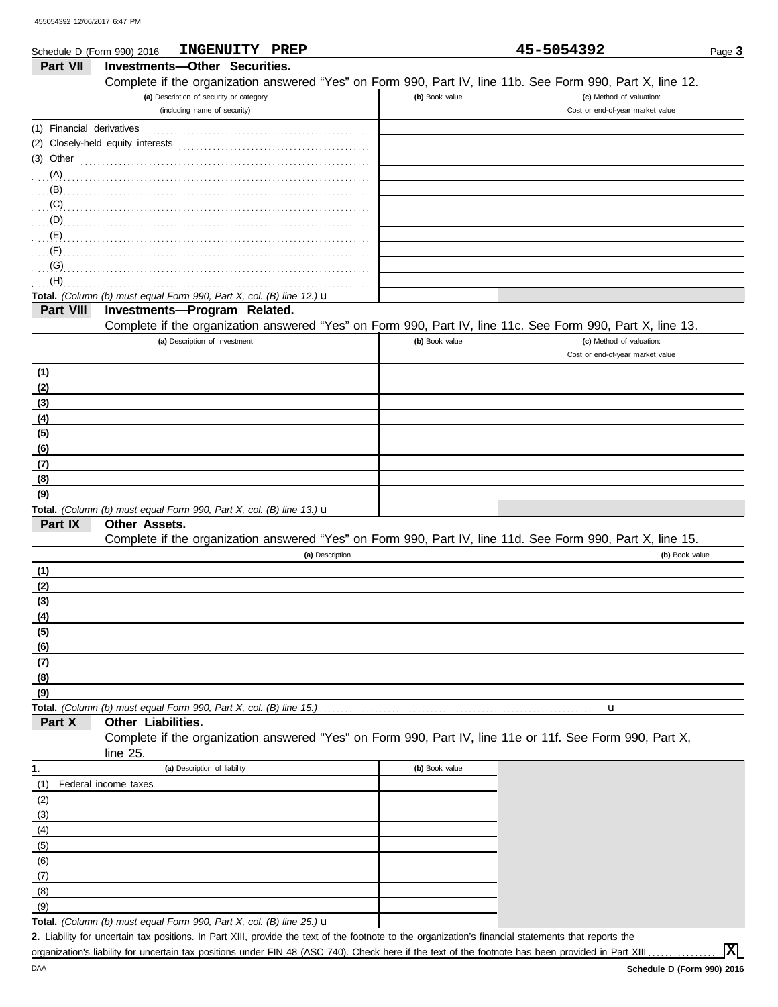|                           | INGENUITY PREP<br>Schedule D (Form 990) 2016                                                                         |                | 45-5054392                       | Page 3         |
|---------------------------|----------------------------------------------------------------------------------------------------------------------|----------------|----------------------------------|----------------|
| Part VII                  | Investments-Other Securities.                                                                                        |                |                                  |                |
|                           | Complete if the organization answered "Yes" on Form 990, Part IV, line 11b. See Form 990, Part X, line 12.           |                |                                  |                |
|                           | (a) Description of security or category                                                                              | (b) Book value | (c) Method of valuation:         |                |
|                           | (including name of security)                                                                                         |                | Cost or end-of-year market value |                |
| (1) Financial derivatives |                                                                                                                      |                |                                  |                |
|                           | (2) Closely-held equity interests                                                                                    |                |                                  |                |
| (3) Other                 |                                                                                                                      |                |                                  |                |
| (A)                       |                                                                                                                      |                |                                  |                |
| (B)                       |                                                                                                                      |                |                                  |                |
| (C)                       |                                                                                                                      |                |                                  |                |
| (D)                       |                                                                                                                      |                |                                  |                |
| (E)                       |                                                                                                                      |                |                                  |                |
| (F)                       |                                                                                                                      |                |                                  |                |
| (G)                       |                                                                                                                      |                |                                  |                |
| (H)                       |                                                                                                                      |                |                                  |                |
|                           | Total. (Column (b) must equal Form 990, Part X, col. (B) line 12.) u                                                 |                |                                  |                |
| Part VIII                 | Investments-Program Related.                                                                                         |                |                                  |                |
|                           | Complete if the organization answered "Yes" on Form 990, Part IV, line 11c. See Form 990, Part X, line 13.           |                |                                  |                |
|                           | (a) Description of investment                                                                                        | (b) Book value | (c) Method of valuation:         |                |
|                           |                                                                                                                      |                | Cost or end-of-year market value |                |
| (1)                       |                                                                                                                      |                |                                  |                |
| (2)                       |                                                                                                                      |                |                                  |                |
| (3)                       |                                                                                                                      |                |                                  |                |
| (4)                       |                                                                                                                      |                |                                  |                |
| (5)                       |                                                                                                                      |                |                                  |                |
| (6)                       |                                                                                                                      |                |                                  |                |
| (7)                       |                                                                                                                      |                |                                  |                |
| (8)                       |                                                                                                                      |                |                                  |                |
| (9)                       |                                                                                                                      |                |                                  |                |
|                           | Total. (Column (b) must equal Form 990, Part X, col. (B) line 13.) $\mathbf u$                                       |                |                                  |                |
| Part IX                   | Other Assets.                                                                                                        |                |                                  |                |
|                           | Complete if the organization answered "Yes" on Form 990, Part IV, line 11d. See Form 990, Part X, line 15.           |                |                                  |                |
|                           | (a) Description                                                                                                      |                |                                  | (b) Book value |
| (1)                       |                                                                                                                      |                |                                  |                |
| (2)                       |                                                                                                                      |                |                                  |                |
| (3)                       |                                                                                                                      |                |                                  |                |
| (4)                       |                                                                                                                      |                |                                  |                |
| (5)                       |                                                                                                                      |                |                                  |                |
| (6)                       |                                                                                                                      |                |                                  |                |
| (7)                       |                                                                                                                      |                |                                  |                |
| (8)                       |                                                                                                                      |                |                                  |                |
| (9)                       |                                                                                                                      |                |                                  |                |
|                           | Total. (Column (b) must equal Form 990, Part X, col. (B) line 15.)<br>Other Liabilities.                             |                | u                                |                |
| Part X                    |                                                                                                                      |                |                                  |                |
|                           | Complete if the organization answered "Yes" on Form 990, Part IV, line 11e or 11f. See Form 990, Part X,<br>line 25. |                |                                  |                |
|                           |                                                                                                                      |                |                                  |                |
| 1.                        | (a) Description of liability                                                                                         | (b) Book value |                                  |                |
| (1)                       | Federal income taxes                                                                                                 |                |                                  |                |
| (2)                       |                                                                                                                      |                |                                  |                |
| (3)                       |                                                                                                                      |                |                                  |                |
| (4)                       |                                                                                                                      |                |                                  |                |
| (5)                       |                                                                                                                      |                |                                  |                |
| (6)                       |                                                                                                                      |                |                                  |                |
| (7)                       |                                                                                                                      |                |                                  |                |

**Total.** *(Column (b) must equal Form 990, Part X, col. (B) line 25.)* u (9)

Liability for uncertain tax positions. In Part XIII, provide the text of the footnote to the organization's financial statements that reports the **2.** organization's liability for uncertain tax positions under FIN 48 (ASC 740). Check here if the text of the footnote has been provided in Part XIII .

**X**

(8)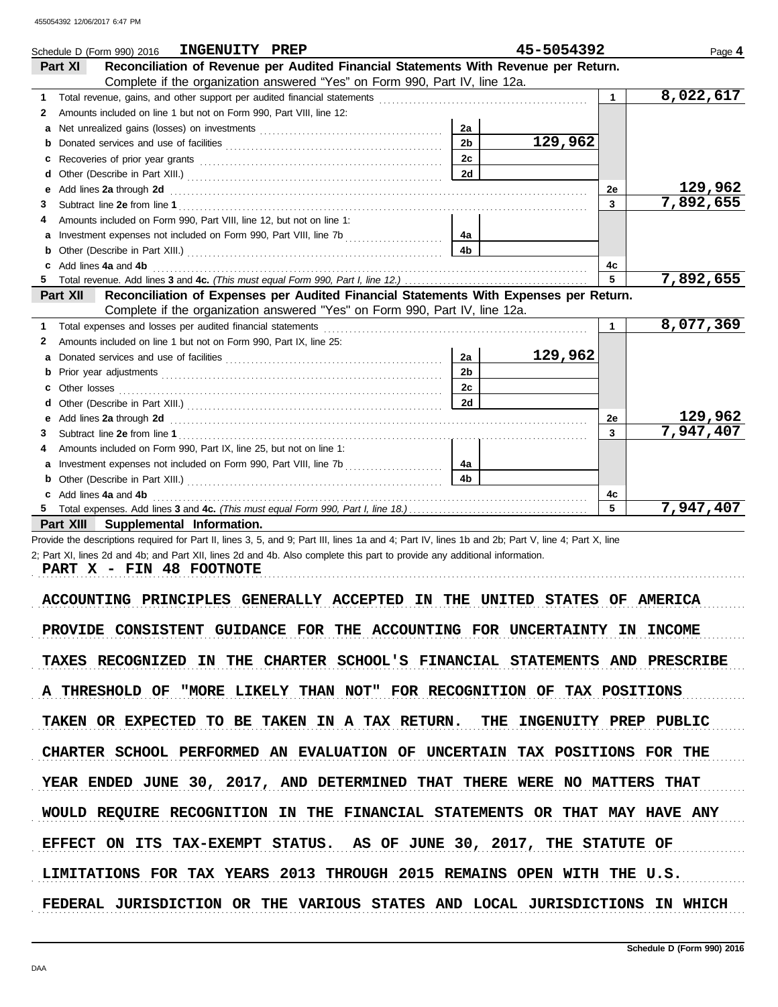|             | INGENUITY PREP<br>Schedule D (Form 990) 2016                                                                                                                                                                                         |                | 45-5054392 |                      | Page 4    |
|-------------|--------------------------------------------------------------------------------------------------------------------------------------------------------------------------------------------------------------------------------------|----------------|------------|----------------------|-----------|
| Part XI     | Reconciliation of Revenue per Audited Financial Statements With Revenue per Return.                                                                                                                                                  |                |            |                      |           |
|             | Complete if the organization answered "Yes" on Form 990, Part IV, line 12a.                                                                                                                                                          |                |            |                      |           |
| $\mathbf 1$ |                                                                                                                                                                                                                                      |                |            | $\blacktriangleleft$ | 8,022,617 |
| 2           | Amounts included on line 1 but not on Form 990, Part VIII, line 12:                                                                                                                                                                  |                |            |                      |           |
| a           |                                                                                                                                                                                                                                      | 2a             |            |                      |           |
| b           |                                                                                                                                                                                                                                      | 2 <sub>b</sub> | 129,962    |                      |           |
| c           |                                                                                                                                                                                                                                      | 2c             |            |                      |           |
| d           |                                                                                                                                                                                                                                      | 2d             |            |                      |           |
| е           | Add lines 2a through 2d [11] Add [12] Add lines 2a through 2d [12] Add lines 2a through 2d [12] Add lines 2a through 2d                                                                                                              |                |            | 2е                   | 129,962   |
| 3.          |                                                                                                                                                                                                                                      |                |            | $\mathbf{3}$         | 7,892,655 |
|             | Amounts included on Form 990, Part VIII, line 12, but not on line 1:                                                                                                                                                                 |                |            |                      |           |
|             |                                                                                                                                                                                                                                      | 4а             |            |                      |           |
| b           |                                                                                                                                                                                                                                      | 4 <sub>b</sub> |            |                      |           |
| c           | Add lines 4a and 4b                                                                                                                                                                                                                  |                |            | 4c                   |           |
|             |                                                                                                                                                                                                                                      |                |            | 5 <sup>1</sup>       | 7,892,655 |
|             | Reconciliation of Expenses per Audited Financial Statements With Expenses per Return.<br><b>Part XII</b>                                                                                                                             |                |            |                      |           |
|             | Complete if the organization answered "Yes" on Form 990, Part IV, line 12a.                                                                                                                                                          |                |            |                      |           |
|             |                                                                                                                                                                                                                                      |                |            | $\mathbf 1$          | 8,077,369 |
| 2.          | Amounts included on line 1 but not on Form 990, Part IX, line 25:                                                                                                                                                                    |                |            |                      |           |
| a           |                                                                                                                                                                                                                                      | 2a             | 129,962    |                      |           |
| b           |                                                                                                                                                                                                                                      | 2 <sub>b</sub> |            |                      |           |
| c           |                                                                                                                                                                                                                                      | 2c             |            |                      |           |
|             |                                                                                                                                                                                                                                      | 2d             |            |                      |           |
| е           | Add lines 2a through 2d <b>contained a contained a contained a contained a contained a contained a contained a contained a contained a contained a contained a contained a contained a contained a contained a contained a conta</b> |                |            | 2е                   | 129,962   |
| 3           |                                                                                                                                                                                                                                      |                |            | $\mathbf{3}$         | 7,947,407 |
|             | Amounts included on Form 990, Part IX, line 25, but not on line 1:                                                                                                                                                                   |                |            |                      |           |
| a           |                                                                                                                                                                                                                                      | 4a             |            |                      |           |
|             |                                                                                                                                                                                                                                      | 4 <sub>b</sub> |            |                      |           |
|             | Add lines 4a and 4b                                                                                                                                                                                                                  |                |            | 4c                   |           |
|             |                                                                                                                                                                                                                                      |                |            | 5                    | 7,947,407 |
|             | Supplemental Information.<br>Part XIII                                                                                                                                                                                               |                |            |                      |           |

Provide the descriptions required for Part II, lines 3, 5, and 9; Part III, lines 1a and 4; Part IV, lines 1b and 2b; Part V, line 4; Part X, line 2; Part XI, lines 2d and 4b; and Part XII, lines 2d and 4b. Also complete this part to provide any additional information.

**PART X - FIN 48 FOOTNOTE**

ACCOUNTING PRINCIPLES GENERALLY ACCEPTED IN THE UNITED STATES OF AMERICA PROVIDE CONSISTENT GUIDANCE FOR THE ACCOUNTING FOR UNCERTAINTY IN INCOME TAXES RECOGNIZED IN THE CHARTER SCHOOL'S FINANCIAL STATEMENTS AND PRESCRIBE A THRESHOLD OF "MORE LIKELY THAN NOT" FOR RECOGNITION OF TAX POSITIONS TAKEN OR EXPECTED TO BE TAKEN IN A TAX RETURN. THE INGENUITY PREP PUBLIC CHARTER SCHOOL PERFORMED AN EVALUATION OF UNCERTAIN TAX POSITIONS FOR THE EFFECT ON ITS TAX-EXEMPT STATUS. AS OF JUNE 30, 2017, THE STATUTE OF YEAR ENDED JUNE 30, 2017, AND DETERMINED THAT THERE WERE NO MATTERS THAT WOULD REQUIRE RECOGNITION IN THE FINANCIAL STATEMENTS OR THAT MAY HAVE ANY LIMITATIONS FOR TAX YEARS 2013 THROUGH 2015 REMAINS OPEN WITH THE U.S. FEDERAL JURISDICTION OR THE VARIOUS STATES AND LOCAL JURISDICTIONS IN WHICH

. . . . . . . . . . . . . . . . . . . . . . . . . . . . . . . . . . . . . . . . . . . . . . . . . . . . . . . . . . . . . . . . . . . . . . . . . . . . . . . . . . . . . . . . . . . . . . . . . . . . . . . . . . . . . . . . . . . . . . . . . . . . . . . . . . . . . . . . . . . . . . . . . . . . . . . . . . . . . . . . . . . . . . .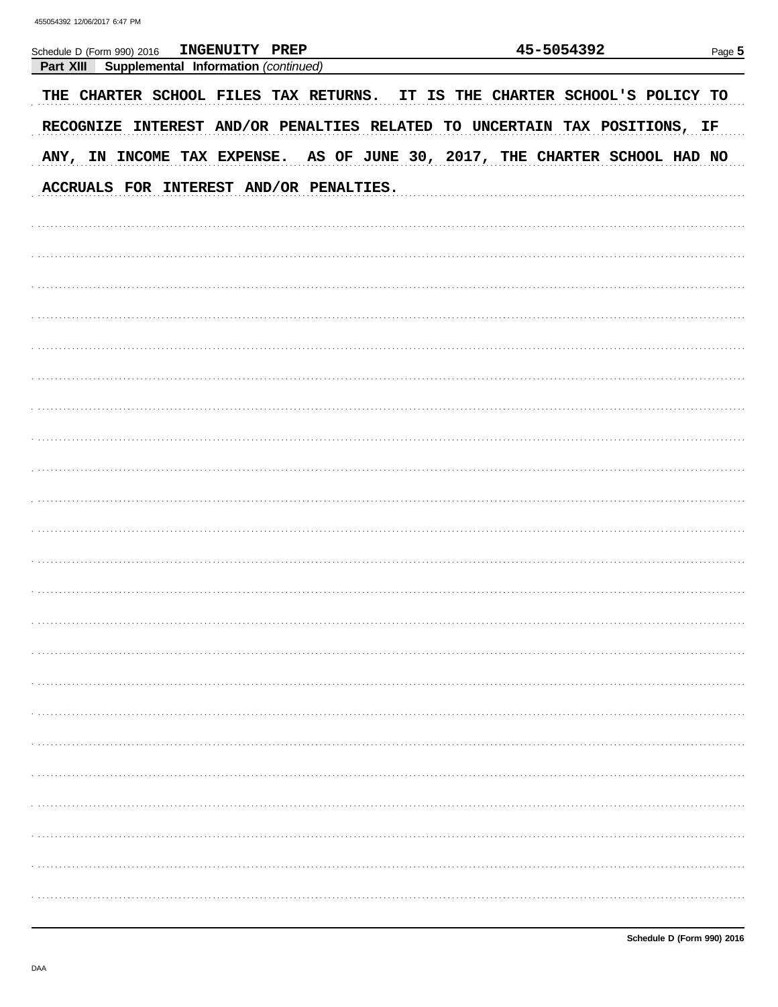| INGENUITY PREP<br>Schedule D (Form 990) 2016                               | 45-5054392                           | Page $5$ |
|----------------------------------------------------------------------------|--------------------------------------|----------|
| Part XIII<br>Supplemental Information (continued)                          |                                      |          |
| THE CHARTER SCHOOL FILES TAX RETURNS.                                      | IT IS THE CHARTER SCHOOL'S POLICY TO |          |
| RECOGNIZE INTEREST AND/OR PENALTIES RELATED TO UNCERTAIN TAX POSITIONS, IF |                                      |          |
| ANY, IN INCOME TAX EXPENSE. AS OF JUNE 30, 2017, THE CHARTER SCHOOL HAD NO |                                      |          |
| ACCRUALS FOR INTEREST AND/OR PENALTIES.                                    |                                      |          |
|                                                                            |                                      |          |
|                                                                            |                                      |          |
|                                                                            |                                      |          |
|                                                                            |                                      |          |
|                                                                            |                                      |          |
|                                                                            |                                      |          |
|                                                                            |                                      |          |
|                                                                            |                                      |          |
|                                                                            |                                      |          |
|                                                                            |                                      |          |
|                                                                            |                                      |          |
|                                                                            |                                      |          |
|                                                                            |                                      |          |
|                                                                            |                                      |          |
|                                                                            |                                      |          |
|                                                                            |                                      |          |
|                                                                            |                                      |          |
|                                                                            |                                      |          |
|                                                                            |                                      |          |
|                                                                            |                                      |          |
|                                                                            |                                      |          |
|                                                                            |                                      |          |
|                                                                            |                                      |          |
|                                                                            |                                      |          |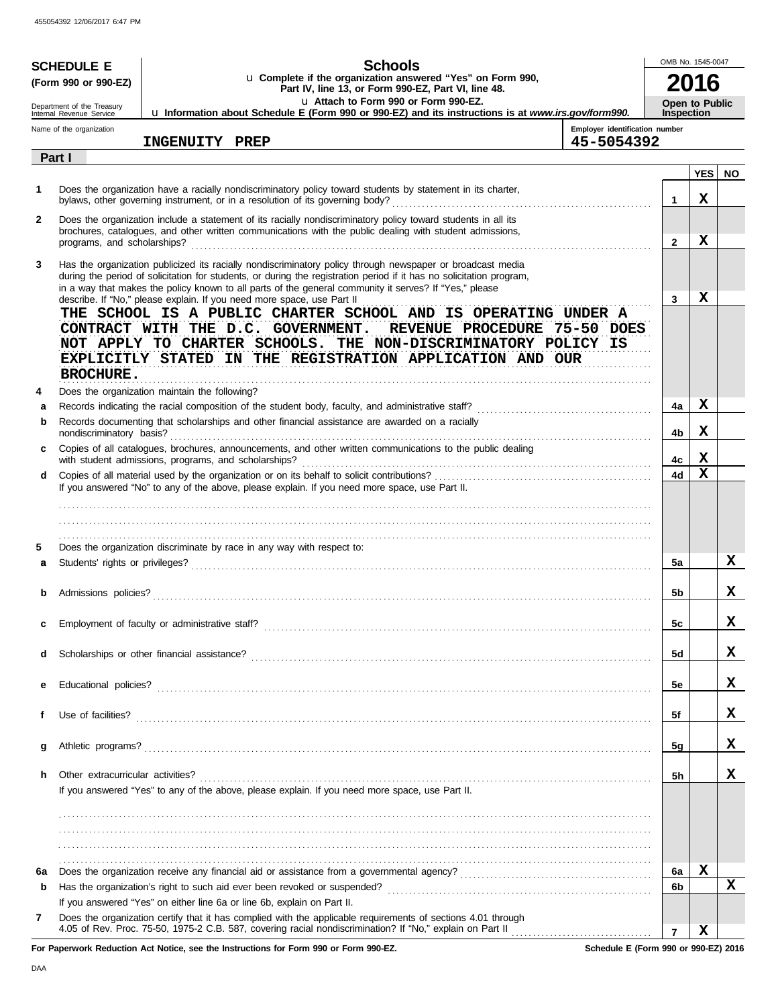|              | <b>SCHEDULE E</b>                                                                                                                                                  | <b>Schools</b>                                                                                                                                                                                                                                                                                                                                |                                              | OMB No. 1545-0047                   |            |           |
|--------------|--------------------------------------------------------------------------------------------------------------------------------------------------------------------|-----------------------------------------------------------------------------------------------------------------------------------------------------------------------------------------------------------------------------------------------------------------------------------------------------------------------------------------------|----------------------------------------------|-------------------------------------|------------|-----------|
|              | (Form 990 or 990-EZ)                                                                                                                                               | u Complete if the organization answered "Yes" on Form 990,<br>Part IV, line 13, or Form 990-EZ, Part VI, line 48.                                                                                                                                                                                                                             |                                              |                                     |            |           |
|              | Department of the Treasury<br>Internal Revenue Service                                                                                                             | La Attach to Form 990 or Form 990-EZ.<br>Lu Information about Schedule E (Form 990 or 990-EZ) and its instructions is at www.irs.gov/form990.                                                                                                                                                                                                 |                                              | Open to Public<br><b>Inspection</b> |            |           |
|              | Name of the organization                                                                                                                                           | INGENUITY PREP                                                                                                                                                                                                                                                                                                                                | Employer identification number<br>45-5054392 |                                     |            |           |
|              | Part I                                                                                                                                                             |                                                                                                                                                                                                                                                                                                                                               |                                              |                                     |            |           |
|              |                                                                                                                                                                    |                                                                                                                                                                                                                                                                                                                                               |                                              |                                     | <b>YES</b> | <b>NO</b> |
| 1            |                                                                                                                                                                    | Does the organization have a racially nondiscriminatory policy toward students by statement in its charter,                                                                                                                                                                                                                                   |                                              | 1                                   | x          |           |
| $\mathbf{2}$ |                                                                                                                                                                    | Does the organization include a statement of its racially nondiscriminatory policy toward students in all its<br>brochures, catalogues, and other written communications with the public dealing with student admissions,                                                                                                                     |                                              | $\overline{2}$                      | x          |           |
| 3            |                                                                                                                                                                    | Has the organization publicized its racially nondiscriminatory policy through newspaper or broadcast media<br>during the period of solicitation for students, or during the registration period if it has no solicitation program,<br>in a way that makes the policy known to all parts of the general community it serves? If "Yes," please  |                                              | 3                                   | x          |           |
|              | <b>BROCHURE.</b>                                                                                                                                                   | describe. If "No," please explain. If you need more space, use Part II<br>THE SCHOOL IS A PUBLIC CHARTER SCHOOL AND IS OPERATING UNDER A<br>CONTRACT WITH THE D.C. GOVERNMENT.<br>REVENUE PROCEDURE 75-50 DOES<br>NOT APPLY TO CHARTER SCHOOLS. THE NON-DISCRIMINATORY POLICY IS<br>EXPLICITLY STATED IN THE REGISTRATION APPLICATION AND OUR |                                              |                                     |            |           |
| 4            |                                                                                                                                                                    | Does the organization maintain the following?                                                                                                                                                                                                                                                                                                 |                                              |                                     |            |           |
| a            |                                                                                                                                                                    |                                                                                                                                                                                                                                                                                                                                               |                                              | 4a                                  | x          |           |
| b            | nondiscriminatory basis?                                                                                                                                           | Records documenting that scholarships and other financial assistance are awarded on a racially                                                                                                                                                                                                                                                |                                              | 4b                                  | X          |           |
| c            | Copies of all catalogues, brochures, announcements, and other written communications to the public dealing<br>with student admissions, programs, and scholarships? |                                                                                                                                                                                                                                                                                                                                               |                                              |                                     | х          |           |
| d            |                                                                                                                                                                    |                                                                                                                                                                                                                                                                                                                                               |                                              | 4c<br>4d                            | X          |           |
|              |                                                                                                                                                                    | If you answered "No" to any of the above, please explain. If you need more space, use Part II.                                                                                                                                                                                                                                                |                                              |                                     |            |           |
|              |                                                                                                                                                                    |                                                                                                                                                                                                                                                                                                                                               |                                              |                                     |            |           |
|              |                                                                                                                                                                    |                                                                                                                                                                                                                                                                                                                                               |                                              |                                     |            |           |
| 5            |                                                                                                                                                                    | Does the organization discriminate by race in any way with respect to:                                                                                                                                                                                                                                                                        |                                              |                                     |            |           |
| a            |                                                                                                                                                                    |                                                                                                                                                                                                                                                                                                                                               |                                              | 5a                                  |            | x         |
| b            | Admissions policies?                                                                                                                                               |                                                                                                                                                                                                                                                                                                                                               |                                              |                                     |            | x         |
|              |                                                                                                                                                                    |                                                                                                                                                                                                                                                                                                                                               |                                              |                                     |            |           |
| c            |                                                                                                                                                                    |                                                                                                                                                                                                                                                                                                                                               |                                              | 5c                                  |            | x         |
| d            |                                                                                                                                                                    |                                                                                                                                                                                                                                                                                                                                               |                                              | <b>5d</b>                           |            | x         |
|              |                                                                                                                                                                    |                                                                                                                                                                                                                                                                                                                                               |                                              |                                     |            |           |
| е            |                                                                                                                                                                    |                                                                                                                                                                                                                                                                                                                                               |                                              | 5e                                  |            | x         |
| f            |                                                                                                                                                                    |                                                                                                                                                                                                                                                                                                                                               |                                              | 5f                                  |            | x         |
| g            |                                                                                                                                                                    |                                                                                                                                                                                                                                                                                                                                               |                                              | 5g                                  |            | x         |
|              |                                                                                                                                                                    |                                                                                                                                                                                                                                                                                                                                               |                                              |                                     |            |           |
| h.           | Other extracurricular activities?                                                                                                                                  | If you answered "Yes" to any of the above, please explain. If you need more space, use Part II.                                                                                                                                                                                                                                               |                                              | 5h                                  |            | x         |
|              |                                                                                                                                                                    |                                                                                                                                                                                                                                                                                                                                               |                                              |                                     |            |           |
|              |                                                                                                                                                                    |                                                                                                                                                                                                                                                                                                                                               |                                              |                                     |            |           |
|              |                                                                                                                                                                    |                                                                                                                                                                                                                                                                                                                                               |                                              |                                     |            |           |
| 6a           |                                                                                                                                                                    |                                                                                                                                                                                                                                                                                                                                               |                                              | 6а                                  | x          |           |
| b            |                                                                                                                                                                    |                                                                                                                                                                                                                                                                                                                                               |                                              | 6b                                  |            | x         |
| 7            |                                                                                                                                                                    | If you answered "Yes" on either line 6a or line 6b, explain on Part II.<br>Does the organization certify that it has complied with the applicable requirements of sections 4.01 through                                                                                                                                                       |                                              |                                     |            |           |
|              |                                                                                                                                                                    |                                                                                                                                                                                                                                                                                                                                               |                                              | $\overline{7}$                      | x          |           |

**For Paperwork Reduction Act Notice, see the Instructions for Form 990 or Form 990-EZ.**

**Schedule E (Form 990 or 990-EZ) 2016**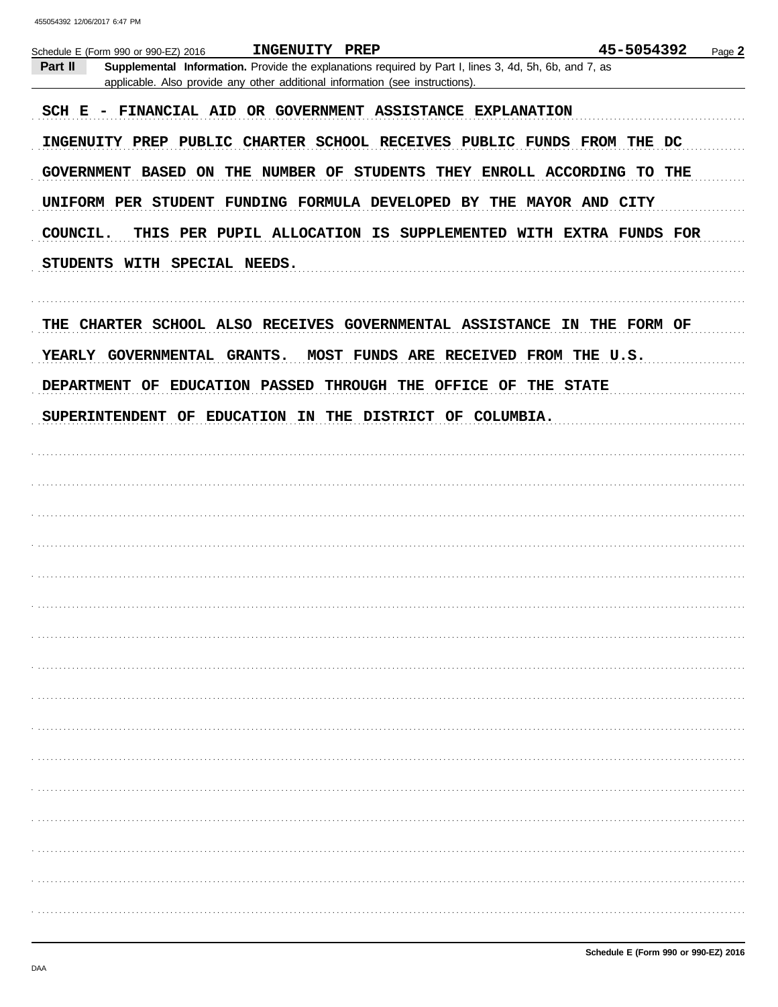|                                                                                                                                                                                                   | 45-5054392<br>Page 2                  |
|---------------------------------------------------------------------------------------------------------------------------------------------------------------------------------------------------|---------------------------------------|
| Part II<br>Supplemental Information. Provide the explanations required by Part I, lines 3, 4d, 5h, 6b, and 7, as<br>applicable. Also provide any other additional information (see instructions). |                                       |
| SCH E - FINANCIAL AID OR GOVERNMENT ASSISTANCE EXPLANATION                                                                                                                                        |                                       |
| INGENUITY PREP PUBLIC CHARTER SCHOOL RECEIVES PUBLIC FUNDS FROM THE DC                                                                                                                            |                                       |
| GOVERNMENT BASED ON THE NUMBER OF STUDENTS THEY ENROLL ACCORDING TO THE                                                                                                                           |                                       |
| UNIFORM PER STUDENT FUNDING FORMULA DEVELOPED BY THE MAYOR AND CITY                                                                                                                               |                                       |
| COUNCIL.<br>THIS PER PUPIL ALLOCATION IS SUPPLEMENTED WITH EXTRA FUNDS FOR                                                                                                                        |                                       |
| STUDENTS WITH SPECIAL NEEDS.                                                                                                                                                                      |                                       |
| THE CHARTER SCHOOL ALSO RECEIVES GOVERNMENTAL ASSISTANCE IN THE FORM OF                                                                                                                           |                                       |
| YEARLY GOVERNMENTAL GRANTS.                                                                                                                                                                       | MOST FUNDS ARE RECEIVED FROM THE U.S. |
| DEPARTMENT OF EDUCATION PASSED THROUGH THE OFFICE OF THE STATE                                                                                                                                    |                                       |
| SUPERINTENDENT OF EDUCATION IN THE DISTRICT OF COLUMBIA.                                                                                                                                          |                                       |
|                                                                                                                                                                                                   |                                       |
|                                                                                                                                                                                                   |                                       |
|                                                                                                                                                                                                   |                                       |
|                                                                                                                                                                                                   |                                       |
|                                                                                                                                                                                                   |                                       |
|                                                                                                                                                                                                   |                                       |
|                                                                                                                                                                                                   |                                       |
|                                                                                                                                                                                                   |                                       |
|                                                                                                                                                                                                   |                                       |
|                                                                                                                                                                                                   |                                       |
|                                                                                                                                                                                                   |                                       |
|                                                                                                                                                                                                   |                                       |
|                                                                                                                                                                                                   |                                       |
|                                                                                                                                                                                                   |                                       |
|                                                                                                                                                                                                   |                                       |
|                                                                                                                                                                                                   |                                       |
|                                                                                                                                                                                                   |                                       |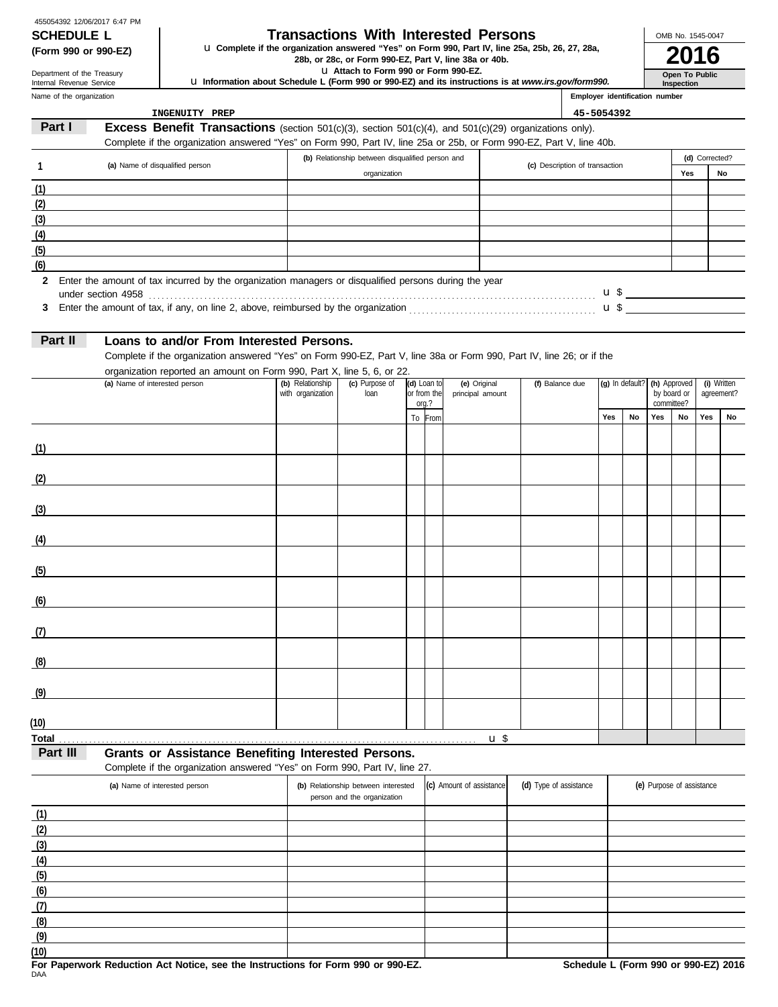| 455054392 12/06/2017 6:47 PM |  |  |
|------------------------------|--|--|
| <b>SCHEDULE L</b>            |  |  |

# **Transactions With Interested Persons**

**(Form 990 or 990-EZ) LI Complete if the organization answered "Yes" on Form 990, Part IV, line 25a, 25b, 26, 27, 28a, <b>2016** 

u **Attach to Form 990 or Form 990-EZ.**

u **Information about Schedule L (Form 990 or 990-EZ) and its instructions is at** *www.irs.gov/form990.*

Name of the organization Department of the Treasury Internal Revenue Service

| m990.                       | Inspection |
|-----------------------------|------------|
| lover identification number |            |

**Open To Public**

OMB No. 1545-0047

| INGENUITY PREP<br>45-5054392<br>Part I<br><b>Excess Benefit Transactions</b> (section $501(c)(3)$ , section $501(c)(4)$ , and $501(c)(29)$ organizations only).<br>Complete if the organization answered "Yes" on Form 990, Part IV, line 25a or 25b, or Form 990-EZ, Part V, line 40b.<br>(b) Relationship between disqualified person and<br>(d) Corrected?<br>$\mathbf{1}$<br>(a) Name of disqualified person<br>(c) Description of transaction<br>organization<br>Yes<br>No<br>(1)<br>(2)<br>(3)<br>(4)<br>(5)<br>(6)<br>$\mathbf{2}$<br>Enter the amount of tax incurred by the organization managers or disqualified persons during the year<br>Enter the amount of tax, if any, on line 2, above, reimbursed by the organization $\ldots$ $\ldots$ $\ldots$ $\ldots$ $\ldots$ $\ldots$ $\ldots$ $\ldots$ $\ldots$ $\ldots$<br>3<br>Part II<br>Loans to and/or From Interested Persons.<br>Complete if the organization answered "Yes" on Form 990-EZ, Part V, line 38a or Form 990, Part IV, line 26; or if the<br>organization reported an amount on Form 990, Part X, line 5, 6, or 22.<br>(b) Relationship<br>(c) Purpose of<br>(a) Name of interested person<br>(d) Loan to<br>(e) Original<br>(f) Balance due<br>(g) In default?<br>(h) Approved<br>(i) Written<br>with organization<br>loan<br>or from the<br>principal amount<br>by board or<br>agreement?<br>committee?<br>org.?<br>To From<br>Yes<br>No<br>Yes<br>No<br>Yes<br>No<br>(1)<br><u> 1989 - Johann Barbara, martxa alemaniar a</u><br><u> 1980 - Andrea Station Barbara, amerikan per</u><br>(2)<br>(3)<br><u> 1989 - Jan Amerikaans III (</u><br>(4)<br>(5)<br>(6)<br>(7)<br><u> 1980 - Johann Barn, mars ann an t-Alban ann an t-Alban ann an t-Alban ann an t-Alban ann an t-Alban ann an t-</u><br>(8)<br>(9)<br><u> 1980 - Johann Barn, amerikansk politiker (d. 1980)</u><br>(10)<br>Total<br>$\mathbf{u}$ \$ | Name of the organization |  |  |  |  |  |  |  |  |  |  |  | Employer identification number |  |  |  |
|------------------------------------------------------------------------------------------------------------------------------------------------------------------------------------------------------------------------------------------------------------------------------------------------------------------------------------------------------------------------------------------------------------------------------------------------------------------------------------------------------------------------------------------------------------------------------------------------------------------------------------------------------------------------------------------------------------------------------------------------------------------------------------------------------------------------------------------------------------------------------------------------------------------------------------------------------------------------------------------------------------------------------------------------------------------------------------------------------------------------------------------------------------------------------------------------------------------------------------------------------------------------------------------------------------------------------------------------------------------------------------------------------------------------------------------------------------------------------------------------------------------------------------------------------------------------------------------------------------------------------------------------------------------------------------------------------------------------------------------------------------------------------------------------------------------------------------------------------------------------------------------------|--------------------------|--|--|--|--|--|--|--|--|--|--|--|--------------------------------|--|--|--|
|                                                                                                                                                                                                                                                                                                                                                                                                                                                                                                                                                                                                                                                                                                                                                                                                                                                                                                                                                                                                                                                                                                                                                                                                                                                                                                                                                                                                                                                                                                                                                                                                                                                                                                                                                                                                                                                                                                |                          |  |  |  |  |  |  |  |  |  |  |  |                                |  |  |  |
|                                                                                                                                                                                                                                                                                                                                                                                                                                                                                                                                                                                                                                                                                                                                                                                                                                                                                                                                                                                                                                                                                                                                                                                                                                                                                                                                                                                                                                                                                                                                                                                                                                                                                                                                                                                                                                                                                                |                          |  |  |  |  |  |  |  |  |  |  |  |                                |  |  |  |
|                                                                                                                                                                                                                                                                                                                                                                                                                                                                                                                                                                                                                                                                                                                                                                                                                                                                                                                                                                                                                                                                                                                                                                                                                                                                                                                                                                                                                                                                                                                                                                                                                                                                                                                                                                                                                                                                                                |                          |  |  |  |  |  |  |  |  |  |  |  |                                |  |  |  |
|                                                                                                                                                                                                                                                                                                                                                                                                                                                                                                                                                                                                                                                                                                                                                                                                                                                                                                                                                                                                                                                                                                                                                                                                                                                                                                                                                                                                                                                                                                                                                                                                                                                                                                                                                                                                                                                                                                |                          |  |  |  |  |  |  |  |  |  |  |  |                                |  |  |  |
|                                                                                                                                                                                                                                                                                                                                                                                                                                                                                                                                                                                                                                                                                                                                                                                                                                                                                                                                                                                                                                                                                                                                                                                                                                                                                                                                                                                                                                                                                                                                                                                                                                                                                                                                                                                                                                                                                                |                          |  |  |  |  |  |  |  |  |  |  |  |                                |  |  |  |
|                                                                                                                                                                                                                                                                                                                                                                                                                                                                                                                                                                                                                                                                                                                                                                                                                                                                                                                                                                                                                                                                                                                                                                                                                                                                                                                                                                                                                                                                                                                                                                                                                                                                                                                                                                                                                                                                                                |                          |  |  |  |  |  |  |  |  |  |  |  |                                |  |  |  |
|                                                                                                                                                                                                                                                                                                                                                                                                                                                                                                                                                                                                                                                                                                                                                                                                                                                                                                                                                                                                                                                                                                                                                                                                                                                                                                                                                                                                                                                                                                                                                                                                                                                                                                                                                                                                                                                                                                |                          |  |  |  |  |  |  |  |  |  |  |  |                                |  |  |  |
|                                                                                                                                                                                                                                                                                                                                                                                                                                                                                                                                                                                                                                                                                                                                                                                                                                                                                                                                                                                                                                                                                                                                                                                                                                                                                                                                                                                                                                                                                                                                                                                                                                                                                                                                                                                                                                                                                                |                          |  |  |  |  |  |  |  |  |  |  |  |                                |  |  |  |
|                                                                                                                                                                                                                                                                                                                                                                                                                                                                                                                                                                                                                                                                                                                                                                                                                                                                                                                                                                                                                                                                                                                                                                                                                                                                                                                                                                                                                                                                                                                                                                                                                                                                                                                                                                                                                                                                                                |                          |  |  |  |  |  |  |  |  |  |  |  |                                |  |  |  |
|                                                                                                                                                                                                                                                                                                                                                                                                                                                                                                                                                                                                                                                                                                                                                                                                                                                                                                                                                                                                                                                                                                                                                                                                                                                                                                                                                                                                                                                                                                                                                                                                                                                                                                                                                                                                                                                                                                |                          |  |  |  |  |  |  |  |  |  |  |  |                                |  |  |  |
|                                                                                                                                                                                                                                                                                                                                                                                                                                                                                                                                                                                                                                                                                                                                                                                                                                                                                                                                                                                                                                                                                                                                                                                                                                                                                                                                                                                                                                                                                                                                                                                                                                                                                                                                                                                                                                                                                                |                          |  |  |  |  |  |  |  |  |  |  |  |                                |  |  |  |
|                                                                                                                                                                                                                                                                                                                                                                                                                                                                                                                                                                                                                                                                                                                                                                                                                                                                                                                                                                                                                                                                                                                                                                                                                                                                                                                                                                                                                                                                                                                                                                                                                                                                                                                                                                                                                                                                                                |                          |  |  |  |  |  |  |  |  |  |  |  |                                |  |  |  |
|                                                                                                                                                                                                                                                                                                                                                                                                                                                                                                                                                                                                                                                                                                                                                                                                                                                                                                                                                                                                                                                                                                                                                                                                                                                                                                                                                                                                                                                                                                                                                                                                                                                                                                                                                                                                                                                                                                |                          |  |  |  |  |  |  |  |  |  |  |  |                                |  |  |  |
|                                                                                                                                                                                                                                                                                                                                                                                                                                                                                                                                                                                                                                                                                                                                                                                                                                                                                                                                                                                                                                                                                                                                                                                                                                                                                                                                                                                                                                                                                                                                                                                                                                                                                                                                                                                                                                                                                                |                          |  |  |  |  |  |  |  |  |  |  |  |                                |  |  |  |
|                                                                                                                                                                                                                                                                                                                                                                                                                                                                                                                                                                                                                                                                                                                                                                                                                                                                                                                                                                                                                                                                                                                                                                                                                                                                                                                                                                                                                                                                                                                                                                                                                                                                                                                                                                                                                                                                                                |                          |  |  |  |  |  |  |  |  |  |  |  |                                |  |  |  |
|                                                                                                                                                                                                                                                                                                                                                                                                                                                                                                                                                                                                                                                                                                                                                                                                                                                                                                                                                                                                                                                                                                                                                                                                                                                                                                                                                                                                                                                                                                                                                                                                                                                                                                                                                                                                                                                                                                |                          |  |  |  |  |  |  |  |  |  |  |  |                                |  |  |  |
|                                                                                                                                                                                                                                                                                                                                                                                                                                                                                                                                                                                                                                                                                                                                                                                                                                                                                                                                                                                                                                                                                                                                                                                                                                                                                                                                                                                                                                                                                                                                                                                                                                                                                                                                                                                                                                                                                                |                          |  |  |  |  |  |  |  |  |  |  |  |                                |  |  |  |
|                                                                                                                                                                                                                                                                                                                                                                                                                                                                                                                                                                                                                                                                                                                                                                                                                                                                                                                                                                                                                                                                                                                                                                                                                                                                                                                                                                                                                                                                                                                                                                                                                                                                                                                                                                                                                                                                                                |                          |  |  |  |  |  |  |  |  |  |  |  |                                |  |  |  |
|                                                                                                                                                                                                                                                                                                                                                                                                                                                                                                                                                                                                                                                                                                                                                                                                                                                                                                                                                                                                                                                                                                                                                                                                                                                                                                                                                                                                                                                                                                                                                                                                                                                                                                                                                                                                                                                                                                |                          |  |  |  |  |  |  |  |  |  |  |  |                                |  |  |  |
|                                                                                                                                                                                                                                                                                                                                                                                                                                                                                                                                                                                                                                                                                                                                                                                                                                                                                                                                                                                                                                                                                                                                                                                                                                                                                                                                                                                                                                                                                                                                                                                                                                                                                                                                                                                                                                                                                                |                          |  |  |  |  |  |  |  |  |  |  |  |                                |  |  |  |
|                                                                                                                                                                                                                                                                                                                                                                                                                                                                                                                                                                                                                                                                                                                                                                                                                                                                                                                                                                                                                                                                                                                                                                                                                                                                                                                                                                                                                                                                                                                                                                                                                                                                                                                                                                                                                                                                                                |                          |  |  |  |  |  |  |  |  |  |  |  |                                |  |  |  |
|                                                                                                                                                                                                                                                                                                                                                                                                                                                                                                                                                                                                                                                                                                                                                                                                                                                                                                                                                                                                                                                                                                                                                                                                                                                                                                                                                                                                                                                                                                                                                                                                                                                                                                                                                                                                                                                                                                |                          |  |  |  |  |  |  |  |  |  |  |  |                                |  |  |  |
|                                                                                                                                                                                                                                                                                                                                                                                                                                                                                                                                                                                                                                                                                                                                                                                                                                                                                                                                                                                                                                                                                                                                                                                                                                                                                                                                                                                                                                                                                                                                                                                                                                                                                                                                                                                                                                                                                                |                          |  |  |  |  |  |  |  |  |  |  |  |                                |  |  |  |
|                                                                                                                                                                                                                                                                                                                                                                                                                                                                                                                                                                                                                                                                                                                                                                                                                                                                                                                                                                                                                                                                                                                                                                                                                                                                                                                                                                                                                                                                                                                                                                                                                                                                                                                                                                                                                                                                                                |                          |  |  |  |  |  |  |  |  |  |  |  |                                |  |  |  |
|                                                                                                                                                                                                                                                                                                                                                                                                                                                                                                                                                                                                                                                                                                                                                                                                                                                                                                                                                                                                                                                                                                                                                                                                                                                                                                                                                                                                                                                                                                                                                                                                                                                                                                                                                                                                                                                                                                |                          |  |  |  |  |  |  |  |  |  |  |  |                                |  |  |  |
|                                                                                                                                                                                                                                                                                                                                                                                                                                                                                                                                                                                                                                                                                                                                                                                                                                                                                                                                                                                                                                                                                                                                                                                                                                                                                                                                                                                                                                                                                                                                                                                                                                                                                                                                                                                                                                                                                                |                          |  |  |  |  |  |  |  |  |  |  |  |                                |  |  |  |
|                                                                                                                                                                                                                                                                                                                                                                                                                                                                                                                                                                                                                                                                                                                                                                                                                                                                                                                                                                                                                                                                                                                                                                                                                                                                                                                                                                                                                                                                                                                                                                                                                                                                                                                                                                                                                                                                                                |                          |  |  |  |  |  |  |  |  |  |  |  |                                |  |  |  |
|                                                                                                                                                                                                                                                                                                                                                                                                                                                                                                                                                                                                                                                                                                                                                                                                                                                                                                                                                                                                                                                                                                                                                                                                                                                                                                                                                                                                                                                                                                                                                                                                                                                                                                                                                                                                                                                                                                |                          |  |  |  |  |  |  |  |  |  |  |  |                                |  |  |  |
|                                                                                                                                                                                                                                                                                                                                                                                                                                                                                                                                                                                                                                                                                                                                                                                                                                                                                                                                                                                                                                                                                                                                                                                                                                                                                                                                                                                                                                                                                                                                                                                                                                                                                                                                                                                                                                                                                                |                          |  |  |  |  |  |  |  |  |  |  |  |                                |  |  |  |
|                                                                                                                                                                                                                                                                                                                                                                                                                                                                                                                                                                                                                                                                                                                                                                                                                                                                                                                                                                                                                                                                                                                                                                                                                                                                                                                                                                                                                                                                                                                                                                                                                                                                                                                                                                                                                                                                                                |                          |  |  |  |  |  |  |  |  |  |  |  |                                |  |  |  |
|                                                                                                                                                                                                                                                                                                                                                                                                                                                                                                                                                                                                                                                                                                                                                                                                                                                                                                                                                                                                                                                                                                                                                                                                                                                                                                                                                                                                                                                                                                                                                                                                                                                                                                                                                                                                                                                                                                |                          |  |  |  |  |  |  |  |  |  |  |  |                                |  |  |  |
|                                                                                                                                                                                                                                                                                                                                                                                                                                                                                                                                                                                                                                                                                                                                                                                                                                                                                                                                                                                                                                                                                                                                                                                                                                                                                                                                                                                                                                                                                                                                                                                                                                                                                                                                                                                                                                                                                                |                          |  |  |  |  |  |  |  |  |  |  |  |                                |  |  |  |
|                                                                                                                                                                                                                                                                                                                                                                                                                                                                                                                                                                                                                                                                                                                                                                                                                                                                                                                                                                                                                                                                                                                                                                                                                                                                                                                                                                                                                                                                                                                                                                                                                                                                                                                                                                                                                                                                                                |                          |  |  |  |  |  |  |  |  |  |  |  |                                |  |  |  |
|                                                                                                                                                                                                                                                                                                                                                                                                                                                                                                                                                                                                                                                                                                                                                                                                                                                                                                                                                                                                                                                                                                                                                                                                                                                                                                                                                                                                                                                                                                                                                                                                                                                                                                                                                                                                                                                                                                |                          |  |  |  |  |  |  |  |  |  |  |  |                                |  |  |  |
|                                                                                                                                                                                                                                                                                                                                                                                                                                                                                                                                                                                                                                                                                                                                                                                                                                                                                                                                                                                                                                                                                                                                                                                                                                                                                                                                                                                                                                                                                                                                                                                                                                                                                                                                                                                                                                                                                                |                          |  |  |  |  |  |  |  |  |  |  |  |                                |  |  |  |
|                                                                                                                                                                                                                                                                                                                                                                                                                                                                                                                                                                                                                                                                                                                                                                                                                                                                                                                                                                                                                                                                                                                                                                                                                                                                                                                                                                                                                                                                                                                                                                                                                                                                                                                                                                                                                                                                                                |                          |  |  |  |  |  |  |  |  |  |  |  |                                |  |  |  |
|                                                                                                                                                                                                                                                                                                                                                                                                                                                                                                                                                                                                                                                                                                                                                                                                                                                                                                                                                                                                                                                                                                                                                                                                                                                                                                                                                                                                                                                                                                                                                                                                                                                                                                                                                                                                                                                                                                |                          |  |  |  |  |  |  |  |  |  |  |  |                                |  |  |  |
|                                                                                                                                                                                                                                                                                                                                                                                                                                                                                                                                                                                                                                                                                                                                                                                                                                                                                                                                                                                                                                                                                                                                                                                                                                                                                                                                                                                                                                                                                                                                                                                                                                                                                                                                                                                                                                                                                                |                          |  |  |  |  |  |  |  |  |  |  |  |                                |  |  |  |
|                                                                                                                                                                                                                                                                                                                                                                                                                                                                                                                                                                                                                                                                                                                                                                                                                                                                                                                                                                                                                                                                                                                                                                                                                                                                                                                                                                                                                                                                                                                                                                                                                                                                                                                                                                                                                                                                                                |                          |  |  |  |  |  |  |  |  |  |  |  |                                |  |  |  |
|                                                                                                                                                                                                                                                                                                                                                                                                                                                                                                                                                                                                                                                                                                                                                                                                                                                                                                                                                                                                                                                                                                                                                                                                                                                                                                                                                                                                                                                                                                                                                                                                                                                                                                                                                                                                                                                                                                |                          |  |  |  |  |  |  |  |  |  |  |  |                                |  |  |  |
|                                                                                                                                                                                                                                                                                                                                                                                                                                                                                                                                                                                                                                                                                                                                                                                                                                                                                                                                                                                                                                                                                                                                                                                                                                                                                                                                                                                                                                                                                                                                                                                                                                                                                                                                                                                                                                                                                                |                          |  |  |  |  |  |  |  |  |  |  |  |                                |  |  |  |
|                                                                                                                                                                                                                                                                                                                                                                                                                                                                                                                                                                                                                                                                                                                                                                                                                                                                                                                                                                                                                                                                                                                                                                                                                                                                                                                                                                                                                                                                                                                                                                                                                                                                                                                                                                                                                                                                                                |                          |  |  |  |  |  |  |  |  |  |  |  |                                |  |  |  |

## **Part III Grants or Assistance Benefiting Interested Persons.** Complete if the organization answered "Yes" on Form 990, Part IV, line 27.

| . .<br>ັ<br>(a) Name of interested person | (b) Relationship between interested<br>person and the organization | (c) Amount of assistance | (d) Type of assistance | (e) Purpose of assistance |
|-------------------------------------------|--------------------------------------------------------------------|--------------------------|------------------------|---------------------------|
| (1)                                       |                                                                    |                          |                        |                           |
| (2)                                       |                                                                    |                          |                        |                           |
| (3)                                       |                                                                    |                          |                        |                           |
| (4)                                       |                                                                    |                          |                        |                           |
| (5)                                       |                                                                    |                          |                        |                           |
| (6)                                       |                                                                    |                          |                        |                           |
| (7)                                       |                                                                    |                          |                        |                           |
| (8)                                       |                                                                    |                          |                        |                           |
| (9)                                       |                                                                    |                          |                        |                           |
| (10)                                      |                                                                    |                          |                        |                           |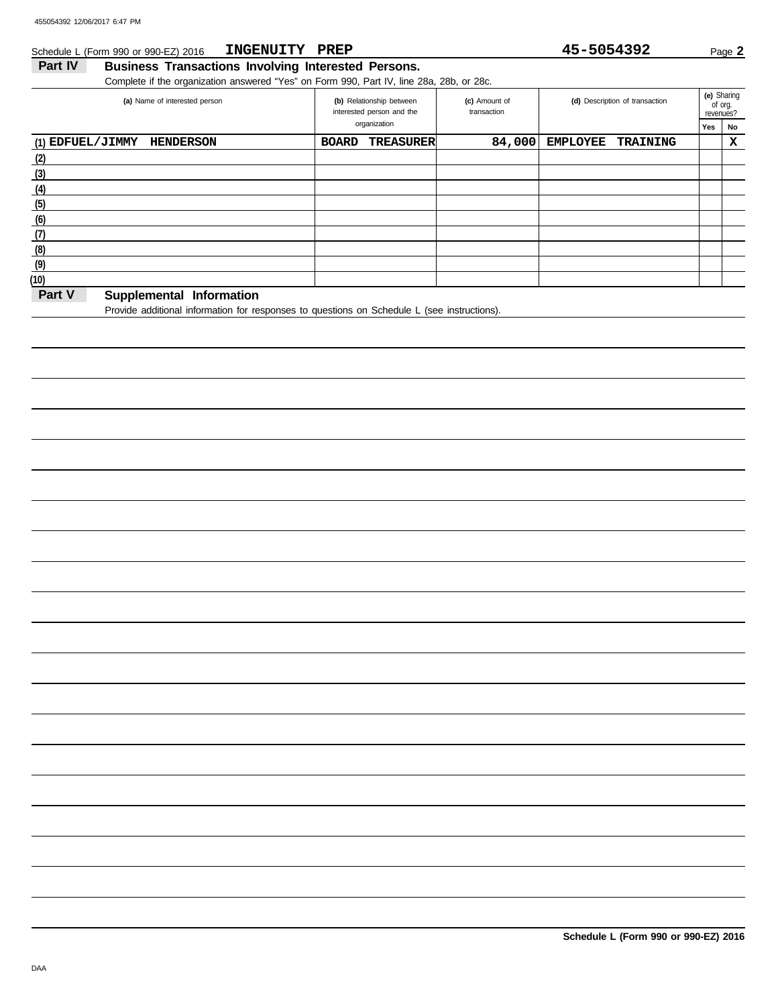#### Schedule L (Form 990 or 990-EZ) 2016 **INGENUITY PREP** 45-5054392 Page 2 **INGENUITY PREP 45-5054392**

## **Part IV Business Transactions Involving Interested Persons.**

Complete if the organization answered "Yes" on Form 990, Part IV, line 28a, 28b, or 28c.

| (a) Name of interested person        | (b) Relationship between<br>interested person and the | (c) Amount of<br>transaction | (d) Description of transaction     |     | (e) Sharing<br>of org.<br>revenues? |  |
|--------------------------------------|-------------------------------------------------------|------------------------------|------------------------------------|-----|-------------------------------------|--|
|                                      | organization                                          |                              |                                    | Yes | No                                  |  |
| (1) EDFUEL/JIMMY<br><b>HENDERSON</b> | <b>BOARD</b><br><b>TREASURER</b>                      | 84,000                       | <b>EMPLOYEE</b><br><b>TRAINING</b> |     | х                                   |  |
| (2)                                  |                                                       |                              |                                    |     |                                     |  |
| (3)                                  |                                                       |                              |                                    |     |                                     |  |
| (4)                                  |                                                       |                              |                                    |     |                                     |  |
| (5)                                  |                                                       |                              |                                    |     |                                     |  |
| (6)                                  |                                                       |                              |                                    |     |                                     |  |
| (7)                                  |                                                       |                              |                                    |     |                                     |  |
| (8)                                  |                                                       |                              |                                    |     |                                     |  |
| (9)                                  |                                                       |                              |                                    |     |                                     |  |
| (10)                                 |                                                       |                              |                                    |     |                                     |  |
| Part V<br>Supplemental Information   |                                                       |                              |                                    |     |                                     |  |

Provide additional information for responses to questions on Schedule L (see instructions).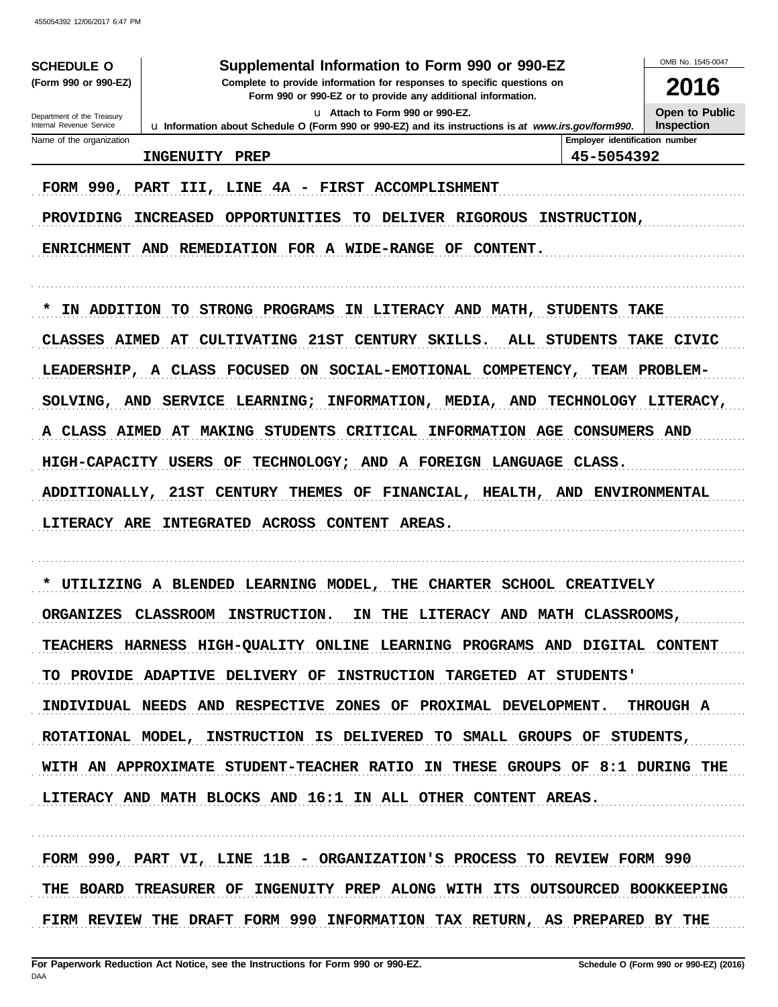| 40000439Z 1Z/U0/ZUT/ 0.47 PM                                                             |                                                                                                                                                                        |                                |                      |  |  |  |  |
|------------------------------------------------------------------------------------------|------------------------------------------------------------------------------------------------------------------------------------------------------------------------|--------------------------------|----------------------|--|--|--|--|
| OMB No. 1545-0047<br>Supplemental Information to Form 990 or 990-EZ<br><b>SCHEDULE O</b> |                                                                                                                                                                        |                                |                      |  |  |  |  |
|                                                                                          | (Form 990 or 990-EZ)<br>Complete to provide information for responses to specific questions on<br>2016<br>Form 990 or 990-EZ or to provide any additional information. |                                |                      |  |  |  |  |
| <b>Open to Public</b><br>u Attach to Form 990 or 990-EZ.<br>Department of the Treasury   |                                                                                                                                                                        |                                |                      |  |  |  |  |
| Internal Revenue Service<br>Name of the organization                                     | La Information about Schedule O (Form 990 or 990-EZ) and its instructions is at www.irs.gov/form990.                                                                   | Employer identification number | <b>Inspection</b>    |  |  |  |  |
|                                                                                          | <b>INGENUITY</b><br>PREP                                                                                                                                               | 45-5054392                     |                      |  |  |  |  |
| FORM 990, PART III,                                                                      | <b>FIRST ACCOMPLISHMENT</b><br>LINE 4A -                                                                                                                               |                                |                      |  |  |  |  |
| <b>PROVIDING</b>                                                                         | <b>INCREASED</b><br><b>OPPORTUNITIES</b><br>TO.<br><b>DELIVER RIGOROUS</b>                                                                                             | <b>INSTRUCTION,</b>            |                      |  |  |  |  |
| <b>ENRICHMENT</b>                                                                        | AND REMEDIATION FOR A WIDE-RANGE OF CONTENT.                                                                                                                           |                                |                      |  |  |  |  |
| IN ADDITION<br>*                                                                         | TO STRONG PROGRAMS IN LITERACY AND MATH,                                                                                                                               | <b>STUDENTS</b>                | <b>TAKE</b>          |  |  |  |  |
| CLASSES AIMED                                                                            | AT<br><b>CULTIVATING</b><br>21ST CENTURY SKILLS.                                                                                                                       | ALL STUDENTS                   | <b>TAKE CIVIC</b>    |  |  |  |  |
| <b>LEADERSHIP,</b>                                                                       | A CLASS FOCUSED ON<br>SOCIAL-EMOTIONAL COMPETENCY,                                                                                                                     |                                | <b>TEAM PROBLEM-</b> |  |  |  |  |
|                                                                                          | INFORMATION, MEDIA, AND TECHNOLOGY LITERACY,<br>SOLVING, AND SERVICE LEARNING;                                                                                         |                                |                      |  |  |  |  |
|                                                                                          | A CLASS AIMED AT MAKING STUDENTS CRITICAL INFORMATION AGE CONSUMERS AND                                                                                                |                                |                      |  |  |  |  |
| HIGH-CAPACITY USERS                                                                      | <b>TECHNOLOGY;</b><br>AND A FOREIGN LANGUAGE CLASS.<br>OF                                                                                                              |                                |                      |  |  |  |  |
| <b>ADDITIONALLY,</b>                                                                     | 21ST<br>OF FINANCIAL, HEALTH, AND ENVIRONMENTAL<br><b>CENTURY</b><br>THEMES                                                                                            |                                |                      |  |  |  |  |
|                                                                                          | LITERACY ARE INTEGRATED ACROSS CONTENT<br><b>AREAS.</b>                                                                                                                |                                |                      |  |  |  |  |
| *                                                                                        | <b>CHARTER SCHOOL CREATIVELY</b><br>UTILIZING A BLENDED LEARNING MODEL,<br>THE                                                                                         |                                |                      |  |  |  |  |
|                                                                                          | ORGANIZES CLASSROOM INSTRUCTION. IN THE LITERACY AND MATH CLASSROOMS,                                                                                                  |                                |                      |  |  |  |  |
| TEACHERS HARNESS HIGH-QUALITY ONLINE LEARNING PROGRAMS AND DIGITAL CONTENT               |                                                                                                                                                                        |                                |                      |  |  |  |  |
| TO PROVIDE ADAPTIVE DELIVERY OF INSTRUCTION TARGETED AT STUDENTS'                        |                                                                                                                                                                        |                                |                      |  |  |  |  |
| INDIVIDUAL NEEDS AND RESPECTIVE ZONES OF PROXIMAL DEVELOPMENT. THROUGH A                 |                                                                                                                                                                        |                                |                      |  |  |  |  |
| ROTATIONAL MODEL, INSTRUCTION IS DELIVERED TO SMALL GROUPS OF STUDENTS,                  |                                                                                                                                                                        |                                |                      |  |  |  |  |
|                                                                                          | WITH AN APPROXIMATE STUDENT-TEACHER RATIO IN THESE GROUPS OF 8:1 DURING THE                                                                                            |                                |                      |  |  |  |  |
|                                                                                          | LITERACY AND MATH BLOCKS AND 16:1 IN ALL OTHER CONTENT AREAS.                                                                                                          |                                |                      |  |  |  |  |
|                                                                                          |                                                                                                                                                                        |                                |                      |  |  |  |  |

FORM 990, PART VI, LINE 11B - ORGANIZATION'S PROCESS TO REVIEW FORM 990 THE BOARD TREASURER OF INGENUITY PREP ALONG WITH ITS OUTSOURCED BOOKKEEPING FIRM REVIEW THE DRAFT FORM 990 INFORMATION TAX RETURN, AS PREPARED BY THE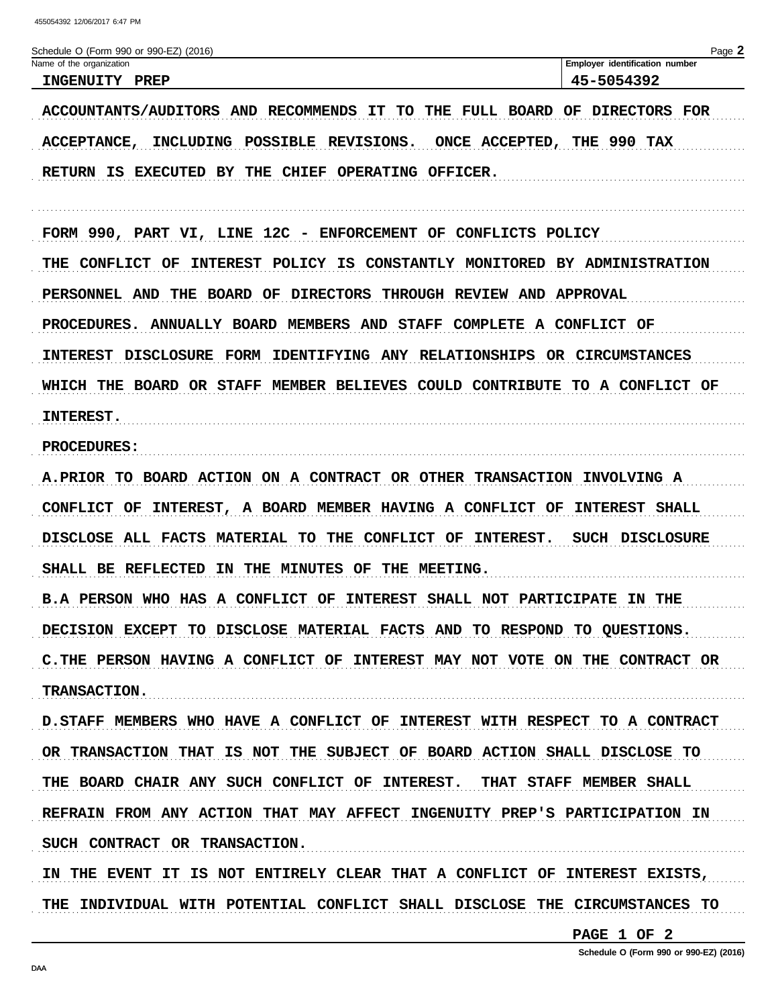| Schedule O (Form 990 or 990-EZ) (2016)<br>Name of the organization                | Page 2<br>Employer identification number |
|-----------------------------------------------------------------------------------|------------------------------------------|
| INGENUITY PREP                                                                    | 45-5054392                               |
| ACCOUNTANTS/AUDITORS AND RECOMMENDS IT TO<br>THE                                  | <b>FULL BOARD OF DIRECTORS FOR</b>       |
| INCLUDING POSSIBLE REVISIONS.<br><b>ACCEPTANCE,</b>                               | ONCE ACCEPTED, THE 990 TAX               |
| RETURN IS EXECUTED BY THE CHIEF OPERATING OFFICER.                                |                                          |
| FORM 990, PART VI, LINE 12C - ENFORCEMENT OF CONFLICTS POLICY                     |                                          |
| THE CONFLICT OF<br>INTEREST POLICY IS CONSTANTLY MONITORED BY ADMINISTRATION      |                                          |
| THE BOARD OF DIRECTORS THROUGH REVIEW AND APPROVAL<br>PERSONNEL AND               |                                          |
| PROCEDURES. ANNUALLY BOARD MEMBERS AND STAFF COMPLETE A CONFLICT OF               |                                          |
| DISCLOSURE FORM IDENTIFYING ANY RELATIONSHIPS OR CIRCUMSTANCES<br><b>INTEREST</b> |                                          |
| WHICH THE BOARD OR STAFF MEMBER BELIEVES COULD CONTRIBUTE TO A CONFLICT OF        |                                          |
| <b>INTEREST.</b>                                                                  |                                          |
| <b>PROCEDURES:</b>                                                                |                                          |
| A.PRIOR TO BOARD ACTION ON A CONTRACT OR OTHER TRANSACTION INVOLVING A            |                                          |
| CONFLICT OF INTEREST, A BOARD MEMBER HAVING A CONFLICT OF INTEREST SHALL          |                                          |
| DISCLOSE ALL FACTS MATERIAL TO THE CONFLICT OF INTEREST. SUCH DISCLOSURE          |                                          |
| SHALL BE REFLECTED IN THE MINUTES OF THE MEETING.                                 |                                          |
| B.A PERSON WHO HAS A CONFLICT OF INTEREST SHALL NOT PARTICIPATE IN THE            |                                          |
| DECISION EXCEPT TO DISCLOSE MATERIAL FACTS AND TO RESPOND TO QUESTIONS.           |                                          |
| C.THE PERSON HAVING A CONFLICT OF INTEREST MAY NOT VOTE ON THE CONTRACT OR        |                                          |
| <b>TRANSACTION.</b>                                                               |                                          |
| D. STAFF MEMBERS WHO HAVE A CONFLICT OF INTEREST WITH RESPECT TO A CONTRACT       |                                          |
| OR TRANSACTION THAT IS NOT THE SUBJECT OF BOARD ACTION SHALL DISCLOSE TO          |                                          |
| THE BOARD CHAIR ANY SUCH CONFLICT OF INTEREST. THAT STAFF MEMBER SHALL            |                                          |
| REFRAIN FROM ANY ACTION THAT MAY AFFECT INGENUITY PREP'S PARTICIPATION IN         |                                          |
| SUCH CONTRACT OR TRANSACTION.                                                     |                                          |

IN THE EVENT IT IS NOT ENTIRELY CLEAR THAT A CONFLICT OF INTEREST EXISTS, THE INDIVIDUAL WITH POTENTIAL CONFLICT SHALL DISCLOSE THE CIRCUMSTANCES TO

PAGE 1 OF 2

Schedule O (Form 990 or 990-EZ) (2016)